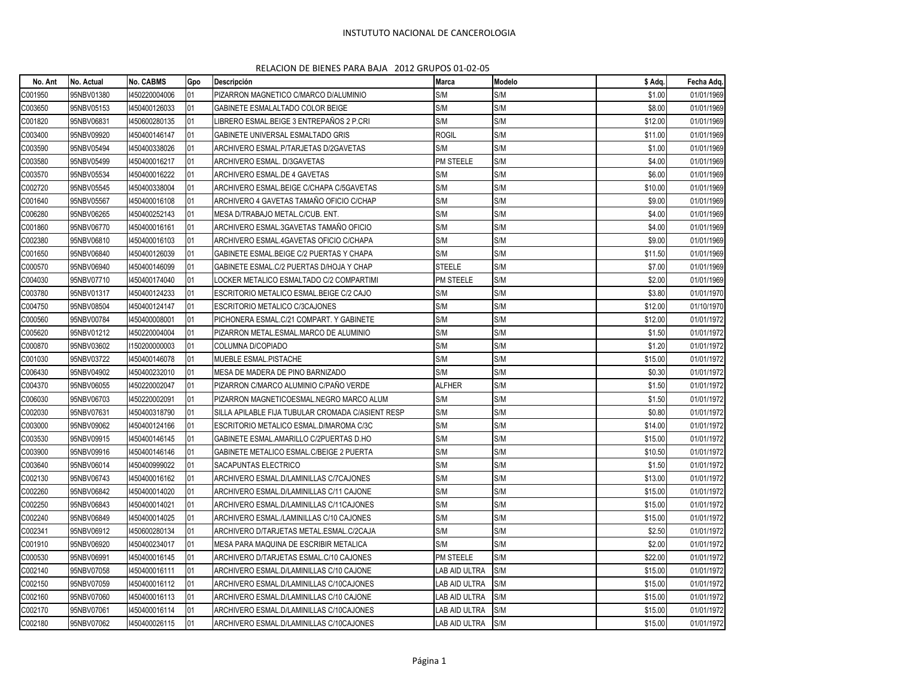## INSTUTUTO NACIONAL DE CANCEROLOGIA

## RELACION DE BIENES PARA BAJA 2012 GRUPOS 01-02-05

| No. Ant | No. Actual | <b>No. CABMS</b> | Gpo | Descripción                                       | <b>Marca</b>  | Modelo | \$ Adq. | Fecha Adq. |
|---------|------------|------------------|-----|---------------------------------------------------|---------------|--------|---------|------------|
| C001950 | 95NBV01380 | 1450220004006    | 01  | PIZARRON MAGNETICO C/MARCO D/ALUMINIO             | S/M           | S/M    | \$1.00  | 01/01/1969 |
| C003650 | 95NBV05153 | 1450400126033    | 01  | GABINETE ESMALALTADO COLOR BEIGE                  | S/M           | S/M    | \$8.00  | 01/01/1969 |
| C001820 | 95NBV06831 | 1450600280135    | 01  | LIBRERO ESMAL.BEIGE 3 ENTREPAÑOS 2 P.CRI          | S/M           | S/M    | \$12.00 | 01/01/1969 |
| C003400 | 95NBV09920 | 1450400146147    | 01  | GABINETE UNIVERSAL ESMALTADO GRIS                 | <b>ROGIL</b>  | S/M    | \$11.00 | 01/01/1969 |
| C003590 | 95NBV05494 | 1450400338026    | 01  | ARCHIVERO ESMAL.P/TARJETAS D/2GAVETAS             | S/M           | S/M    | \$1.00  | 01/01/1969 |
| C003580 | 95NBV05499 | 1450400016217    | 01  | ARCHIVERO ESMAL, D/3GAVETAS                       | PM STEELE     | S/M    | \$4.00  | 01/01/1969 |
| C003570 | 95NBV05534 | 1450400016222    | 01  | ARCHIVERO ESMAL.DE 4 GAVETAS                      | S/M           | S/M    | \$6.00  | 01/01/1969 |
| C002720 | 95NBV05545 | 1450400338004    | 01  | ARCHIVERO ESMAL.BEIGE C/CHAPA C/5GAVETAS          | S/M           | S/M    | \$10.00 | 01/01/1969 |
| C001640 | 95NBV05567 | 1450400016108    | 01  | ARCHIVERO 4 GAVETAS TAMAÑO OFICIO C/CHAP          | S/M           | S/M    | \$9.00  | 01/01/1969 |
| C006280 | 95NBV06265 | 1450400252143    | 01  | MESA D/TRABAJO METAL.C/CUB. ENT.                  | S/M           | S/M    | \$4.00  | 01/01/1969 |
| C001860 | 95NBV06770 | 1450400016161    | 01  | ARCHIVERO ESMAL.3GAVETAS TAMAÑO OFICIO            | S/M           | S/M    | \$4.00  | 01/01/1969 |
| C002380 | 95NBV06810 | 1450400016103    | 01  | ARCHIVERO ESMAL.4GAVETAS OFICIO C/CHAPA           | S/M           | S/M    | \$9.00  | 01/01/1969 |
| C001650 | 95NBV06840 | 1450400126039    | 01  | GABINETE ESMAL.BEIGE C/2 PUERTAS Y CHAPA          | S/M           | S/M    | \$11.50 | 01/01/1969 |
| C000570 | 95NBV06940 | 1450400146099    | 01  | GABINETE ESMAL.C/2 PUERTAS D/HOJA Y CHAP          | STEELE        | S/M    | \$7.00  | 01/01/1969 |
| C004030 | 95NBV07710 | 1450400174040    | 01  | LOCKER METALICO ESMALTADO C/2 COMPARTIMI          | PM STEELE     | S/M    | \$2.00  | 01/01/1969 |
| C003780 | 95NBV01317 | 1450400124233    | 01  | ESCRITORIO METALICO ESMAL.BEIGE C/2 CAJO          | S/M           | S/M    | \$3.80  | 01/01/1970 |
| C004750 | 95NBV08504 | 1450400124147    | 01  | ESCRITORIO METALICO C/3CAJONES                    | S/M           | S/M    | \$12.00 | 01/10/1970 |
| C000560 | 95NBV00784 | 1450400008001    | 01  | PICHONERA ESMAL.C/21 COMPART. Y GABINETE          | S/M           | S/M    | \$12.00 | 01/01/1972 |
| C005620 | 95NBV01212 | 1450220004004    | 01  | PIZARRON METAL.ESMAL.MARCO DE ALUMINIO            | S/M           | S/M    | \$1.50  | 01/01/1972 |
| C000870 | 95NBV03602 | 1150200000003    | 01  | COLUMNA D/COPIADO                                 | S/M           | S/M    | \$1.20  | 01/01/1972 |
| C001030 | 95NBV03722 | 1450400146078    | 01  | MUEBLE ESMAL.PISTACHE                             | S/M           | S/M    | \$15.00 | 01/01/1972 |
| C006430 | 95NBV04902 | 1450400232010    | 01  | MESA DE MADERA DE PINO BARNIZADO                  | S/M           | S/M    | \$0.30  | 01/01/1972 |
| C004370 | 95NBV06055 | 1450220002047    | 01  | PIZARRON C/MARCO ALUMINIO C/PAÑO VERDE            | ALFHER        | S/M    | \$1.50  | 01/01/1972 |
| C006030 | 95NBV06703 | 1450220002091    | 01  | PIZARRON MAGNETICOESMAL.NEGRO MARCO ALUM          | S/M           | S/M    | \$1.50  | 01/01/1972 |
| C002030 | 95NBV07631 | 1450400318790    | 01  | SILLA APILABLE FIJA TUBULAR CROMADA C/ASIENT RESP | S/M           | S/M    | \$0.80  | 01/01/1972 |
| C003000 | 95NBV09062 | 1450400124166    | 01  | ESCRITORIO METALICO ESMAL.D/MAROMA C/3C           | S/M           | S/M    | \$14.00 | 01/01/1972 |
| C003530 | 95NBV09915 | 1450400146145    | 01  | GABINETE ESMAL.AMARILLO C/2PUERTAS D.HO           | S/M           | S/M    | \$15.00 | 01/01/1972 |
| C003900 | 95NBV09916 | 1450400146146    | 01  | GABINETE METALICO ESMAL.C/BEIGE 2 PUERTA          | S/M           | S/M    | \$10.50 | 01/01/1972 |
| C003640 | 95NBV06014 | 1450400999022    | 01  | SACAPUNTAS ELECTRICO                              | S/M           | S/M    | \$1.50  | 01/01/1972 |
| C002130 | 95NBV06743 | 1450400016162    | 01  | ARCHIVERO ESMAL.D/LAMINILLAS C/7CAJONES           | S/M           | S/M    | \$13.00 | 01/01/1972 |
| C002260 | 95NBV06842 | 1450400014020    | 01  | ARCHIVERO ESMAL.D/LAMINILLAS C/11 CAJONE          | S/M           | S/M    | \$15.00 | 01/01/1972 |
| C002250 | 95NBV06843 | 1450400014021    | 01  | ARCHIVERO ESMAL.D/LAMINILLAS C/11CAJONES          | S/M           | S/M    | \$15.00 | 01/01/1972 |
| C002240 | 95NBV06849 | 1450400014025    | 01  | ARCHIVERO ESMAL./LAMINILLAS C/10 CAJONES          | S/M           | S/M    | \$15.00 | 01/01/1972 |
| C002341 | 95NBV06912 | 1450600280134    | 01  | ARCHIVERO D/TARJETAS METAL.ESMAL.C/2CAJA          | S/M           | S/M    | \$2.50  | 01/01/1972 |
| C001910 | 95NBV06920 | 1450400234017    | 01  | MESA PARA MAQUINA DE ESCRIBIR METALICA            | S/M           | S/M    | \$2.00  | 01/01/1972 |
| C000530 | 95NBV06991 | 1450400016145    | 01  | ARCHIVERO D/TARJETAS ESMAL.C/10 CAJONES           | PM STEELE     | S/M    | \$22.00 | 01/01/1972 |
| C002140 | 95NBV07058 | 1450400016111    | 01  | ARCHIVERO ESMAL.D/LAMINILLAS C/10 CAJONE          | LAB AID ULTRA | S/M    | \$15.00 | 01/01/1972 |
| C002150 | 95NBV07059 | 1450400016112    | 01  | ARCHIVERO ESMAL.D/LAMINILLAS C/10CAJONES          | LAB AID ULTRA | S/M    | \$15.00 | 01/01/1972 |
| C002160 | 95NBV07060 | 1450400016113    | 01  | ARCHIVERO ESMAL.D/LAMINILLAS C/10 CAJONE          | LAB AID ULTRA | S/M    | \$15.00 | 01/01/1972 |
| C002170 | 95NBV07061 | 1450400016114    | 01  | ARCHIVERO ESMAL.D/LAMINILLAS C/10CAJONES          | LAB AID ULTRA | S/M    | \$15.00 | 01/01/1972 |
| C002180 | 95NBV07062 | 1450400026115    | 01  | ARCHIVERO ESMAL.D/LAMINILLAS C/10CAJONES          | LAB AID ULTRA | S/M    | \$15.00 | 01/01/1972 |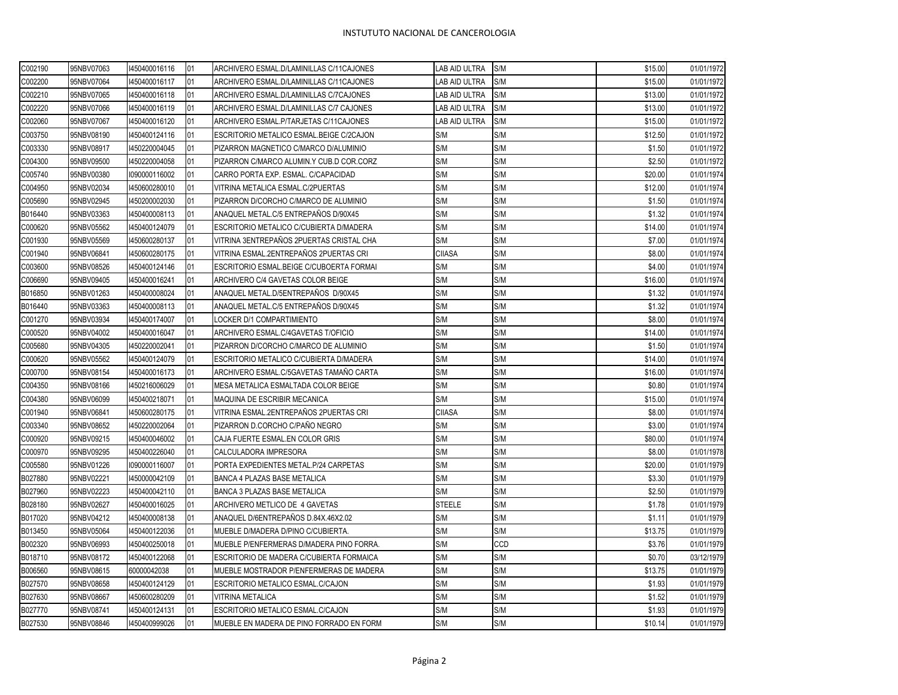| 95NBV07064<br>1450400016117<br>ARCHIVERO ESMAL.D/LAMINILLAS C/11CAJONES<br>LAB AID ULTRA<br>S/M<br>\$15.00<br>01<br>95NBV07065<br>1450400016118<br>01<br>ARCHIVERO ESMAL.D/LAMINILLAS C/7CAJONES<br>LAB AID ULTRA<br>S/M<br>\$13.00<br>S/M<br>95NBV07066<br>01<br>ARCHIVERO ESMAL.D/LAMINILLAS C/7 CAJONES<br>\$13.00<br>1450400016119<br>LAB AID ULTRA<br>95NBV07067<br>1450400016120<br>01<br>ARCHIVERO ESMAL.P/TARJETAS C/11CAJONES<br>LAB AID ULTRA<br>S/M<br>\$15.00<br>S/M<br>95NBV08190<br>1450400124116<br>01<br>ESCRITORIO METALICO ESMAL.BEIGE C/2CAJON<br>S/M<br>\$12.50<br>S/M<br>S/M<br>01<br>\$1.50<br>95NBV08917<br>1450220004045<br>PIZARRON MAGNETICO C/MARCO D/ALUMINIO<br>S/M<br>S/M<br>01<br>\$2.50<br>95NBV09500<br>1450220004058<br>PIZARRON C/MARCO ALUMIN.Y CUB.D COR.CORZ<br>1090000116002<br>01<br>CARRO PORTA EXP. ESMAL. C/CAPACIDAD<br>S/M<br>S/M<br>\$20.00<br>01/01/1974<br>95NBV00380<br>95NBV02034<br>1450600280010<br>01<br>S/M<br>S/M<br>\$12.00<br>VITRINA METALICA ESMAL.C/2PUERTAS<br>01/01/1974<br>95NBV02945<br>1450200002030<br>01<br>PIZARRON D/CORCHO C/MARCO DE ALUMINIO<br>S/M<br>S/M<br>\$1.50<br>01/01/1974<br>S/M<br>S/M<br>95NBV03363<br>1450400008113<br>01<br>ANAQUEL METAL.C/5 ENTREPAÑOS D/90X45<br>\$1.32<br>S/M<br>95NBV05562<br>1450400124079<br>01<br>ESCRITORIO METALICO C/CUBIERTA D/MADERA<br>S/M<br>\$14.00<br>01/01/1974<br>S/M<br>S/M<br>95NBV05569<br>1450600280137<br>01<br>VITRINA 3ENTREPAÑOS 2PUERTAS CRISTAL CHA<br>\$7.00<br>01/01/1974<br><b>CIIASA</b><br>S/M<br>\$8.00<br>95NBV06841<br>1450600280175<br>01<br>VITRINA ESMAL.2ENTREPAÑOS 2PUERTAS CRI<br>01/01/1974<br>S/M<br>95NBV08526<br>1450400124146<br>01<br>ESCRITORIO ESMAL.BEIGE C/CUBOERTA FORMAI<br>S/M<br>\$4.00<br>01/01/1974<br>95NBV09405<br>1450400016241<br>01<br>ARCHIVERO C/4 GAVETAS COLOR BEIGE<br>S/M<br>S/M<br>\$16.00<br>01/01/1974<br>1450400008024<br>01<br>ANAQUEL METAL.D/5ENTREPAÑOS D/90X45<br>S/M<br>S/M<br>\$1.32<br>95NBV01263<br>01/01/1974<br>S/M<br>S/M<br>95NBV03363<br>1450400008113<br>01<br>ANAQUEL METAL.C/5 ENTREPAÑOS D/90X45<br>\$1.32<br>01/01/1974<br>S/M<br>S/M<br>95NBV03934<br>1450400174007<br>01<br>LOCKER D/1 COMPARTIMIENTO<br>\$8.00<br>ARCHIVERO ESMAL.C/4GAVETAS T/OFICIO<br>S/M<br>S/M<br>\$14.00<br>95NBV04002<br>1450400016047<br>01<br>S/M<br>S/M<br>\$1.50<br>95NBV04305<br>1450220002041<br>01<br>PIZARRON D/CORCHO C/MARCO DE ALUMINIO<br>01/01/1974<br>S/M<br>S/M<br>95NBV05562<br>1450400124079<br>01<br>ESCRITORIO METALICO C/CUBIERTA D/MADERA<br>\$14.00<br>01/01/1974<br>S/M<br>S/M<br>95NBV08154<br>1450400016173<br>01<br>ARCHIVERO ESMAL.C/5GAVETAS TAMAÑO CARTA<br>\$16.00<br>01/01/1974<br>S/M<br>95NBV08166<br>1450216006029<br>01<br>MESA METALICA ESMALTADA COLOR BEIGE<br>S/M<br>\$0.80<br>01/01/1974<br>S/M<br>95NBV06099<br>1450400218071<br>01<br>MAQUINA DE ESCRIBIR MECANICA<br>S/M<br>\$15.00<br>01/01/1974<br>S/M<br><b>CIIASA</b><br>\$8.00<br>95NBV06841<br>1450600280175<br>01<br>VITRINA ESMAL.2ENTREPAÑOS 2PUERTAS CRI<br>01/01/1974<br>PIZARRON D.CORCHO C/PAÑO NEGRO<br>S/M<br>S/M<br>95NBV08652<br>1450220002064<br>01<br>\$3.00<br>01/01/1974<br>CAJA FUERTE ESMAL.EN COLOR GRIS<br>S/M<br>S/M<br>\$80.00<br>95NBV09215<br>1450400046002<br>01<br>01/01/1974<br>S/M<br>S/M<br>95NBV09295<br>1450400226040<br>01<br>CALCULADORA IMPRESORA<br>\$8.00<br>S/M<br>S/M<br>95NBV01226<br>1090000116007<br>01<br>PORTA EXPEDIENTES METAL. P/24 CARPETAS<br>\$20.00<br>S/M<br>S/M<br>95NBV02221<br>1450000042109<br>01<br>BANCA 4 PLAZAS BASE METALICA<br>\$3.30<br>S/M<br>S/M<br>\$2.50<br>95NBV02223<br>1450400042110<br>01<br>BANCA 3 PLAZAS BASE METALICA<br><b>STEELE</b><br>S/M<br>95NBV02627<br>1450400016025<br>01<br>ARCHIVERO METLICO DE 4 GAVETAS<br>\$1.78<br>S/M<br>S/M<br>95NBV04212<br>1450400008138<br>01<br>ANAQUEL D/6ENTREPAÑOS D.84X.46X2.02<br>\$1.11<br>S/M<br>95NBV05064<br>1450400122036<br>01<br>MUEBLE D/MADERA D/PINO C/CUBIERTA.<br>S/M<br>\$13.75<br>S/M<br><b>CCD</b><br>95NBV06993<br>1450400250018<br>01<br>MUEBLE P/ENFERMERAS D/MADERA PINO FORRA.<br>\$3.76<br>S/M<br>S/M<br>1450400122068<br>01<br>\$0.70<br>95NBV08172<br>ESCRITORIO DE MADERA C/CUBIERTA FORMAICA<br>01<br>S/M<br>S/M<br>\$13.75<br>95NBV08615<br>60000042038<br>MUEBLE MOSTRADOR P/ENFERMERAS DE MADERA<br>1450400124129<br>01<br>ESCRITORIO METALICO ESMAL.C/CAJON<br>S/M<br>S/M<br>\$1.93<br>95NBV08658<br>S/M<br>S/M<br>95NBV08667<br>1450600280209<br>01<br>VITRINA METALICA<br>\$1.52<br>S/M<br>S/M<br>\$1.93<br>95NBV08741<br>1450400124131<br>01<br>ESCRITORIO METALICO ESMAL.C/CAJON<br>S/M<br>S/M<br>95NBV08846<br>1450400999026<br>01<br>MUEBLE EN MADERA DE PINO FORRADO EN FORM<br>\$10.14 | C002190 | 95NBV07063 | 1450400016116 | 01 | ARCHIVERO ESMAL.D/LAMINILLAS C/11CAJONES | LAB AID ULTRA | S/M | \$15.00 | 01/01/1972 |
|-----------------------------------------------------------------------------------------------------------------------------------------------------------------------------------------------------------------------------------------------------------------------------------------------------------------------------------------------------------------------------------------------------------------------------------------------------------------------------------------------------------------------------------------------------------------------------------------------------------------------------------------------------------------------------------------------------------------------------------------------------------------------------------------------------------------------------------------------------------------------------------------------------------------------------------------------------------------------------------------------------------------------------------------------------------------------------------------------------------------------------------------------------------------------------------------------------------------------------------------------------------------------------------------------------------------------------------------------------------------------------------------------------------------------------------------------------------------------------------------------------------------------------------------------------------------------------------------------------------------------------------------------------------------------------------------------------------------------------------------------------------------------------------------------------------------------------------------------------------------------------------------------------------------------------------------------------------------------------------------------------------------------------------------------------------------------------------------------------------------------------------------------------------------------------------------------------------------------------------------------------------------------------------------------------------------------------------------------------------------------------------------------------------------------------------------------------------------------------------------------------------------------------------------------------------------------------------------------------------------------------------------------------------------------------------------------------------------------------------------------------------------------------------------------------------------------------------------------------------------------------------------------------------------------------------------------------------------------------------------------------------------------------------------------------------------------------------------------------------------------------------------------------------------------------------------------------------------------------------------------------------------------------------------------------------------------------------------------------------------------------------------------------------------------------------------------------------------------------------------------------------------------------------------------------------------------------------------------------------------------------------------------------------------------------------------------------------------------------------------------------------------------------------------------------------------------------------------------------------------------------------------------------------------------------------------------------------------------------------------------------------------------------------------------------------------------------------------------------------------------------------------------------------------------------------------------------------------------------------------------------------------------------------------------------------------------------------------------------------------------------------------------------------------------------------------------------------------------------------------------------------------------------------------------------------------------------------------------------------------------------------------------------------------------------------------------------------------------------|---------|------------|---------------|----|------------------------------------------|---------------|-----|---------|------------|
|                                                                                                                                                                                                                                                                                                                                                                                                                                                                                                                                                                                                                                                                                                                                                                                                                                                                                                                                                                                                                                                                                                                                                                                                                                                                                                                                                                                                                                                                                                                                                                                                                                                                                                                                                                                                                                                                                                                                                                                                                                                                                                                                                                                                                                                                                                                                                                                                                                                                                                                                                                                                                                                                                                                                                                                                                                                                                                                                                                                                                                                                                                                                                                                                                                                                                                                                                                                                                                                                                                                                                                                                                                                                                                                                                                                                                                                                                                                                                                                                                                                                                                                                                                                                                                                                                                                                                                                                                                                                                                                                                                                                                                                                                                                             | C002200 |            |               |    |                                          |               |     |         | 01/01/1972 |
|                                                                                                                                                                                                                                                                                                                                                                                                                                                                                                                                                                                                                                                                                                                                                                                                                                                                                                                                                                                                                                                                                                                                                                                                                                                                                                                                                                                                                                                                                                                                                                                                                                                                                                                                                                                                                                                                                                                                                                                                                                                                                                                                                                                                                                                                                                                                                                                                                                                                                                                                                                                                                                                                                                                                                                                                                                                                                                                                                                                                                                                                                                                                                                                                                                                                                                                                                                                                                                                                                                                                                                                                                                                                                                                                                                                                                                                                                                                                                                                                                                                                                                                                                                                                                                                                                                                                                                                                                                                                                                                                                                                                                                                                                                                             | C002210 |            |               |    |                                          |               |     |         | 01/01/1972 |
|                                                                                                                                                                                                                                                                                                                                                                                                                                                                                                                                                                                                                                                                                                                                                                                                                                                                                                                                                                                                                                                                                                                                                                                                                                                                                                                                                                                                                                                                                                                                                                                                                                                                                                                                                                                                                                                                                                                                                                                                                                                                                                                                                                                                                                                                                                                                                                                                                                                                                                                                                                                                                                                                                                                                                                                                                                                                                                                                                                                                                                                                                                                                                                                                                                                                                                                                                                                                                                                                                                                                                                                                                                                                                                                                                                                                                                                                                                                                                                                                                                                                                                                                                                                                                                                                                                                                                                                                                                                                                                                                                                                                                                                                                                                             | C002220 |            |               |    |                                          |               |     |         | 01/01/1972 |
|                                                                                                                                                                                                                                                                                                                                                                                                                                                                                                                                                                                                                                                                                                                                                                                                                                                                                                                                                                                                                                                                                                                                                                                                                                                                                                                                                                                                                                                                                                                                                                                                                                                                                                                                                                                                                                                                                                                                                                                                                                                                                                                                                                                                                                                                                                                                                                                                                                                                                                                                                                                                                                                                                                                                                                                                                                                                                                                                                                                                                                                                                                                                                                                                                                                                                                                                                                                                                                                                                                                                                                                                                                                                                                                                                                                                                                                                                                                                                                                                                                                                                                                                                                                                                                                                                                                                                                                                                                                                                                                                                                                                                                                                                                                             | C002060 |            |               |    |                                          |               |     |         | 01/01/1972 |
|                                                                                                                                                                                                                                                                                                                                                                                                                                                                                                                                                                                                                                                                                                                                                                                                                                                                                                                                                                                                                                                                                                                                                                                                                                                                                                                                                                                                                                                                                                                                                                                                                                                                                                                                                                                                                                                                                                                                                                                                                                                                                                                                                                                                                                                                                                                                                                                                                                                                                                                                                                                                                                                                                                                                                                                                                                                                                                                                                                                                                                                                                                                                                                                                                                                                                                                                                                                                                                                                                                                                                                                                                                                                                                                                                                                                                                                                                                                                                                                                                                                                                                                                                                                                                                                                                                                                                                                                                                                                                                                                                                                                                                                                                                                             | C003750 |            |               |    |                                          |               |     |         | 01/01/1972 |
|                                                                                                                                                                                                                                                                                                                                                                                                                                                                                                                                                                                                                                                                                                                                                                                                                                                                                                                                                                                                                                                                                                                                                                                                                                                                                                                                                                                                                                                                                                                                                                                                                                                                                                                                                                                                                                                                                                                                                                                                                                                                                                                                                                                                                                                                                                                                                                                                                                                                                                                                                                                                                                                                                                                                                                                                                                                                                                                                                                                                                                                                                                                                                                                                                                                                                                                                                                                                                                                                                                                                                                                                                                                                                                                                                                                                                                                                                                                                                                                                                                                                                                                                                                                                                                                                                                                                                                                                                                                                                                                                                                                                                                                                                                                             | C003330 |            |               |    |                                          |               |     |         | 01/01/1972 |
|                                                                                                                                                                                                                                                                                                                                                                                                                                                                                                                                                                                                                                                                                                                                                                                                                                                                                                                                                                                                                                                                                                                                                                                                                                                                                                                                                                                                                                                                                                                                                                                                                                                                                                                                                                                                                                                                                                                                                                                                                                                                                                                                                                                                                                                                                                                                                                                                                                                                                                                                                                                                                                                                                                                                                                                                                                                                                                                                                                                                                                                                                                                                                                                                                                                                                                                                                                                                                                                                                                                                                                                                                                                                                                                                                                                                                                                                                                                                                                                                                                                                                                                                                                                                                                                                                                                                                                                                                                                                                                                                                                                                                                                                                                                             | C004300 |            |               |    |                                          |               |     |         | 01/01/1972 |
|                                                                                                                                                                                                                                                                                                                                                                                                                                                                                                                                                                                                                                                                                                                                                                                                                                                                                                                                                                                                                                                                                                                                                                                                                                                                                                                                                                                                                                                                                                                                                                                                                                                                                                                                                                                                                                                                                                                                                                                                                                                                                                                                                                                                                                                                                                                                                                                                                                                                                                                                                                                                                                                                                                                                                                                                                                                                                                                                                                                                                                                                                                                                                                                                                                                                                                                                                                                                                                                                                                                                                                                                                                                                                                                                                                                                                                                                                                                                                                                                                                                                                                                                                                                                                                                                                                                                                                                                                                                                                                                                                                                                                                                                                                                             | C005740 |            |               |    |                                          |               |     |         |            |
|                                                                                                                                                                                                                                                                                                                                                                                                                                                                                                                                                                                                                                                                                                                                                                                                                                                                                                                                                                                                                                                                                                                                                                                                                                                                                                                                                                                                                                                                                                                                                                                                                                                                                                                                                                                                                                                                                                                                                                                                                                                                                                                                                                                                                                                                                                                                                                                                                                                                                                                                                                                                                                                                                                                                                                                                                                                                                                                                                                                                                                                                                                                                                                                                                                                                                                                                                                                                                                                                                                                                                                                                                                                                                                                                                                                                                                                                                                                                                                                                                                                                                                                                                                                                                                                                                                                                                                                                                                                                                                                                                                                                                                                                                                                             | C004950 |            |               |    |                                          |               |     |         |            |
|                                                                                                                                                                                                                                                                                                                                                                                                                                                                                                                                                                                                                                                                                                                                                                                                                                                                                                                                                                                                                                                                                                                                                                                                                                                                                                                                                                                                                                                                                                                                                                                                                                                                                                                                                                                                                                                                                                                                                                                                                                                                                                                                                                                                                                                                                                                                                                                                                                                                                                                                                                                                                                                                                                                                                                                                                                                                                                                                                                                                                                                                                                                                                                                                                                                                                                                                                                                                                                                                                                                                                                                                                                                                                                                                                                                                                                                                                                                                                                                                                                                                                                                                                                                                                                                                                                                                                                                                                                                                                                                                                                                                                                                                                                                             | C005690 |            |               |    |                                          |               |     |         |            |
|                                                                                                                                                                                                                                                                                                                                                                                                                                                                                                                                                                                                                                                                                                                                                                                                                                                                                                                                                                                                                                                                                                                                                                                                                                                                                                                                                                                                                                                                                                                                                                                                                                                                                                                                                                                                                                                                                                                                                                                                                                                                                                                                                                                                                                                                                                                                                                                                                                                                                                                                                                                                                                                                                                                                                                                                                                                                                                                                                                                                                                                                                                                                                                                                                                                                                                                                                                                                                                                                                                                                                                                                                                                                                                                                                                                                                                                                                                                                                                                                                                                                                                                                                                                                                                                                                                                                                                                                                                                                                                                                                                                                                                                                                                                             | B016440 |            |               |    |                                          |               |     |         | 01/01/1974 |
|                                                                                                                                                                                                                                                                                                                                                                                                                                                                                                                                                                                                                                                                                                                                                                                                                                                                                                                                                                                                                                                                                                                                                                                                                                                                                                                                                                                                                                                                                                                                                                                                                                                                                                                                                                                                                                                                                                                                                                                                                                                                                                                                                                                                                                                                                                                                                                                                                                                                                                                                                                                                                                                                                                                                                                                                                                                                                                                                                                                                                                                                                                                                                                                                                                                                                                                                                                                                                                                                                                                                                                                                                                                                                                                                                                                                                                                                                                                                                                                                                                                                                                                                                                                                                                                                                                                                                                                                                                                                                                                                                                                                                                                                                                                             | C000620 |            |               |    |                                          |               |     |         |            |
|                                                                                                                                                                                                                                                                                                                                                                                                                                                                                                                                                                                                                                                                                                                                                                                                                                                                                                                                                                                                                                                                                                                                                                                                                                                                                                                                                                                                                                                                                                                                                                                                                                                                                                                                                                                                                                                                                                                                                                                                                                                                                                                                                                                                                                                                                                                                                                                                                                                                                                                                                                                                                                                                                                                                                                                                                                                                                                                                                                                                                                                                                                                                                                                                                                                                                                                                                                                                                                                                                                                                                                                                                                                                                                                                                                                                                                                                                                                                                                                                                                                                                                                                                                                                                                                                                                                                                                                                                                                                                                                                                                                                                                                                                                                             | C001930 |            |               |    |                                          |               |     |         |            |
|                                                                                                                                                                                                                                                                                                                                                                                                                                                                                                                                                                                                                                                                                                                                                                                                                                                                                                                                                                                                                                                                                                                                                                                                                                                                                                                                                                                                                                                                                                                                                                                                                                                                                                                                                                                                                                                                                                                                                                                                                                                                                                                                                                                                                                                                                                                                                                                                                                                                                                                                                                                                                                                                                                                                                                                                                                                                                                                                                                                                                                                                                                                                                                                                                                                                                                                                                                                                                                                                                                                                                                                                                                                                                                                                                                                                                                                                                                                                                                                                                                                                                                                                                                                                                                                                                                                                                                                                                                                                                                                                                                                                                                                                                                                             | C001940 |            |               |    |                                          |               |     |         |            |
|                                                                                                                                                                                                                                                                                                                                                                                                                                                                                                                                                                                                                                                                                                                                                                                                                                                                                                                                                                                                                                                                                                                                                                                                                                                                                                                                                                                                                                                                                                                                                                                                                                                                                                                                                                                                                                                                                                                                                                                                                                                                                                                                                                                                                                                                                                                                                                                                                                                                                                                                                                                                                                                                                                                                                                                                                                                                                                                                                                                                                                                                                                                                                                                                                                                                                                                                                                                                                                                                                                                                                                                                                                                                                                                                                                                                                                                                                                                                                                                                                                                                                                                                                                                                                                                                                                                                                                                                                                                                                                                                                                                                                                                                                                                             | C003600 |            |               |    |                                          |               |     |         |            |
|                                                                                                                                                                                                                                                                                                                                                                                                                                                                                                                                                                                                                                                                                                                                                                                                                                                                                                                                                                                                                                                                                                                                                                                                                                                                                                                                                                                                                                                                                                                                                                                                                                                                                                                                                                                                                                                                                                                                                                                                                                                                                                                                                                                                                                                                                                                                                                                                                                                                                                                                                                                                                                                                                                                                                                                                                                                                                                                                                                                                                                                                                                                                                                                                                                                                                                                                                                                                                                                                                                                                                                                                                                                                                                                                                                                                                                                                                                                                                                                                                                                                                                                                                                                                                                                                                                                                                                                                                                                                                                                                                                                                                                                                                                                             | C006690 |            |               |    |                                          |               |     |         |            |
|                                                                                                                                                                                                                                                                                                                                                                                                                                                                                                                                                                                                                                                                                                                                                                                                                                                                                                                                                                                                                                                                                                                                                                                                                                                                                                                                                                                                                                                                                                                                                                                                                                                                                                                                                                                                                                                                                                                                                                                                                                                                                                                                                                                                                                                                                                                                                                                                                                                                                                                                                                                                                                                                                                                                                                                                                                                                                                                                                                                                                                                                                                                                                                                                                                                                                                                                                                                                                                                                                                                                                                                                                                                                                                                                                                                                                                                                                                                                                                                                                                                                                                                                                                                                                                                                                                                                                                                                                                                                                                                                                                                                                                                                                                                             | B016850 |            |               |    |                                          |               |     |         |            |
|                                                                                                                                                                                                                                                                                                                                                                                                                                                                                                                                                                                                                                                                                                                                                                                                                                                                                                                                                                                                                                                                                                                                                                                                                                                                                                                                                                                                                                                                                                                                                                                                                                                                                                                                                                                                                                                                                                                                                                                                                                                                                                                                                                                                                                                                                                                                                                                                                                                                                                                                                                                                                                                                                                                                                                                                                                                                                                                                                                                                                                                                                                                                                                                                                                                                                                                                                                                                                                                                                                                                                                                                                                                                                                                                                                                                                                                                                                                                                                                                                                                                                                                                                                                                                                                                                                                                                                                                                                                                                                                                                                                                                                                                                                                             | B016440 |            |               |    |                                          |               |     |         |            |
|                                                                                                                                                                                                                                                                                                                                                                                                                                                                                                                                                                                                                                                                                                                                                                                                                                                                                                                                                                                                                                                                                                                                                                                                                                                                                                                                                                                                                                                                                                                                                                                                                                                                                                                                                                                                                                                                                                                                                                                                                                                                                                                                                                                                                                                                                                                                                                                                                                                                                                                                                                                                                                                                                                                                                                                                                                                                                                                                                                                                                                                                                                                                                                                                                                                                                                                                                                                                                                                                                                                                                                                                                                                                                                                                                                                                                                                                                                                                                                                                                                                                                                                                                                                                                                                                                                                                                                                                                                                                                                                                                                                                                                                                                                                             | C001270 |            |               |    |                                          |               |     |         | 01/01/1974 |
|                                                                                                                                                                                                                                                                                                                                                                                                                                                                                                                                                                                                                                                                                                                                                                                                                                                                                                                                                                                                                                                                                                                                                                                                                                                                                                                                                                                                                                                                                                                                                                                                                                                                                                                                                                                                                                                                                                                                                                                                                                                                                                                                                                                                                                                                                                                                                                                                                                                                                                                                                                                                                                                                                                                                                                                                                                                                                                                                                                                                                                                                                                                                                                                                                                                                                                                                                                                                                                                                                                                                                                                                                                                                                                                                                                                                                                                                                                                                                                                                                                                                                                                                                                                                                                                                                                                                                                                                                                                                                                                                                                                                                                                                                                                             | C000520 |            |               |    |                                          |               |     |         | 01/01/1974 |
|                                                                                                                                                                                                                                                                                                                                                                                                                                                                                                                                                                                                                                                                                                                                                                                                                                                                                                                                                                                                                                                                                                                                                                                                                                                                                                                                                                                                                                                                                                                                                                                                                                                                                                                                                                                                                                                                                                                                                                                                                                                                                                                                                                                                                                                                                                                                                                                                                                                                                                                                                                                                                                                                                                                                                                                                                                                                                                                                                                                                                                                                                                                                                                                                                                                                                                                                                                                                                                                                                                                                                                                                                                                                                                                                                                                                                                                                                                                                                                                                                                                                                                                                                                                                                                                                                                                                                                                                                                                                                                                                                                                                                                                                                                                             | C005680 |            |               |    |                                          |               |     |         |            |
|                                                                                                                                                                                                                                                                                                                                                                                                                                                                                                                                                                                                                                                                                                                                                                                                                                                                                                                                                                                                                                                                                                                                                                                                                                                                                                                                                                                                                                                                                                                                                                                                                                                                                                                                                                                                                                                                                                                                                                                                                                                                                                                                                                                                                                                                                                                                                                                                                                                                                                                                                                                                                                                                                                                                                                                                                                                                                                                                                                                                                                                                                                                                                                                                                                                                                                                                                                                                                                                                                                                                                                                                                                                                                                                                                                                                                                                                                                                                                                                                                                                                                                                                                                                                                                                                                                                                                                                                                                                                                                                                                                                                                                                                                                                             | C000620 |            |               |    |                                          |               |     |         |            |
|                                                                                                                                                                                                                                                                                                                                                                                                                                                                                                                                                                                                                                                                                                                                                                                                                                                                                                                                                                                                                                                                                                                                                                                                                                                                                                                                                                                                                                                                                                                                                                                                                                                                                                                                                                                                                                                                                                                                                                                                                                                                                                                                                                                                                                                                                                                                                                                                                                                                                                                                                                                                                                                                                                                                                                                                                                                                                                                                                                                                                                                                                                                                                                                                                                                                                                                                                                                                                                                                                                                                                                                                                                                                                                                                                                                                                                                                                                                                                                                                                                                                                                                                                                                                                                                                                                                                                                                                                                                                                                                                                                                                                                                                                                                             | C000700 |            |               |    |                                          |               |     |         |            |
|                                                                                                                                                                                                                                                                                                                                                                                                                                                                                                                                                                                                                                                                                                                                                                                                                                                                                                                                                                                                                                                                                                                                                                                                                                                                                                                                                                                                                                                                                                                                                                                                                                                                                                                                                                                                                                                                                                                                                                                                                                                                                                                                                                                                                                                                                                                                                                                                                                                                                                                                                                                                                                                                                                                                                                                                                                                                                                                                                                                                                                                                                                                                                                                                                                                                                                                                                                                                                                                                                                                                                                                                                                                                                                                                                                                                                                                                                                                                                                                                                                                                                                                                                                                                                                                                                                                                                                                                                                                                                                                                                                                                                                                                                                                             | C004350 |            |               |    |                                          |               |     |         |            |
|                                                                                                                                                                                                                                                                                                                                                                                                                                                                                                                                                                                                                                                                                                                                                                                                                                                                                                                                                                                                                                                                                                                                                                                                                                                                                                                                                                                                                                                                                                                                                                                                                                                                                                                                                                                                                                                                                                                                                                                                                                                                                                                                                                                                                                                                                                                                                                                                                                                                                                                                                                                                                                                                                                                                                                                                                                                                                                                                                                                                                                                                                                                                                                                                                                                                                                                                                                                                                                                                                                                                                                                                                                                                                                                                                                                                                                                                                                                                                                                                                                                                                                                                                                                                                                                                                                                                                                                                                                                                                                                                                                                                                                                                                                                             | C004380 |            |               |    |                                          |               |     |         |            |
|                                                                                                                                                                                                                                                                                                                                                                                                                                                                                                                                                                                                                                                                                                                                                                                                                                                                                                                                                                                                                                                                                                                                                                                                                                                                                                                                                                                                                                                                                                                                                                                                                                                                                                                                                                                                                                                                                                                                                                                                                                                                                                                                                                                                                                                                                                                                                                                                                                                                                                                                                                                                                                                                                                                                                                                                                                                                                                                                                                                                                                                                                                                                                                                                                                                                                                                                                                                                                                                                                                                                                                                                                                                                                                                                                                                                                                                                                                                                                                                                                                                                                                                                                                                                                                                                                                                                                                                                                                                                                                                                                                                                                                                                                                                             | C001940 |            |               |    |                                          |               |     |         |            |
|                                                                                                                                                                                                                                                                                                                                                                                                                                                                                                                                                                                                                                                                                                                                                                                                                                                                                                                                                                                                                                                                                                                                                                                                                                                                                                                                                                                                                                                                                                                                                                                                                                                                                                                                                                                                                                                                                                                                                                                                                                                                                                                                                                                                                                                                                                                                                                                                                                                                                                                                                                                                                                                                                                                                                                                                                                                                                                                                                                                                                                                                                                                                                                                                                                                                                                                                                                                                                                                                                                                                                                                                                                                                                                                                                                                                                                                                                                                                                                                                                                                                                                                                                                                                                                                                                                                                                                                                                                                                                                                                                                                                                                                                                                                             | C003340 |            |               |    |                                          |               |     |         |            |
|                                                                                                                                                                                                                                                                                                                                                                                                                                                                                                                                                                                                                                                                                                                                                                                                                                                                                                                                                                                                                                                                                                                                                                                                                                                                                                                                                                                                                                                                                                                                                                                                                                                                                                                                                                                                                                                                                                                                                                                                                                                                                                                                                                                                                                                                                                                                                                                                                                                                                                                                                                                                                                                                                                                                                                                                                                                                                                                                                                                                                                                                                                                                                                                                                                                                                                                                                                                                                                                                                                                                                                                                                                                                                                                                                                                                                                                                                                                                                                                                                                                                                                                                                                                                                                                                                                                                                                                                                                                                                                                                                                                                                                                                                                                             | C000920 |            |               |    |                                          |               |     |         |            |
|                                                                                                                                                                                                                                                                                                                                                                                                                                                                                                                                                                                                                                                                                                                                                                                                                                                                                                                                                                                                                                                                                                                                                                                                                                                                                                                                                                                                                                                                                                                                                                                                                                                                                                                                                                                                                                                                                                                                                                                                                                                                                                                                                                                                                                                                                                                                                                                                                                                                                                                                                                                                                                                                                                                                                                                                                                                                                                                                                                                                                                                                                                                                                                                                                                                                                                                                                                                                                                                                                                                                                                                                                                                                                                                                                                                                                                                                                                                                                                                                                                                                                                                                                                                                                                                                                                                                                                                                                                                                                                                                                                                                                                                                                                                             | C000970 |            |               |    |                                          |               |     |         | 01/01/1978 |
|                                                                                                                                                                                                                                                                                                                                                                                                                                                                                                                                                                                                                                                                                                                                                                                                                                                                                                                                                                                                                                                                                                                                                                                                                                                                                                                                                                                                                                                                                                                                                                                                                                                                                                                                                                                                                                                                                                                                                                                                                                                                                                                                                                                                                                                                                                                                                                                                                                                                                                                                                                                                                                                                                                                                                                                                                                                                                                                                                                                                                                                                                                                                                                                                                                                                                                                                                                                                                                                                                                                                                                                                                                                                                                                                                                                                                                                                                                                                                                                                                                                                                                                                                                                                                                                                                                                                                                                                                                                                                                                                                                                                                                                                                                                             | C005580 |            |               |    |                                          |               |     |         | 01/01/1979 |
|                                                                                                                                                                                                                                                                                                                                                                                                                                                                                                                                                                                                                                                                                                                                                                                                                                                                                                                                                                                                                                                                                                                                                                                                                                                                                                                                                                                                                                                                                                                                                                                                                                                                                                                                                                                                                                                                                                                                                                                                                                                                                                                                                                                                                                                                                                                                                                                                                                                                                                                                                                                                                                                                                                                                                                                                                                                                                                                                                                                                                                                                                                                                                                                                                                                                                                                                                                                                                                                                                                                                                                                                                                                                                                                                                                                                                                                                                                                                                                                                                                                                                                                                                                                                                                                                                                                                                                                                                                                                                                                                                                                                                                                                                                                             | B027880 |            |               |    |                                          |               |     |         | 01/01/1979 |
|                                                                                                                                                                                                                                                                                                                                                                                                                                                                                                                                                                                                                                                                                                                                                                                                                                                                                                                                                                                                                                                                                                                                                                                                                                                                                                                                                                                                                                                                                                                                                                                                                                                                                                                                                                                                                                                                                                                                                                                                                                                                                                                                                                                                                                                                                                                                                                                                                                                                                                                                                                                                                                                                                                                                                                                                                                                                                                                                                                                                                                                                                                                                                                                                                                                                                                                                                                                                                                                                                                                                                                                                                                                                                                                                                                                                                                                                                                                                                                                                                                                                                                                                                                                                                                                                                                                                                                                                                                                                                                                                                                                                                                                                                                                             | B027960 |            |               |    |                                          |               |     |         | 01/01/1979 |
|                                                                                                                                                                                                                                                                                                                                                                                                                                                                                                                                                                                                                                                                                                                                                                                                                                                                                                                                                                                                                                                                                                                                                                                                                                                                                                                                                                                                                                                                                                                                                                                                                                                                                                                                                                                                                                                                                                                                                                                                                                                                                                                                                                                                                                                                                                                                                                                                                                                                                                                                                                                                                                                                                                                                                                                                                                                                                                                                                                                                                                                                                                                                                                                                                                                                                                                                                                                                                                                                                                                                                                                                                                                                                                                                                                                                                                                                                                                                                                                                                                                                                                                                                                                                                                                                                                                                                                                                                                                                                                                                                                                                                                                                                                                             | B028180 |            |               |    |                                          |               |     |         | 01/01/1979 |
|                                                                                                                                                                                                                                                                                                                                                                                                                                                                                                                                                                                                                                                                                                                                                                                                                                                                                                                                                                                                                                                                                                                                                                                                                                                                                                                                                                                                                                                                                                                                                                                                                                                                                                                                                                                                                                                                                                                                                                                                                                                                                                                                                                                                                                                                                                                                                                                                                                                                                                                                                                                                                                                                                                                                                                                                                                                                                                                                                                                                                                                                                                                                                                                                                                                                                                                                                                                                                                                                                                                                                                                                                                                                                                                                                                                                                                                                                                                                                                                                                                                                                                                                                                                                                                                                                                                                                                                                                                                                                                                                                                                                                                                                                                                             | B017020 |            |               |    |                                          |               |     |         | 01/01/1979 |
|                                                                                                                                                                                                                                                                                                                                                                                                                                                                                                                                                                                                                                                                                                                                                                                                                                                                                                                                                                                                                                                                                                                                                                                                                                                                                                                                                                                                                                                                                                                                                                                                                                                                                                                                                                                                                                                                                                                                                                                                                                                                                                                                                                                                                                                                                                                                                                                                                                                                                                                                                                                                                                                                                                                                                                                                                                                                                                                                                                                                                                                                                                                                                                                                                                                                                                                                                                                                                                                                                                                                                                                                                                                                                                                                                                                                                                                                                                                                                                                                                                                                                                                                                                                                                                                                                                                                                                                                                                                                                                                                                                                                                                                                                                                             | B013450 |            |               |    |                                          |               |     |         | 01/01/1979 |
|                                                                                                                                                                                                                                                                                                                                                                                                                                                                                                                                                                                                                                                                                                                                                                                                                                                                                                                                                                                                                                                                                                                                                                                                                                                                                                                                                                                                                                                                                                                                                                                                                                                                                                                                                                                                                                                                                                                                                                                                                                                                                                                                                                                                                                                                                                                                                                                                                                                                                                                                                                                                                                                                                                                                                                                                                                                                                                                                                                                                                                                                                                                                                                                                                                                                                                                                                                                                                                                                                                                                                                                                                                                                                                                                                                                                                                                                                                                                                                                                                                                                                                                                                                                                                                                                                                                                                                                                                                                                                                                                                                                                                                                                                                                             | B002320 |            |               |    |                                          |               |     |         | 01/01/1979 |
|                                                                                                                                                                                                                                                                                                                                                                                                                                                                                                                                                                                                                                                                                                                                                                                                                                                                                                                                                                                                                                                                                                                                                                                                                                                                                                                                                                                                                                                                                                                                                                                                                                                                                                                                                                                                                                                                                                                                                                                                                                                                                                                                                                                                                                                                                                                                                                                                                                                                                                                                                                                                                                                                                                                                                                                                                                                                                                                                                                                                                                                                                                                                                                                                                                                                                                                                                                                                                                                                                                                                                                                                                                                                                                                                                                                                                                                                                                                                                                                                                                                                                                                                                                                                                                                                                                                                                                                                                                                                                                                                                                                                                                                                                                                             | B018710 |            |               |    |                                          |               |     |         | 03/12/1979 |
|                                                                                                                                                                                                                                                                                                                                                                                                                                                                                                                                                                                                                                                                                                                                                                                                                                                                                                                                                                                                                                                                                                                                                                                                                                                                                                                                                                                                                                                                                                                                                                                                                                                                                                                                                                                                                                                                                                                                                                                                                                                                                                                                                                                                                                                                                                                                                                                                                                                                                                                                                                                                                                                                                                                                                                                                                                                                                                                                                                                                                                                                                                                                                                                                                                                                                                                                                                                                                                                                                                                                                                                                                                                                                                                                                                                                                                                                                                                                                                                                                                                                                                                                                                                                                                                                                                                                                                                                                                                                                                                                                                                                                                                                                                                             | B006560 |            |               |    |                                          |               |     |         | 01/01/1979 |
|                                                                                                                                                                                                                                                                                                                                                                                                                                                                                                                                                                                                                                                                                                                                                                                                                                                                                                                                                                                                                                                                                                                                                                                                                                                                                                                                                                                                                                                                                                                                                                                                                                                                                                                                                                                                                                                                                                                                                                                                                                                                                                                                                                                                                                                                                                                                                                                                                                                                                                                                                                                                                                                                                                                                                                                                                                                                                                                                                                                                                                                                                                                                                                                                                                                                                                                                                                                                                                                                                                                                                                                                                                                                                                                                                                                                                                                                                                                                                                                                                                                                                                                                                                                                                                                                                                                                                                                                                                                                                                                                                                                                                                                                                                                             | B027570 |            |               |    |                                          |               |     |         | 01/01/1979 |
|                                                                                                                                                                                                                                                                                                                                                                                                                                                                                                                                                                                                                                                                                                                                                                                                                                                                                                                                                                                                                                                                                                                                                                                                                                                                                                                                                                                                                                                                                                                                                                                                                                                                                                                                                                                                                                                                                                                                                                                                                                                                                                                                                                                                                                                                                                                                                                                                                                                                                                                                                                                                                                                                                                                                                                                                                                                                                                                                                                                                                                                                                                                                                                                                                                                                                                                                                                                                                                                                                                                                                                                                                                                                                                                                                                                                                                                                                                                                                                                                                                                                                                                                                                                                                                                                                                                                                                                                                                                                                                                                                                                                                                                                                                                             | B027630 |            |               |    |                                          |               |     |         | 01/01/1979 |
|                                                                                                                                                                                                                                                                                                                                                                                                                                                                                                                                                                                                                                                                                                                                                                                                                                                                                                                                                                                                                                                                                                                                                                                                                                                                                                                                                                                                                                                                                                                                                                                                                                                                                                                                                                                                                                                                                                                                                                                                                                                                                                                                                                                                                                                                                                                                                                                                                                                                                                                                                                                                                                                                                                                                                                                                                                                                                                                                                                                                                                                                                                                                                                                                                                                                                                                                                                                                                                                                                                                                                                                                                                                                                                                                                                                                                                                                                                                                                                                                                                                                                                                                                                                                                                                                                                                                                                                                                                                                                                                                                                                                                                                                                                                             | B027770 |            |               |    |                                          |               |     |         | 01/01/1979 |
|                                                                                                                                                                                                                                                                                                                                                                                                                                                                                                                                                                                                                                                                                                                                                                                                                                                                                                                                                                                                                                                                                                                                                                                                                                                                                                                                                                                                                                                                                                                                                                                                                                                                                                                                                                                                                                                                                                                                                                                                                                                                                                                                                                                                                                                                                                                                                                                                                                                                                                                                                                                                                                                                                                                                                                                                                                                                                                                                                                                                                                                                                                                                                                                                                                                                                                                                                                                                                                                                                                                                                                                                                                                                                                                                                                                                                                                                                                                                                                                                                                                                                                                                                                                                                                                                                                                                                                                                                                                                                                                                                                                                                                                                                                                             | B027530 |            |               |    |                                          |               |     |         | 01/01/1979 |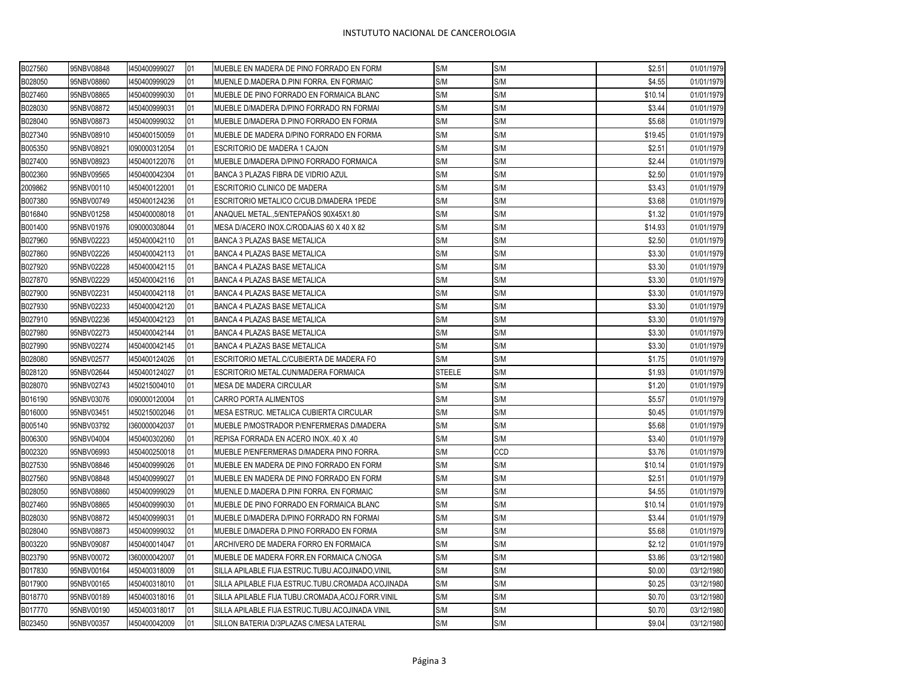| B027560 | 95NBV08848 | 1450400999027 | 101 | MUEBLE EN MADERA DE PINO FORRADO EN FORM           | S/M           | S/M | \$2.51  | 01/01/1979 |
|---------|------------|---------------|-----|----------------------------------------------------|---------------|-----|---------|------------|
| B028050 | 95NBV08860 | 1450400999029 | 01  | MUENLE D.MADERA D.PINI FORRA. EN FORMAIC           | S/M           | S/M | \$4.55  | 01/01/1979 |
| B027460 | 95NBV08865 | 1450400999030 | 01  | MUEBLE DE PINO FORRADO EN FORMAICA BLANC           | S/M           | S/M | \$10.14 | 01/01/1979 |
| B028030 | 95NBV08872 | 1450400999031 | 01  | MUEBLE D/MADERA D/PINO FORRADO RN FORMAI           | S/M           | S/M | \$3.44  | 01/01/1979 |
| B028040 | 95NBV08873 | 1450400999032 | 01  | MUEBLE D/MADERA D.PINO FORRADO EN FORMA            | S/M           | S/M | \$5.68  | 01/01/1979 |
| B027340 | 95NBV08910 | 1450400150059 | 01  | MUEBLE DE MADERA D/PINO FORRADO EN FORMA           | S/M           | S/M | \$19.45 | 01/01/1979 |
| B005350 | 95NBV08921 | 1090000312054 | 01  | ESCRITORIO DE MADERA 1 CAJON                       | S/M           | S/M | \$2.51  | 01/01/1979 |
| B027400 | 95NBV08923 | 1450400122076 | 01  | MUEBLE D/MADERA D/PINO FORRADO FORMAICA            | S/M           | S/M | \$2.44  | 01/01/1979 |
| B002360 | 95NBV09565 | 1450400042304 | 01  | BANCA 3 PLAZAS FIBRA DE VIDRIO AZUL                | S/M           | S/M | \$2.50  | 01/01/1979 |
| 2009862 | 95NBV00110 | 1450400122001 | 01  | ESCRITORIO CLINICO DE MADERA                       | S/M           | S/M | \$3.43  | 01/01/1979 |
| B007380 | 95NBV00749 | 1450400124236 | 01  | ESCRITORIO METALICO C/CUB.D/MADERA 1PEDE           | S/M           | S/M | \$3.68  | 01/01/1979 |
| B016840 | 95NBV01258 | 1450400008018 | 01  | ANAQUEL METAL.,5/ENTEPAÑOS 90X45X1.80              | S/M           | S/M | \$1.32  | 01/01/1979 |
| B001400 | 95NBV01976 | 1090000308044 | 01  | MESA D/ACERO INOX.C/RODAJAS 60 X 40 X 82           | S/M           | S/M | \$14.93 | 01/01/1979 |
| B027960 | 95NBV02223 | 1450400042110 | 01  | <b>BANCA 3 PLAZAS BASE METALICA</b>                | S/M           | S/M | \$2.50  | 01/01/1979 |
| B027860 | 95NBV02226 | 1450400042113 | 01  | <b>BANCA 4 PLAZAS BASE METALICA</b>                | S/M           | S/M | \$3.30  | 01/01/1979 |
| B027920 | 95NBV02228 | 1450400042115 | 01  | BANCA 4 PLAZAS BASE METALICA                       | S/M           | S/M | \$3.30  | 01/01/1979 |
| B027870 | 95NBV02229 | 1450400042116 | 01  | BANCA 4 PLAZAS BASE METALICA                       | S/M           | S/M | \$3.30  | 01/01/1979 |
| B027900 | 95NBV02231 | 1450400042118 | 01  | BANCA 4 PLAZAS BASE METALICA                       | S/M           | S/M | \$3.30  | 01/01/1979 |
| B027930 | 95NBV02233 | 1450400042120 | 01  | BANCA 4 PLAZAS BASE METALICA                       | S/M           | S/M | \$3.30  | 01/01/1979 |
| B027910 | 95NBV02236 | 1450400042123 | 01  | BANCA 4 PLAZAS BASE METALICA                       | S/M           | S/M | \$3.30  | 01/01/1979 |
| B027980 | 95NBV02273 | 1450400042144 | 01  | BANCA 4 PLAZAS BASE METALICA                       | S/M           | S/M | \$3.30  | 01/01/1979 |
| B027990 | 95NBV02274 | 1450400042145 | 01  | BANCA 4 PLAZAS BASE METALICA                       | S/M           | S/M | \$3.30  | 01/01/1979 |
| B028080 | 95NBV02577 | 1450400124026 | 01  | ESCRITORIO METAL.C/CUBIERTA DE MADERA FO           | S/M           | S/M | \$1.75  | 01/01/1979 |
| B028120 | 95NBV02644 | 1450400124027 | 01  | ESCRITORIO METAL.CUN/MADERA FORMAICA               | <b>STEELE</b> | S/M | \$1.93  | 01/01/1979 |
| B028070 | 95NBV02743 | 1450215004010 | 01  | <b>MESA DE MADERA CIRCULAR</b>                     | S/M           | S/M | \$1.20  | 01/01/1979 |
| B016190 | 95NBV03076 | 1090000120004 | 01  | CARRO PORTA ALIMENTOS                              | S/M           | S/M | \$5.57  | 01/01/1979 |
| B016000 | 95NBV03451 | 1450215002046 | 01  | MESA ESTRUC. METALICA CUBIERTA CIRCULAR            | S/M           | S/M | \$0.45  | 01/01/1979 |
| B005140 | 95NBV03792 | 1360000042037 | 01  | MUEBLE P/MOSTRADOR P/ENFERMERAS D/MADERA           | S/M           | S/M | \$5.68  | 01/01/1979 |
| B006300 | 95NBV04004 | 1450400302060 | 01  | REPISA FORRADA EN ACERO INOX40 X .40               | S/M           | S/M | \$3.40  | 01/01/1979 |
| B002320 | 95NBV06993 | 1450400250018 | 01  | MUEBLE P/ENFERMERAS D/MADERA PINO FORRA.           | S/M           | CCD | \$3.76  | 01/01/1979 |
| B027530 | 95NBV08846 | 1450400999026 | 01  | MUEBLE EN MADERA DE PINO FORRADO EN FORM           | S/M           | S/M | \$10.14 | 01/01/1979 |
| B027560 | 95NBV08848 | 1450400999027 | 01  | MUEBLE EN MADERA DE PINO FORRADO EN FORM           | S/M           | S/M | \$2.51  | 01/01/1979 |
| B028050 | 95NBV08860 | 1450400999029 | 01  | MUENLE D.MADERA D.PINI FORRA. EN FORMAIC           | S/M           | S/M | \$4.55  | 01/01/1979 |
| B027460 | 95NBV08865 | 1450400999030 | 01  | MUEBLE DE PINO FORRADO EN FORMAICA BLANC           | S/M           | S/M | \$10.14 | 01/01/1979 |
| B028030 | 95NBV08872 | 1450400999031 | 01  | MUEBLE D/MADERA D/PINO FORRADO RN FORMAI           | S/M           | S/M | \$3.44  | 01/01/1979 |
| B028040 | 95NBV08873 | 1450400999032 | 01  | MUEBLE D/MADERA D.PINO FORRADO EN FORMA            | S/M           | S/M | \$5.68  | 01/01/1979 |
| B003220 | 95NBV09087 | 1450400014047 | 01  | ARCHIVERO DE MADERA FORRO EN FORMAICA              | S/M           | S/M | \$2.12  | 01/01/1979 |
| B023790 | 95NBV00072 | 1360000042007 | 01  | MUEBLE DE MADERA FORR.EN FORMAICA C/NOGA           | S/M           | S/M | \$3.86  | 03/12/1980 |
| B017830 | 95NBV00164 | 1450400318009 | 01  | SILLA APILABLE FIJA ESTRUC.TUBU.ACOJINADO, VINIL   | S/M           | S/M | \$0.00  | 03/12/1980 |
| B017900 | 95NBV00165 | 1450400318010 | 01  | SILLA APILABLE FIJA ESTRUC.TUBU.CROMADA ACOJINADA  | S/M           | S/M | \$0.25  | 03/12/1980 |
| B018770 | 95NBV00189 | 1450400318016 | 01  | SILLA APILABLE FIJA TUBU.CROMADA, ACOJ.FORR. VINIL | S/M           | S/M | \$0.70  | 03/12/1980 |
| B017770 | 95NBV00190 | 1450400318017 | 01  | SILLA APILABLE FIJA ESTRUC.TUBU.ACOJINADA VINIL    | S/M           | S/M | \$0.70  | 03/12/1980 |
| B023450 | 95NBV00357 | 1450400042009 | 01  | SILLON BATERIA D/3PLAZAS C/MESA LATERAL            | S/M           | S/M | \$9.04  | 03/12/1980 |
|         |            |               |     |                                                    |               |     |         |            |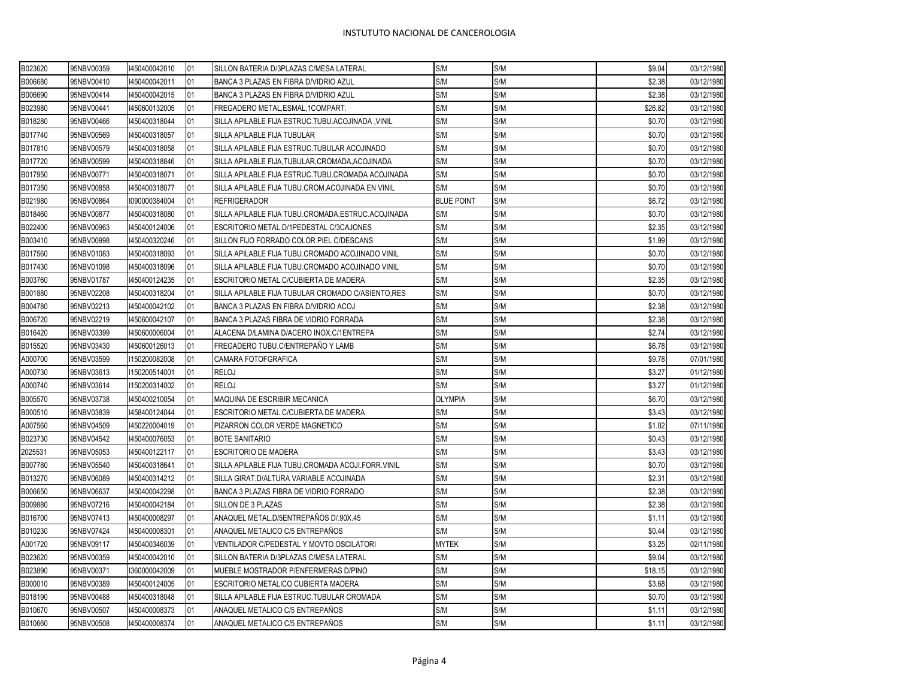| B023620 | 95NBV00359 | 1450400042010 | 01 | SILLON BATERIA D/3PLAZAS C/MESA LATERAL             | S/M               | S/M | \$9.04  | 03/12/1980 |
|---------|------------|---------------|----|-----------------------------------------------------|-------------------|-----|---------|------------|
| B006680 | 95NBV00410 | 1450400042011 | 01 | BANCA 3 PLAZAS EN FIBRA D/VIDRIO AZUL               | S/M               | S/M | \$2.38  | 03/12/1980 |
| B006690 | 95NBV00414 | 1450400042015 | 01 | BANCA 3 PLAZAS EN FIBRA D/VIDRIO AZUL               | S/M               | S/M | \$2.38  | 03/12/1980 |
| B023980 | 95NBV00441 | 1450600132005 | 01 | FREGADERO METAL, ESMAL, 1COMPART.                   | S/M               | S/M | \$26.82 | 03/12/1980 |
| B018280 | 95NBV00466 | 1450400318044 | 01 | SILLA APILABLE FIJA ESTRUC.TUBU.ACOJINADA, VINIL    | S/M               | S/M | \$0.70  | 03/12/1980 |
| B017740 | 95NBV00569 | 1450400318057 | 01 | SILLA APILABLE FIJA TUBULAR                         | S/M               | S/M | \$0.70  | 03/12/1980 |
| B017810 | 95NBV00579 | 1450400318058 | 01 | SILLA APILABLE FIJA ESTRUC.TUBULAR ACOJINADO        | S/M               | S/M | \$0.70  | 03/12/1980 |
| B017720 | 95NBV00599 | 1450400318846 | 01 | SILLA APILABLE FIJA, TUBULAR, CROMADA, ACOJINADA    | S/M               | S/M | \$0.70  | 03/12/1980 |
| B017950 | 95NBV00771 | 1450400318071 | 01 | SILLA APILABLE FIJA ESTRUC.TUBU.CROMADA ACOJINADA   | S/M               | S/M | \$0.70  | 03/12/1980 |
| B017350 | 95NBV00858 | 1450400318077 | 01 | SILLA APILABLE FIJA TUBU.CROM.ACOJINADA EN VINIL    | S/M               | S/M | \$0.70  | 03/12/1980 |
| B021980 | 95NBV00864 | 1090000384004 | 01 | <b>REFRIGERADOR</b>                                 | <b>BLUE POINT</b> | S/M | \$6.72  | 03/12/1980 |
| B018460 | 95NBV00877 | 1450400318080 | 01 | SILLA APILABLE FIJA TUBU.CROMADA, ESTRUC. ACOJINADA | S/M               | S/M | \$0.70  | 03/12/1980 |
| B022400 | 95NBV00963 | 1450400124006 | 01 | ESCRITORIO METAL.D/1PEDESTAL C/3CAJONES             | S/M               | S/M | \$2.35  | 03/12/1980 |
| B003410 | 95NBV00998 | 1450400320246 | 01 | SILLON FIJO FORRADO COLOR PIEL C/DESCANS            | S/M               | S/M | \$1.99  | 03/12/1980 |
| B017560 | 95NBV01083 | 1450400318093 | 01 | SILLA APILABLE FIJA TUBU.CROMADO ACOJINADO VINIL    | S/M               | S/M | \$0.70  | 03/12/1980 |
| B017430 | 95NBV01098 | 1450400318096 | 01 | SILLA APILABLE FIJA TUBU.CROMADO ACOJINADO VINIL    | S/M               | S/M | \$0.70  | 03/12/1980 |
| B003760 | 95NBV01787 | 1450400124235 | 01 | ESCRITORIO METAL.C/CUBIERTA DE MADERA               | S/M               | S/M | \$2.35  | 03/12/1980 |
| B001880 | 95NBV02208 | 1450400318204 | 01 | SILLA APILABLE FIJA TUBULAR CROMADO C/ASIENTO, RES  | S/M               | S/M | \$0.70  | 03/12/1980 |
| B004780 | 95NBV02213 | 1450400042102 | 01 | BANCA 3 PLAZAS EN FIBRA D/VIDRIO ACOJ               | S/M               | S/M | \$2.38  | 03/12/1980 |
| B006720 | 95NBV02219 | 1450600042107 | 01 | BANCA 3 PLAZAS FIBRA DE VIDRIO FORRADA              | S/M               | S/M | \$2.38  | 03/12/1980 |
| B016420 | 95NBV03399 | 1450600006004 | 01 | ALACENA D/LAMINA D/ACERO INOX.C/1ENTREPA            | S/M               | S/M | \$2.74  | 03/12/1980 |
| B015520 | 95NBV03430 | 1450600126013 | 01 | FREGADERO TUBU.C/ENTREPAÑO Y LAMB                   | S/M               | S/M | \$6.78  | 03/12/1980 |
| A000700 | 95NBV03599 | 1150200082008 | 01 | CAMARA FOTOFGRAFICA                                 | S/M               | S/M | \$9.78  | 07/01/1980 |
| A000730 | 95NBV03613 | 1150200514001 | 01 | <b>RELOJ</b>                                        | S/M               | S/M | \$3.27  | 01/12/1980 |
| A000740 | 95NBV03614 | 1150200314002 | 01 | <b>RELOJ</b>                                        | S/M               | S/M | \$3.27  | 01/12/1980 |
| B005570 | 95NBV03738 | 1450400210054 | 01 | MAQUINA DE ESCRIBIR MECANICA                        | <b>OLYMPIA</b>    | S/M | \$6.70  | 03/12/1980 |
| B000510 | 95NBV03839 | 1458400124044 | 01 | ESCRITORIO METAL.C/CUBIERTA DE MADERA               | S/M               | S/M | \$3.43  | 03/12/1980 |
| A007560 | 95NBV04509 | 1450220004019 | 01 | PIZARRON COLOR VERDE MAGNETICO                      | S/M               | S/M | \$1.02  | 07/11/1980 |
| B023730 | 95NBV04542 | 1450400076053 | 01 | <b>BOTE SANITARIO</b>                               | S/M               | S/M | \$0.43  | 03/12/1980 |
| 2025531 | 95NBV05053 | 1450400122117 | 01 | <b>ESCRITORIO DE MADERA</b>                         | S/M               | S/M | \$3.43  | 03/12/1980 |
| B007780 | 95NBV05540 | 1450400318641 | 01 | SILLA APILABLE FIJA TUBU.CROMADA ACOJI.FORR.VINIL   | S/M               | S/M | \$0.70  | 03/12/1980 |
| B013270 | 95NBV06089 | 1450400314212 | 01 | SILLA GIRAT.D/ALTURA VARIABLE ACOJINADA             | S/M               | S/M | \$2.31  | 03/12/1980 |
| B006650 | 95NBV06637 | 1450400042298 | 01 | BANCA 3 PLAZAS FIBRA DE VIDRIO FORRADO              | S/M               | S/M | \$2.38  | 03/12/1980 |
| B009880 | 95NBV07216 | 1450400042184 | 01 | SILLON DE 3 PLAZAS                                  | S/M               | S/M | \$2.38  | 03/12/1980 |
| B016700 | 95NBV07413 | 1450400008297 | 01 | ANAQUEL METAL.D/5ENTREPAÑOS D/.90X.45               | S/M               | S/M | \$1.11  | 03/12/1980 |
| B010230 | 95NBV07424 | 1450400008301 | 01 | ANAQUEL METALICO C/5 ENTREPAÑOS                     | S/M               | S/M | \$0.44  | 03/12/1980 |
| A001720 | 95NBV09117 | 1450400346039 | 01 | VENTILADOR C/PEDESTAL Y MOVTO.OSCILATORI            | <b>MYTEK</b>      | S/M | \$3.25  | 02/11/1980 |
| B023620 | 95NBV00359 | 1450400042010 | 01 | SILLON BATERIA D/3PLAZAS C/MESA LATERAL             | S/M               | S/M | \$9.04  | 03/12/1980 |
| B023890 | 95NBV00371 | 1360000042009 | 01 | MUEBLE MOSTRADOR P/ENFERMERAS D/PINO                | S/M               | S/M | \$18.15 | 03/12/1980 |
| B000010 | 95NBV00389 | 1450400124005 | 01 | ESCRITORIO METALICO CUBIERTA MADERA                 | S/M               | S/M | \$3.68  | 03/12/1980 |
| B018190 | 95NBV00488 | 1450400318048 | 01 | SILLA APILABLE FIJA ESTRUC.TUBULAR CROMADA          | S/M               | S/M | \$0.70  | 03/12/1980 |
| B010670 | 95NBV00507 | 1450400008373 | 01 | ANAQUEL METALICO C/5 ENTREPAÑOS                     | S/M               | S/M | \$1.11  | 03/12/1980 |
| B010660 | 95NBV00508 | 1450400008374 | 01 | ANAQUEL METALICO C/5 ENTREPAÑOS                     | S/M               | S/M | \$1.11  | 03/12/1980 |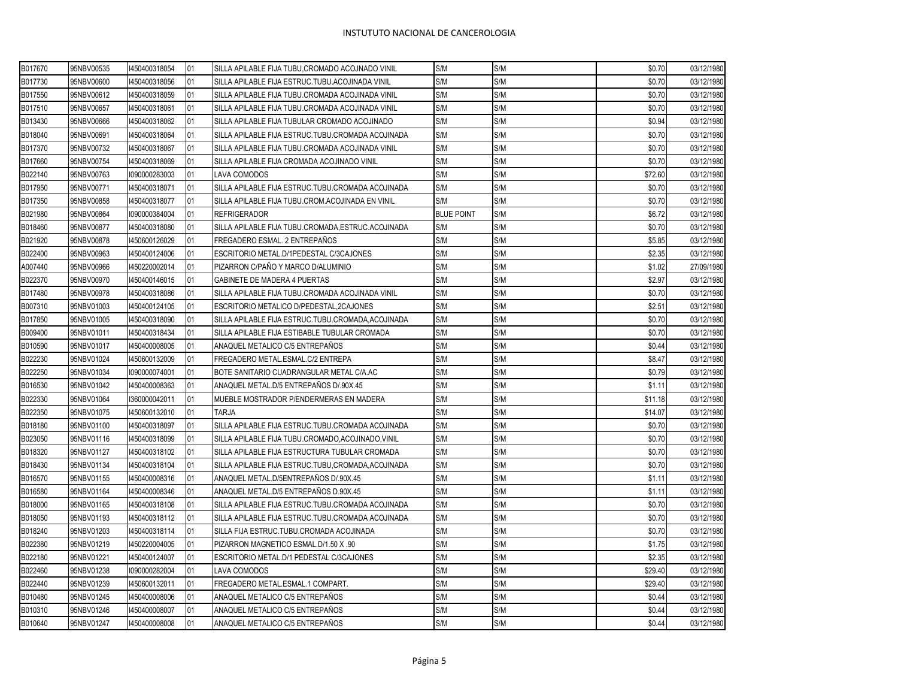| B017670 | 95NBV00535 | 1450400318054 | 01 | SILLA APILABLE FIJA TUBU, CROMADO ACOJNADO VINIL   | S/M               | S/M | \$0.70  | 03/12/1980 |
|---------|------------|---------------|----|----------------------------------------------------|-------------------|-----|---------|------------|
| B017730 | 95NBV00600 | 1450400318056 | 01 | SILLA APILABLE FIJA ESTRUC.TUBU.ACOJINADA VINIL    | S/M               | S/M | \$0.70  | 03/12/1980 |
| B017550 | 95NBV00612 | 1450400318059 | 01 | SILLA APILABLE FIJA TUBU.CROMADA ACOJINADA VINIL   | S/M               | S/M | \$0.70  | 03/12/1980 |
| B017510 | 95NBV00657 | 1450400318061 | 01 | SILLA APILABLE FIJA TUBU.CROMADA ACOJINADA VINIL   | S/M               | S/M | \$0.70  | 03/12/1980 |
| B013430 | 95NBV00666 | 1450400318062 | 01 | SILLA APILABLE FIJA TUBULAR CROMADO ACOJINADO      | S/M               | S/M | \$0.94  | 03/12/1980 |
| B018040 | 95NBV00691 | 1450400318064 | 01 | SILLA APILABLE FIJA ESTRUC.TUBU.CROMADA ACOJINADA  | S/M               | S/M | \$0.70  | 03/12/1980 |
| B017370 | 95NBV00732 | 1450400318067 | 01 | SILLA APILABLE FIJA TUBU.CROMADA ACOJINADA VINIL   | S/M               | S/M | \$0.70  | 03/12/1980 |
| B017660 | 95NBV00754 | 1450400318069 | 01 | SILLA APILABLE FIJA CROMADA ACOJINADO VINIL        | S/M               | S/M | \$0.70  | 03/12/1980 |
| B022140 | 95NBV00763 | 1090000283003 | 01 | LAVA COMODOS                                       | S/M               | S/M | \$72.60 | 03/12/1980 |
| B017950 | 95NBV00771 | 1450400318071 | 01 | SILLA APILABLE FIJA ESTRUC.TUBU.CROMADA ACOJINADA  | S/M               | S/M | \$0.70  | 03/12/1980 |
| B017350 | 95NBV00858 | 1450400318077 | 01 | SILLA APILABLE FIJA TUBU.CROM.ACOJINADA EN VINIL   | S/M               | S/M | \$0.70  | 03/12/1980 |
| B021980 | 95NBV00864 | 1090000384004 | 01 | <b>REFRIGERADOR</b>                                | <b>BLUE POINT</b> | S/M | \$6.72  | 03/12/1980 |
| B018460 | 95NBV00877 | 1450400318080 | 01 | SILLA APILABLE FIJA TUBU.CROMADA, ESTRUC.ACOJINADA | S/M               | S/M | \$0.70  | 03/12/1980 |
| B021920 | 95NBV00878 | 1450600126029 | 01 | FREGADERO ESMAL. 2 ENTREPAÑOS                      | S/M               | S/M | \$5.85  | 03/12/1980 |
| B022400 | 95NBV00963 | 1450400124006 | 01 | ESCRITORIO METAL.D/1PEDESTAL C/3CAJONES            | S/M               | S/M | \$2.35  | 03/12/1980 |
| A007440 | 95NBV00966 | 1450220002014 | 01 | PIZARRON C/PAÑO Y MARCO D/ALUMINIO                 | S/M               | S/M | \$1.02  | 27/09/1980 |
| B022370 | 95NBV00970 | 1450400146015 | 01 | <b>GABINETE DE MADERA 4 PUERTAS</b>                | S/M               | S/M | \$2.97  | 03/12/1980 |
| B017480 | 95NBV00978 | 1450400318086 | 01 | SILLA APILABLE FIJA TUBU.CROMADA ACOJINADA VINIL   | S/M               | S/M | \$0.70  | 03/12/1980 |
| B007310 | 95NBV01003 | 1450400124105 | 01 | <b>ESCRITORIO METALICO D/PEDESTAL, 2CAJONES</b>    | S/M               | S/M | \$2.51  | 03/12/1980 |
| B017850 | 95NBV01005 | 1450400318090 | 01 | SILLA APILABLE FIJA ESTRUC.TUBU.CROMADA, ACOJINADA | S/M               | S/M | \$0.70  | 03/12/1980 |
| B009400 | 95NBV01011 | 1450400318434 | 01 | SILLA APILABLE FIJA ESTIBABLE TUBULAR CROMADA      | S/M               | S/M | \$0.70  | 03/12/1980 |
| B010590 | 95NBV01017 | 1450400008005 | 01 | ANAQUEL METALICO C/5 ENTREPAÑOS                    | S/M               | S/M | \$0.44  | 03/12/1980 |
| B022230 | 95NBV01024 | 1450600132009 | 01 | FREGADERO METAL.ESMAL.C/2 ENTREPA                  | S/M               | S/M | \$8.47  | 03/12/1980 |
| B022250 | 95NBV01034 | 1090000074001 | 01 | BOTE SANITARIO CUADRANGULAR METAL C/A.AC           | S/M               | S/M | \$0.79  | 03/12/1980 |
| B016530 | 95NBV01042 | 1450400008363 | 01 | ANAQUEL METAL.D/5 ENTREPAÑOS D/.90X.45             | S/M               | S/M | \$1.11  | 03/12/1980 |
| B022330 | 95NBV01064 | 1360000042011 | 01 | MUEBLE MOSTRADOR P/ENDERMERAS EN MADERA            | S/M               | S/M | \$11.18 | 03/12/1980 |
| B022350 | 95NBV01075 | 1450600132010 | 01 | TARJA                                              | S/M               | S/M | \$14.07 | 03/12/1980 |
| B018180 | 95NBV01100 | 1450400318097 | 01 | SILLA APILABLE FIJA ESTRUC.TUBU.CROMADA ACOJINADA  | S/M               | S/M | \$0.70  | 03/12/1980 |
| B023050 | 95NBV01116 | 1450400318099 | 01 | SILLA APILABLE FIJA TUBU.CROMADO, ACOJINADO, VINIL | S/M               | S/M | \$0.70  | 03/12/1980 |
| B018320 | 95NBV01127 | 1450400318102 | 01 | SILLA APILABLE FIJA ESTRUCTURA TUBULAR CROMADA     | S/M               | S/M | \$0.70  | 03/12/1980 |
| B018430 | 95NBV01134 | 1450400318104 | 01 | SILLA APILABLE FIJA ESTRUC.TUBU,CROMADA,ACOJINADA  | S/M               | S/M | \$0.70  | 03/12/1980 |
| B016570 | 95NBV01155 | 1450400008316 | 01 | ANAQUEL METAL.D/5ENTREPAÑOS D/.90X.45              | S/M               | S/M | \$1.11  | 03/12/1980 |
| B016580 | 95NBV01164 | 1450400008346 | 01 | ANAQUEL METAL.D/5 ENTREPAÑOS D.90X.45              | S/M               | S/M | \$1.11  | 03/12/1980 |
| B018000 | 95NBV01165 | 1450400318108 | 01 | SILLA APILABLE FIJA ESTRUC.TUBU.CROMADA ACOJINADA  | S/M               | S/M | \$0.70  | 03/12/1980 |
| B018050 | 95NBV01193 | 1450400318112 | 01 | SILLA APILABLE FIJA ESTRUC.TUBU.CROMADA ACOJINADA  | S/M               | S/M | \$0.70  | 03/12/1980 |
| B018240 | 95NBV01203 | 1450400318114 | 01 | SILLA FIJA ESTRUC.TUBU.CROMADA ACOJINADA           | S/M               | S/M | \$0.70  | 03/12/1980 |
| B022380 | 95NBV01219 | 1450220004005 | 01 | PIZARRON MAGNETICO ESMAL.D/1.50 X .90              | S/M               | S/M | \$1.75  | 03/12/1980 |
| B022180 | 95NBV01221 | 1450400124007 | 01 | ESCRITORIO METAL.D/1 PEDESTAL C/3CAJONES           | S/M               | S/M | \$2.35  | 03/12/1980 |
| B022460 | 95NBV01238 | 1090000282004 | 01 | LAVA COMODOS                                       | S/M               | S/M | \$29.40 | 03/12/1980 |
| B022440 | 95NBV01239 | 1450600132011 | 01 | FREGADERO METAL.ESMAL.1 COMPART.                   | S/M               | S/M | \$29.40 | 03/12/1980 |
| B010480 | 95NBV01245 | 1450400008006 | 01 | ANAQUEL METALICO C/5 ENTREPAÑOS                    | S/M               | S/M | \$0.44  | 03/12/1980 |
| B010310 | 95NBV01246 | 1450400008007 | 01 | ANAQUEL METALICO C/5 ENTREPAÑOS                    | S/M               | S/M | \$0.44  | 03/12/1980 |
| B010640 | 95NBV01247 | 1450400008008 | 01 | <b>IANAQUEL METALICO C/5 ENTREPAÑOS</b>            | S/M               | S/M | \$0.44  | 03/12/1980 |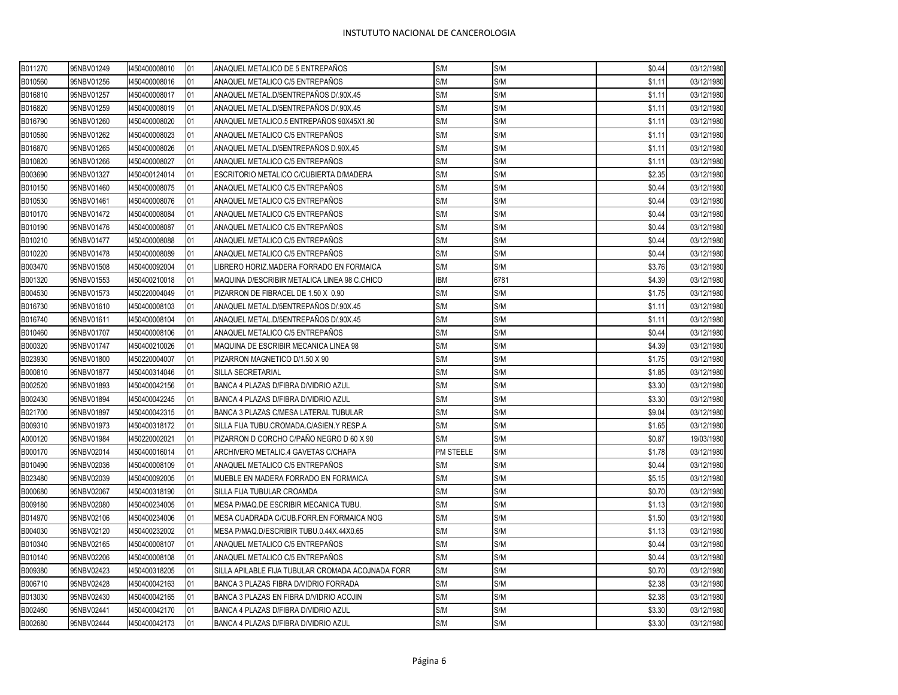| B011270 | 95NBV01249 | 1450400008010 | 01 | ANAQUEL METALICO DE 5 ENTREPAÑOS                  | S/M        | S/M  | \$0.44 | 03/12/1980 |
|---------|------------|---------------|----|---------------------------------------------------|------------|------|--------|------------|
| B010560 | 95NBV01256 | 1450400008016 | 01 | ANAQUEL METALICO C/5 ENTREPAÑOS                   | S/M        | S/M  | \$1.11 | 03/12/1980 |
| B016810 | 95NBV01257 | 1450400008017 | 01 | ANAQUEL METAL.D/5ENTREPAÑOS D/.90X.45             | S/M        | S/M  | \$1.11 | 03/12/1980 |
| B016820 | 95NBV01259 | 1450400008019 | 01 | ANAQUEL METAL.D/5ENTREPAÑOS D/.90X.45             | S/M        | S/M  | \$1.11 | 03/12/1980 |
| B016790 | 95NBV01260 | 1450400008020 | 01 | ANAQUEL METALICO.5 ENTREPAÑOS 90X45X1.80          | S/M        | S/M  | \$1.11 | 03/12/1980 |
| B010580 | 95NBV01262 | 1450400008023 | 01 | ANAQUEL METALICO C/5 ENTREPAÑOS                   | S/M        | S/M  | \$1.11 | 03/12/1980 |
| B016870 | 95NBV01265 | 1450400008026 | 01 | ANAQUEL METAL.D/5ENTREPAÑOS D.90X.45              | S/M        | S/M  | \$1.11 | 03/12/1980 |
| B010820 | 95NBV01266 | 1450400008027 | 01 | ANAQUEL METALICO C/5 ENTREPAÑOS                   | S/M        | S/M  | \$1.11 | 03/12/1980 |
| B003690 | 95NBV01327 | 1450400124014 | 01 | ESCRITORIO METALICO C/CUBIERTA D/MADERA           | S/M        | S/M  | \$2.35 | 03/12/1980 |
| B010150 | 95NBV01460 | 1450400008075 | 01 | ANAQUEL METALICO C/5 ENTREPAÑOS                   | S/M        | S/M  | \$0.44 | 03/12/1980 |
| B010530 | 95NBV01461 | 1450400008076 | 01 | ANAQUEL METALICO C/5 ENTREPAÑOS                   | S/M        | S/M  | \$0.44 | 03/12/1980 |
| B010170 | 95NBV01472 | 1450400008084 | 01 | ANAQUEL METALICO C/5 ENTREPAÑOS                   | S/M        | S/M  | \$0.44 | 03/12/1980 |
| B010190 | 95NBV01476 | 1450400008087 | 01 | ANAQUEL METALICO C/5 ENTREPAÑOS                   | S/M        | S/M  | \$0.44 | 03/12/1980 |
| B010210 | 95NBV01477 | 1450400008088 | 01 | ANAQUEL METALICO C/5 ENTREPAÑOS                   | S/M        | S/M  | \$0.44 | 03/12/1980 |
| B010220 | 95NBV01478 | 1450400008089 | 01 | ANAQUEL METALICO C/5 ENTREPAÑOS                   | S/M        | S/M  | \$0.44 | 03/12/1980 |
| B003470 | 95NBV01508 | 1450400092004 | 01 | LIBRERO HORIZ.MADERA FORRADO EN FORMAICA          | S/M        | S/M  | \$3.76 | 03/12/1980 |
| B001320 | 95NBV01553 | 1450400210018 | 01 | MAQUINA D/ESCRIBIR METALICA LINEA 98 C.CHICO      | <b>IBM</b> | 6781 | \$4.39 | 03/12/1980 |
| B004530 | 95NBV01573 | 1450220004049 | 01 | PIZARRON DE FIBRACEL DE 1.50 X 0.90               | S/M        | S/M  | \$1.75 | 03/12/1980 |
| B016730 | 95NBV01610 | 1450400008103 | 01 | ANAQUEL METAL.D/5ENTREPAÑOS D/.90X.45             | S/M        | S/M  | \$1.11 | 03/12/1980 |
| B016740 | 95NBV01611 | 1450400008104 | 01 | ANAQUEL METAL.D/5ENTREPAÑOS D/.90X.45             | S/M        | S/M  | \$1.11 | 03/12/1980 |
| B010460 | 95NBV01707 | 1450400008106 | 01 | ANAQUEL METALICO C/5 ENTREPAÑOS                   | S/M        | S/M  | \$0.44 | 03/12/1980 |
| B000320 | 95NBV01747 | 1450400210026 | 01 | MAQUINA DE ESCRIBIR MECANICA LINEA 98             | S/M        | S/M  | \$4.39 | 03/12/1980 |
| B023930 | 95NBV01800 | 1450220004007 | 01 | PIZARRON MAGNETICO D/1.50 X 90                    | S/M        | S/M  | \$1.75 | 03/12/1980 |
| B000810 | 95NBV01877 | 1450400314046 | 01 | SILLA SECRETARIAL                                 | S/M        | S/M  | \$1.85 | 03/12/1980 |
| B002520 | 95NBV01893 | 1450400042156 | 01 | BANCA 4 PLAZAS D/FIBRA D/VIDRIO AZUL              | S/M        | S/M  | \$3.30 | 03/12/1980 |
| B002430 | 95NBV01894 | 1450400042245 | 01 | BANCA 4 PLAZAS D/FIBRA D/VIDRIO AZUL              | S/M        | S/M  | \$3.30 | 03/12/1980 |
| B021700 | 95NBV01897 | 1450400042315 | 01 | BANCA 3 PLAZAS C/MESA LATERAL TUBULAR             | S/M        | S/M  | \$9.04 | 03/12/1980 |
| B009310 | 95NBV01973 | 1450400318172 | 01 | SILLA FIJA TUBU.CROMADA.C/ASIEN.Y RESP.A          | S/M        | S/M  | \$1.65 | 03/12/1980 |
| A000120 | 95NBV01984 | 1450220002021 | 01 | PIZARRON D CORCHO C/PAÑO NEGRO D 60 X 90          | S/M        | S/M  | \$0.87 | 19/03/1980 |
| B000170 | 95NBV02014 | 1450400016014 | 01 | ARCHIVERO METALIC.4 GAVETAS C/CHAPA               | PM STEELE  | S/M  | \$1.78 | 03/12/1980 |
| B010490 | 95NBV02036 | 1450400008109 | 01 | ANAQUEL METALICO C/5 ENTREPAÑOS                   | S/M        | S/M  | \$0.44 | 03/12/1980 |
| B023480 | 95NBV02039 | 1450400092005 | 01 | MUEBLE EN MADERA FORRADO EN FORMAICA              | S/M        | S/M  | \$5.15 | 03/12/1980 |
| B000680 | 95NBV02067 | 1450400318190 | 01 | SILLA FIJA TUBULAR CROAMDA                        | S/M        | S/M  | \$0.70 | 03/12/1980 |
| B009180 | 95NBV02080 | 1450400234005 | 01 | MESA P/MAQ.DE ESCRIBIR MECANICA TUBU.             | S/M        | S/M  | \$1.13 | 03/12/1980 |
| B014970 | 95NBV02106 | 1450400234006 | 01 | MESA CUADRADA C/CUB.FORR.EN FORMAICA NOG          | S/M        | S/M  | \$1.50 | 03/12/1980 |
| B004030 | 95NBV02120 | 1450400232002 | 01 | MESA P/MAQ.D/ESCRIBIR TUBU.0.44X.44X0.65          | S/M        | S/M  | \$1.13 | 03/12/1980 |
| B010340 | 95NBV02165 | 1450400008107 | 01 | ANAQUEL METALICO C/5 ENTREPAÑOS                   | S/M        | S/M  | \$0.44 | 03/12/1980 |
| B010140 | 95NBV02206 | 1450400008108 | 01 | ANAQUEL METALICO C/5 ENTREPAÑOS                   | S/M        | S/M  | \$0.44 | 03/12/1980 |
| B009380 | 95NBV02423 | 1450400318205 | 01 | SILLA APILABLE FIJA TUBULAR CROMADA ACOJNADA FORR | S/M        | S/M  | \$0.70 | 03/12/1980 |
| B006710 | 95NBV02428 | 1450400042163 | 01 | BANCA 3 PLAZAS FIBRA D/VIDRIO FORRADA             | S/M        | S/M  | \$2.38 | 03/12/1980 |
| B013030 | 95NBV02430 | 1450400042165 | 01 | BANCA 3 PLAZAS EN FIBRA D/VIDRIO ACOJIN           | S/M        | S/M  | \$2.38 | 03/12/1980 |
| B002460 | 95NBV02441 | 1450400042170 | 01 | BANCA 4 PLAZAS D/FIBRA D/VIDRIO AZUL              | S/M        | S/M  | \$3.30 | 03/12/1980 |
| B002680 | 95NBV02444 | 1450400042173 | 01 | BANCA 4 PLAZAS D/FIBRA D/VIDRIO AZUL              | S/M        | S/M  | \$3.30 | 03/12/1980 |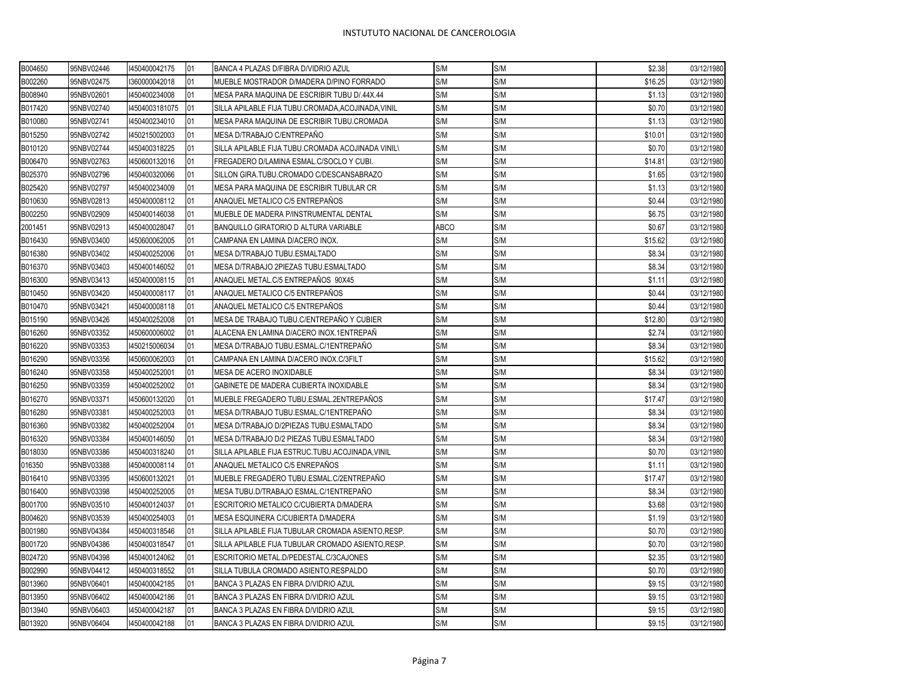| B004650 | 95NBV02446 | 1450400042175  | 01 | BANCA 4 PLAZAS D/FIBRA D/VIDRIO AZUL               | S/M         | S/M | \$2.38  | 03/12/1980 |
|---------|------------|----------------|----|----------------------------------------------------|-------------|-----|---------|------------|
| B002260 | 95NBV02475 | 1360000042018  | 01 | MUEBLE MOSTRADOR D/MADERA D/PINO FORRADO           | S/M         | S/M | \$16.25 | 03/12/1980 |
| B008940 | 95NBV02601 | 1450400234008  | 01 | MESA PARA MAQUINA DE ESCRIBIR TUBU D/.44X.44       | S/M         | S/M | \$1.13  | 03/12/1980 |
| B017420 | 95NBV02740 | 14504003181075 | 01 | SILLA APILABLE FIJA TUBU.CROMADA, ACOJINADA, VINIL | S/M         | S/M | \$0.70  | 03/12/1980 |
| B010080 | 95NBV02741 | 1450400234010  | 01 | MESA PARA MAQUINA DE ESCRIBIR TUBU.CROMADA         | S/M         | S/M | \$1.13  | 03/12/1980 |
| B015250 | 95NBV02742 | 1450215002003  | 01 | MESA D/TRABAJO C/ENTREPAÑO                         | S/M         | S/M | \$10.01 | 03/12/1980 |
| B010120 | 95NBV02744 | 1450400318225  | 01 | SILLA APILABLE FIJA TUBU.CROMADA ACOJINADA VINIL\  | S/M         | S/M | \$0.70  | 03/12/1980 |
| B006470 | 95NBV02763 | 1450600132016  | 01 | FREGADERO D/LAMINA ESMAL.C/SOCLO Y CUBI.           | S/M         | S/M | \$14.81 | 03/12/1980 |
| B025370 | 95NBV02796 | 1450400320066  | 01 | SILLON GIRA.TUBU.CROMADO C/DESCANSABRAZO           | S/M         | S/M | \$1.65  | 03/12/1980 |
| B025420 | 95NBV02797 | 1450400234009  | 01 | MESA PARA MAQUINA DE ESCRIBIR TUBULAR CR           | S/M         | S/M | \$1.13  | 03/12/1980 |
| B010630 | 95NBV02813 | 1450400008112  | 01 | ANAQUEL METALICO C/5 ENTREPAÑOS                    | S/M         | S/M | \$0.44  | 03/12/1980 |
| B002250 | 95NBV02909 | 1450400146038  | 01 | MUEBLE DE MADERA P/INSTRUMENTAL DENTAL             | S/M         | S/M | \$6.75  | 03/12/1980 |
| 2001451 | 95NBV02913 | 1450400028047  | 01 | BANQUILLO GIRATORIO D ALTURA VARIABLE              | <b>ABCO</b> | S/M | \$0.67  | 03/12/1980 |
| B016430 | 95NBV03400 | 1450600062005  | 01 | CAMPANA EN LAMINA D/ACERO INOX.                    | S/M         | S/M | \$15.62 | 03/12/1980 |
| B016380 | 95NBV03402 | 1450400252006  | 01 | MESA D/TRABAJO TUBU.ESMALTADO                      | S/M         | S/M | \$8.34  | 03/12/1980 |
| B016370 | 95NBV03403 | 1450400146052  | 01 | MESA D/TRABAJO 2PIEZAS TUBU.ESMALTADO              | S/M         | S/M | \$8.34  | 03/12/1980 |
| B016300 | 95NBV03413 | 1450400008115  | 01 | ANAQUEL METAL.C/5 ENTREPAÑOS 90X45                 | S/M         | S/M | \$1.11  | 03/12/1980 |
| B010450 | 95NBV03420 | 1450400008117  | 01 | ANAQUEL METALICO C/5 ENTREPAÑOS                    | S/M         | S/M | \$0.44  | 03/12/1980 |
| B010470 | 95NBV03421 | 1450400008118  | 01 | ANAQUEL METALICO C/5 ENTREPAÑOS                    | S/M         | S/M | \$0.44  | 03/12/1980 |
| B015190 | 95NBV03426 | 1450400252008  | 01 | MESA DE TRABAJO TUBU.C/ENTREPAÑO Y CUBIER          | S/M         | S/M | \$12.80 | 03/12/1980 |
| B016260 | 95NBV03352 | 1450600006002  | 01 | ALACENA EN LAMINA D/ACERO INOX.1ENTREPAÑ           | S/M         | S/M | \$2.74  | 03/12/1980 |
| B016220 | 95NBV03353 | 1450215006034  | 01 | MESA D/TRABAJO TUBU.ESMAL.C/1ENTREPAÑO             | S/M         | S/M | \$8.34  | 03/12/1980 |
| B016290 | 95NBV03356 | 1450600062003  | 01 | CAMPANA EN LAMINA D/ACERO INOX.C/3FILT             | S/M         | S/M | \$15.62 | 03/12/1980 |
| B016240 | 95NBV03358 | 1450400252001  | 01 | MESA DE ACERO INOXIDABLE                           | S/M         | S/M | \$8.34  | 03/12/1980 |
| B016250 | 95NBV03359 | 1450400252002  | 01 | GABINETE DE MADERA CUBIERTA INOXIDABLE             | S/M         | S/M | \$8.34  | 03/12/1980 |
| B016270 | 95NBV03371 | 1450600132020  | 01 | MUEBLE FREGADERO TUBU.ESMAL.2ENTREPAÑOS            | S/M         | S/M | \$17.47 | 03/12/1980 |
| B016280 | 95NBV03381 | 1450400252003  | 01 | MESA D/TRABAJO TUBU.ESMAL.C/1ENTREPAÑO             | S/M         | S/M | \$8.34  | 03/12/1980 |
| B016360 | 95NBV03382 | 1450400252004  | 01 | MESA D/TRABAJO D/2PIEZAS TUBU.ESMALTADO            | S/M         | S/M | \$8.34  | 03/12/1980 |
| B016320 | 95NBV03384 | 1450400146050  | 01 | MESA D/TRABAJO D/2 PIEZAS TUBU.ESMALTADO           | S/M         | S/M | \$8.34  | 03/12/1980 |
| B018030 | 95NBV03386 | 1450400318240  | 01 | SILLA APILABLE FIJA ESTRUC.TUBU.ACOJINADA, VINIL   | S/M         | S/M | \$0.70  | 03/12/1980 |
| 016350  | 95NBV03388 | 1450400008114  | 01 | ANAQUEL METALICO C/5 ENREPAÑOS                     | S/M         | S/M | \$1.11  | 03/12/1980 |
| B016410 | 95NBV03395 | 1450600132021  | 01 | MUEBLE FREGADERO TUBU.ESMAL.C/2ENTREPAÑO           | S/M         | S/M | \$17.47 | 03/12/1980 |
| B016400 | 95NBV03398 | 1450400252005  | 01 | MESA TUBU.D/TRABAJO ESMAL.C/1ENTREPAÑO             | S/M         | S/M | \$8.34  | 03/12/1980 |
| B001700 | 95NBV03510 | 1450400124037  | 01 | ESCRITORIO METALICO C/CUBIERTA D/MADERA            | S/M         | S/M | \$3.68  | 03/12/1980 |
| B004620 | 95NBV03539 | 1450400254003  | 01 | MESA ESQUINERA C/CUBIERTA D/MADERA                 | S/M         | S/M | \$1.19  | 03/12/1980 |
| B001980 | 95NBV04384 | 1450400318546  | 01 | SILLA APILABLE FIJA TUBULAR CROMADA ASIENTO, RESP. | S/M         | S/M | \$0.70  | 03/12/1980 |
| B001720 | 95NBV04386 | 1450400318547  | 01 | SILLA APILABLE FIJA TUBULAR CROMADO ASIENTO, RESP. | S/M         | S/M | \$0.70  | 03/12/1980 |
| B024720 | 95NBV04398 | 1450400124062  | 01 | ESCRITORIO METAL.D/PEDESTAL.C/3CAJONES             | S/M         | S/M | \$2.35  | 03/12/1980 |
| B002990 | 95NBV04412 | 1450400318552  | 01 | SILLA TUBULA CROMADO ASIENTO, RESPALDO             | S/M         | S/M | \$0.70  | 03/12/1980 |
| B013960 | 95NBV06401 | 1450400042185  | 01 | BANCA 3 PLAZAS EN FIBRA D/VIDRIO AZUL              | S/M         | S/M | \$9.15  | 03/12/1980 |
| B013950 | 95NBV06402 | 1450400042186  | 01 | BANCA 3 PLAZAS EN FIBRA D/VIDRIO AZUL              | S/M         | S/M | \$9.15  | 03/12/1980 |
| B013940 | 95NBV06403 | 1450400042187  | 01 | BANCA 3 PLAZAS EN FIBRA D/VIDRIO AZUL              | S/M         | S/M | \$9.15  | 03/12/1980 |
| B013920 | 95NBV06404 | 1450400042188  | 01 | BANCA 3 PLAZAS EN FIBRA D/VIDRIO AZUL              | S/M         | S/M | \$9.15  | 03/12/1980 |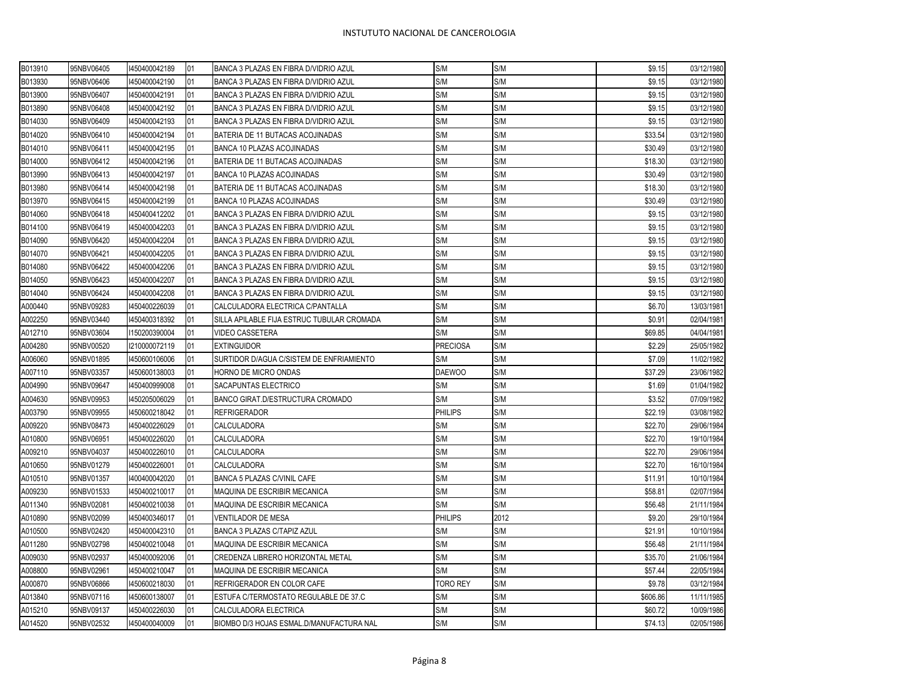$\mathbf \tau$ 

| B013910 | 95NBV06405 | 1450400042189 | IO1 | BANCA 3 PLAZAS EN FIBRA D/VIDRIO AZUL      | S/M             | S/M  | \$9.15   | 03/12/1980 |
|---------|------------|---------------|-----|--------------------------------------------|-----------------|------|----------|------------|
| B013930 | 95NBV06406 | 1450400042190 | 01  | BANCA 3 PLAZAS EN FIBRA D/VIDRIO AZUL      | S/M             | S/M  | \$9.15   | 03/12/1980 |
| B013900 | 95NBV06407 | 450400042191  | 01  | BANCA 3 PLAZAS EN FIBRA D/VIDRIO AZUL      | S/M             | S/M  | \$9.15   | 03/12/1980 |
| B013890 | 95NBV06408 | 1450400042192 | 01  | BANCA 3 PLAZAS EN FIBRA D/VIDRIO AZUL      | S/M             | S/M  | \$9.15   | 03/12/1980 |
| B014030 | 95NBV06409 | 1450400042193 | 01  | BANCA 3 PLAZAS EN FIBRA D/VIDRIO AZUL      | S/M             | S/M  | \$9.15   | 03/12/1980 |
| B014020 | 95NBV06410 | 1450400042194 | 01  | BATERIA DE 11 BUTACAS ACOJINADAS           | S/M             | S/M  | \$33.54  | 03/12/1980 |
| B014010 | 95NBV06411 | 1450400042195 | 01  | BANCA 10 PLAZAS ACOJINADAS                 | S/M             | S/M  | \$30.49  | 03/12/1980 |
| B014000 | 95NBV06412 | 1450400042196 | 01  | BATERIA DE 11 BUTACAS ACOJINADAS           | S/M             | S/M  | \$18.30  | 03/12/1980 |
| B013990 | 95NBV06413 | 1450400042197 | 01  | BANCA 10 PLAZAS ACOJINADAS                 | S/M             | S/M  | \$30.49  | 03/12/1980 |
| B013980 | 95NBV06414 | 1450400042198 | 01  | BATERIA DE 11 BUTACAS ACOJINADAS           | S/M             | S/M  | \$18.30  | 03/12/1980 |
| B013970 | 95NBV06415 | 1450400042199 | 01  | BANCA 10 PLAZAS ACOJINADAS                 | S/M             | S/M  | \$30.49  | 03/12/1980 |
| B014060 | 95NBV06418 | 1450400412202 | 01  | BANCA 3 PLAZAS EN FIBRA D/VIDRIO AZUL      | S/M             | S/M  | \$9.15   | 03/12/1980 |
| B014100 | 95NBV06419 | 1450400042203 | 01  | BANCA 3 PLAZAS EN FIBRA D/VIDRIO AZUL      | S/M             | S/M  | \$9.15   | 03/12/1980 |
| B014090 | 95NBV06420 | 1450400042204 | 01  | BANCA 3 PLAZAS EN FIBRA D/VIDRIO AZUL      | S/M             | S/M  | \$9.15   | 03/12/1980 |
| B014070 | 95NBV06421 | 1450400042205 | 01  | BANCA 3 PLAZAS EN FIBRA D/VIDRIO AZUL      | S/M             | S/M  | \$9.15   | 03/12/1980 |
| B014080 | 95NBV06422 | 1450400042206 | 01  | BANCA 3 PLAZAS EN FIBRA D/VIDRIO AZUL      | S/M             | S/M  | \$9.15   | 03/12/1980 |
| B014050 | 95NBV06423 | 1450400042207 | 01  | BANCA 3 PLAZAS EN FIBRA D/VIDRIO AZUL      | S/M             | S/M  | \$9.15   | 03/12/1980 |
| B014040 | 95NBV06424 | 1450400042208 | 01  | BANCA 3 PLAZAS EN FIBRA D/VIDRIO AZUL      | S/M             | S/M  | \$9.15   | 03/12/1980 |
| A000440 | 95NBV09283 | 1450400226039 | 01  | CALCULADORA ELECTRICA C/PANTALLA           | S/M             | S/M  | \$6.70   | 13/03/1981 |
| A002250 | 95NBV03440 | 1450400318392 | 01  | SILLA APILABLE FIJA ESTRUC TUBULAR CROMADA | S/M             | S/M  | \$0.91   | 02/04/1981 |
| A012710 | 95NBV03604 | 1150200390004 | 01  | VIDEO CASSETERA                            | S/M             | S/M  | \$69.85  | 04/04/1981 |
| A004280 | 95NBV00520 | 1210000072119 | 01  | <b>EXTINGUIDOR</b>                         | <b>PRECIOSA</b> | S/M  | \$2.29   | 25/05/1982 |
| A006060 | 95NBV01895 | 1450600106006 | 01  | SURTIDOR D/AGUA C/SISTEM DE ENFRIAMIENTO   | S/M             | S/M  | \$7.09   | 11/02/1982 |
| A007110 | 95NBV03357 | 1450600138003 | 01  | HORNO DE MICRO ONDAS                       | <b>DAEWOO</b>   | S/M  | \$37.29  | 23/06/1982 |
| A004990 | 95NBV09647 | 1450400999008 | 01  | SACAPUNTAS ELECTRICO                       | S/M             | S/M  | \$1.69   | 01/04/1982 |
| A004630 | 95NBV09953 | 1450205006029 | 01  | BANCO GIRAT.D/ESTRUCTURA CROMADO           | S/M             | S/M  | \$3.52   | 07/09/1982 |
| A003790 | 95NBV09955 | 1450600218042 | 01  | <b>REFRIGERADOR</b>                        | <b>PHILIPS</b>  | S/M  | \$22.19  | 03/08/1982 |
| A009220 | 95NBV08473 | 1450400226029 | 01  | CALCULADORA                                | S/M             | S/M  | \$22.70  | 29/06/1984 |
| A010800 | 95NBV06951 | 1450400226020 | 01  | CALCULADORA                                | S/M             | S/M  | \$22.70  | 19/10/1984 |
| A009210 | 95NBV04037 | 1450400226010 | 01  | CALCULADORA                                | S/M             | S/M  | \$22.70  | 29/06/1984 |
| A010650 | 95NBV01279 | 1450400226001 | 01  | CALCULADORA                                | S/M             | S/M  | \$22.70  | 16/10/1984 |
| A010510 | 95NBV01357 | 1400400042020 | 01  | <b>BANCA 5 PLAZAS C/VINIL CAFE</b>         | S/M             | S/M  | \$11.91  | 10/10/1984 |
| A009230 | 95NBV01533 | 1450400210017 | 01  | MAQUINA DE ESCRIBIR MECANICA               | S/M             | S/M  | \$58.81  | 02/07/1984 |
| A011340 | 95NBV02081 | 1450400210038 | 01  | MAQUINA DE ESCRIBIR MECANICA               | S/M             | S/M  | \$56.48  | 21/11/1984 |
| A010890 | 95NBV02099 | 1450400346017 | 01  | VENTILADOR DE MESA                         | <b>PHILIPS</b>  | 2012 | \$9.20   | 29/10/1984 |
| A010500 | 95NBV02420 | 1450400042310 | 01  | BANCA 3 PLAZAS C/TAPIZ AZUL                | S/M             | S/M  | \$21.91  | 10/10/1984 |
| A011280 | 95NBV02798 | 1450400210048 | 01  | MAQUINA DE ESCRIBIR MECANICA               | S/M             | S/M  | \$56.48  | 21/11/1984 |
| A009030 | 95NBV02937 | 1450400092006 | 01  | CREDENZA LIBRERO HORIZONTAL METAL          | S/M             | S/M  | \$35.70  | 21/06/1984 |
| A008800 | 95NBV02961 | 1450400210047 | 01  | MAQUINA DE ESCRIBIR MECANICA               | S/M             | S/M  | \$57.44  | 22/05/1984 |
| A000870 | 95NBV06866 | 1450600218030 | 01  | REFRIGERADOR EN COLOR CAFE                 | <b>TORO REY</b> | S/M  | \$9.78   | 03/12/1984 |
| A013840 | 95NBV07116 | 1450600138007 | 01  | ESTUFA C/TERMOSTATO REGULABLE DE 37.C      | S/M             | S/M  | \$606.86 | 11/11/1985 |
| A015210 | 95NBV09137 | 1450400226030 | 01  | CALCULADORA ELECTRICA                      | S/M             | S/M  | \$60.72  | 10/09/1986 |
| A014520 | 95NBV02532 | 1450400040009 | 01  | BIOMBO D/3 HOJAS ESMAL.D/MANUFACTURA NAL   | S/M             | S/M  | \$74.13  | 02/05/1986 |
|         |            |               |     |                                            |                 |      |          |            |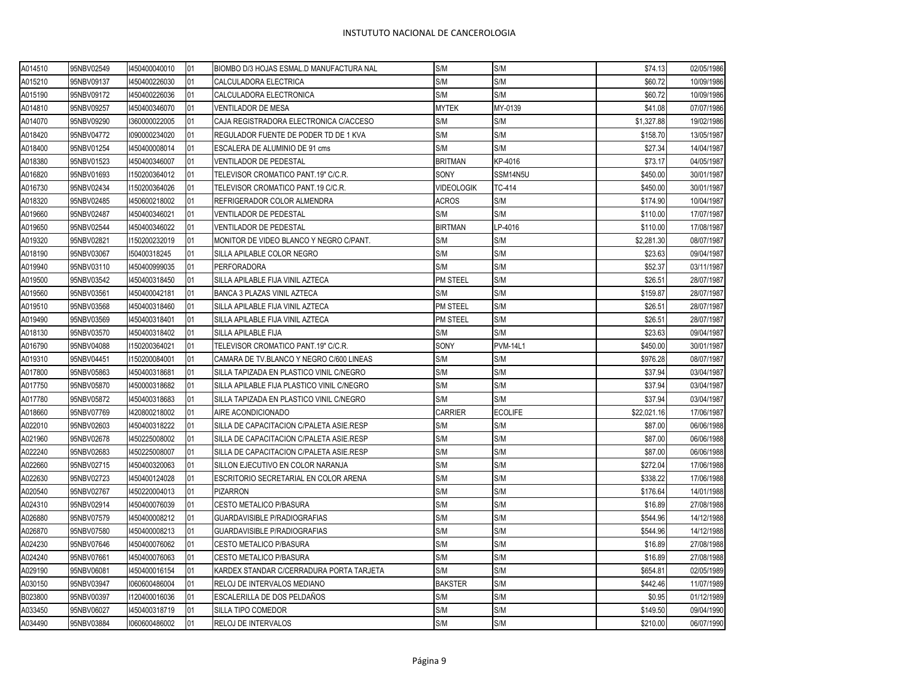| A014510 | 95NBV02549 | 1450400040010 | 01 | BIOMBO D/3 HOJAS ESMAL.D MANUFACTURA NAL   | S/M               | S/M             | \$74.13     | 02/05/1986 |
|---------|------------|---------------|----|--------------------------------------------|-------------------|-----------------|-------------|------------|
| A015210 | 95NBV09137 | 1450400226030 | 01 | CALCULADORA ELECTRICA                      | S/M               | S/M             | \$60.72     | 10/09/1986 |
| A015190 | 95NBV09172 | 1450400226036 | 01 | CALCULADORA ELECTRONICA                    | S/M               | S/M             | \$60.72     | 10/09/1986 |
| A014810 | 95NBV09257 | 1450400346070 | 01 | VENTILADOR DE MESA                         | <b>MYTEK</b>      | MY-0139         | \$41.08     | 07/07/1986 |
| A014070 | 95NBV09290 | 1360000022005 | 01 | CAJA REGISTRADORA ELECTRONICA C/ACCESO     | S/M               | S/M             | \$1,327.88  | 19/02/1986 |
| A018420 | 95NBV04772 | 1090000234020 | 01 | REGULADOR FUENTE DE PODER TD DE 1 KVA      | S/M               | S/M             | \$158.70    | 13/05/1987 |
| A018400 | 95NBV01254 | 1450400008014 | 01 | ESCALERA DE ALUMINIO DE 91 cms             | S/M               | S/M             | \$27.34     | 14/04/1987 |
| A018380 | 95NBV01523 | 1450400346007 | 01 | VENTILADOR DE PEDESTAL                     | <b>BRITMAN</b>    | KP-4016         | \$73.17     | 04/05/1987 |
| A016820 | 95NBV01693 | 1150200364012 | 01 | TELEVISOR CROMATICO PANT.19" C/C.R.        | SONY              | SSM14N5U        | \$450.00    | 30/01/1987 |
| A016730 | 95NBV02434 | 1150200364026 | 01 | TELEVISOR CROMATICO PANT.19 C/C.R.         | <b>VIDEOLOGIK</b> | TC-414          | \$450.00    | 30/01/1987 |
| A018320 | 95NBV02485 | 1450600218002 | 01 | REFRIGERADOR COLOR ALMENDRA                | <b>ACROS</b>      | S/M             | \$174.90    | 10/04/1987 |
| A019660 | 95NBV02487 | 1450400346021 | 01 | VENTILADOR DE PEDESTAL                     | S/M               | S/M             | \$110.00    | 17/07/1987 |
| A019650 | 95NBV02544 | 1450400346022 | 01 | <b>VENTILADOR DE PEDESTAL</b>              | <b>BIRTMAN</b>    | LP-4016         | \$110.00    | 17/08/1987 |
| A019320 | 95NBV02821 | 1150200232019 | 01 | MONITOR DE VIDEO BLANCO Y NEGRO C/PANT.    | S/M               | S/M             | \$2,281.30  | 08/07/1987 |
| A018190 | 95NBV03067 | 150400318245  | 01 | SILLA APILABLE COLOR NEGRO                 | S/M               | S/M             | \$23.63     | 09/04/1987 |
| A019940 | 95NBV03110 | 1450400999035 | 01 | <b>PERFORADORA</b>                         | S/M               | S/M             | \$52.37     | 03/11/1987 |
| A019500 | 95NBV03542 | 1450400318450 | 01 | SILLA APILABLE FIJA VINIL AZTECA           | PM STEEL          | S/M             | \$26.51     | 28/07/1987 |
| A019560 | 95NBV03561 | 1450400042181 | 01 | BANCA 3 PLAZAS VINIL AZTECA                | S/M               | S/M             | \$159.87    | 28/07/1987 |
| A019510 | 95NBV03568 | 1450400318460 | 01 | SILLA APILABLE FIJA VINIL AZTECA           | PM STEEL          | S/M             | \$26.51     | 28/07/1987 |
| A019490 | 95NBV03569 | 1450400318401 | 01 | SILLA APILABLE FIJA VINIL AZTECA           | <b>PM STEEL</b>   | S/M             | \$26.51     | 28/07/1987 |
| A018130 | 95NBV03570 | 1450400318402 | 01 | SILLA APILABLE FIJA                        | S/M               | S/M             | \$23.63     | 09/04/1987 |
| A016790 | 95NBV04088 | 1150200364021 | 01 | TELEVISOR CROMATICO PANT.19" C/C.R.        | SONY              | <b>PVM-14L1</b> | \$450.00    | 30/01/1987 |
| A019310 | 95NBV04451 | 1150200084001 | 01 | CAMARA DE TV.BLANCO Y NEGRO C/600 LINEAS   | S/M               | S/M             | \$976.28    | 08/07/1987 |
| A017800 | 95NBV05863 | 1450400318681 | 01 | SILLA TAPIZADA EN PLASTICO VINIL C/NEGRO   | S/M               | S/M             | \$37.94     | 03/04/1987 |
| A017750 | 95NBV05870 | 1450000318682 | 01 | SILLA APILABLE FIJA PLASTICO VINIL C/NEGRO | S/M               | S/M             | \$37.94     | 03/04/1987 |
| A017780 | 95NBV05872 | 1450400318683 | 01 | SILLA TAPIZADA EN PLASTICO VINIL C/NEGRO   | S/M               | S/M             | \$37.94     | 03/04/1987 |
| A018660 | 95NBV07769 | 1420800218002 | 01 | AIRE ACONDICIONADO                         | CARRIER           | <b>ECOLIFE</b>  | \$22,021.16 | 17/06/1987 |
| A022010 | 95NBV02603 | 1450400318222 | 01 | SILLA DE CAPACITACION C/PALETA ASIE.RESP   | S/M               | S/M             | \$87.00     | 06/06/1988 |
| A021960 | 95NBV02678 | 1450225008002 | 01 | SILLA DE CAPACITACION C/PALETA ASIE.RESP   | S/M               | S/M             | \$87.00     | 06/06/1988 |
| A022240 | 95NBV02683 | 1450225008007 | 01 | SILLA DE CAPACITACION C/PALETA ASIE.RESP   | S/M               | S/M             | \$87.00     | 06/06/1988 |
| A022660 | 95NBV02715 | 1450400320063 | 01 | SILLON EJECUTIVO EN COLOR NARANJA          | S/M               | S/M             | \$272.04    | 17/06/1988 |
| A022630 | 95NBV02723 | 1450400124028 | 01 | ESCRITORIO SECRETARIAL EN COLOR ARENA      | S/M               | S/M             | \$338.22    | 17/06/1988 |
| A020540 | 95NBV02767 | 1450220004013 | 01 | <b>PIZARRON</b>                            | S/M               | S/M             | \$176.64    | 14/01/1988 |
| A024310 | 95NBV02914 | 1450400076039 | 01 | CESTO METALICO P/BASURA                    | S/M               | S/M             | \$16.89     | 27/08/1988 |
| A026880 | 95NBV07579 | 1450400008212 | 01 | GUARDAVISIBLE P/RADIOGRAFIAS               | S/M               | S/M             | \$544.96    | 14/12/1988 |
| A026870 | 95NBV07580 | 1450400008213 | 01 | GUARDAVISIBLE P/RADIOGRAFIAS               | S/M               | S/M             | \$544.96    | 14/12/1988 |
| A024230 | 95NBV07646 | 1450400076062 | 01 | CESTO METALICO P/BASURA                    | S/M               | S/M             | \$16.89     | 27/08/1988 |
| A024240 | 95NBV07661 | 1450400076063 | 01 | CESTO METALICO P/BASURA                    | S/M               | S/M             | \$16.89     | 27/08/1988 |
| A029190 | 95NBV06081 | 1450400016154 | 01 | KARDEX STANDAR C/CERRADURA PORTA TARJETA   | S/M               | S/M             | \$654.81    | 02/05/1989 |
| A030150 | 95NBV03947 | 1060600486004 | 01 | RELOJ DE INTERVALOS MEDIANO                | <b>BAKSTER</b>    | S/M             | \$442.46    | 11/07/1989 |
| B023800 | 95NBV00397 | 1120400016036 | 01 | ESCALERILLA DE DOS PELDAÑOS                | S/M               | S/M             | \$0.95      | 01/12/1989 |
| A033450 | 95NBV06027 | 1450400318719 | 01 | SILLA TIPO COMEDOR                         | S/M               | S/M             | \$149.50    | 09/04/1990 |
| A034490 | 95NBV03884 | 1060600486002 | 01 | RELOJ DE INTERVALOS                        | S/M               | S/M             | \$210.00    | 06/07/1990 |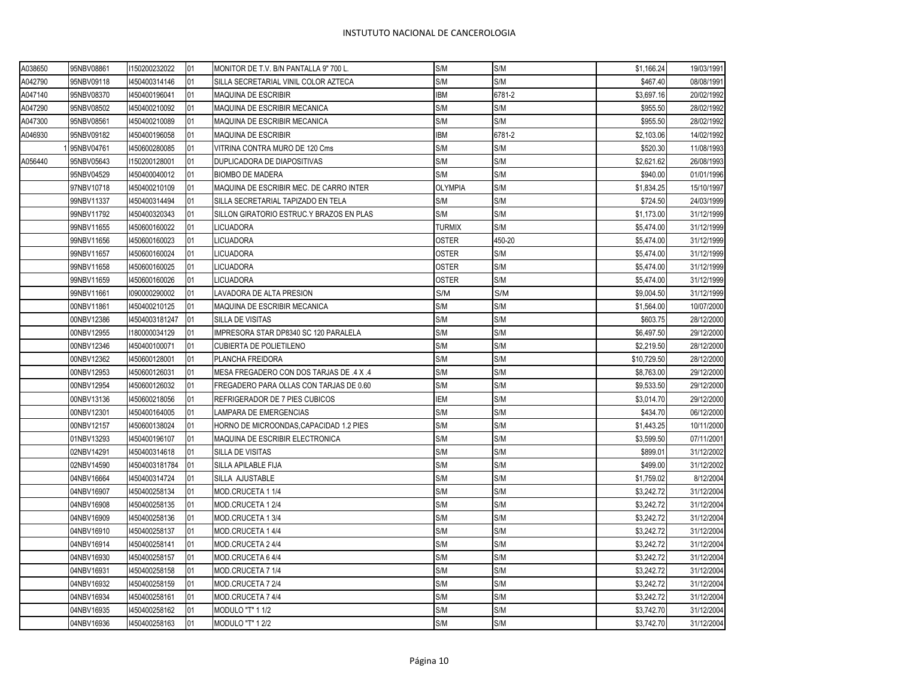| A038650 | 95NBV08861 | 1150200232022  | 01 | MONITOR DE T.V. B/N PANTALLA 9" 700 L.   | S/M            | S/M    | \$1,166.24  | 19/03/1991 |
|---------|------------|----------------|----|------------------------------------------|----------------|--------|-------------|------------|
| A042790 | 95NBV09118 | 1450400314146  | 01 | SILLA SECRETARIAL VINIL COLOR AZTECA     | S/M            | S/M    | \$467.40    | 08/08/1991 |
| A047140 | 95NBV08370 | 1450400196041  | 01 | MAQUINA DE ESCRIBIR                      | <b>IBM</b>     | 6781-2 | \$3,697.16  | 20/02/1992 |
| A047290 | 95NBV08502 | 1450400210092  | 01 | MAQUINA DE ESCRIBIR MECANICA             | S/M            | S/M    | \$955.50    | 28/02/1992 |
| A047300 | 95NBV08561 | 1450400210089  | 01 | MAQUINA DE ESCRIBIR MECANICA             | S/M            | S/M    | \$955.50    | 28/02/1992 |
| A046930 | 95NBV09182 | 1450400196058  | 01 | MAQUINA DE ESCRIBIR                      | <b>IBM</b>     | 6781-2 | \$2,103.06  | 14/02/1992 |
|         | 95NBV04761 | 1450600280085  | 01 | VITRINA CONTRA MURO DE 120 Cms           | S/M            | S/M    | \$520.30    | 11/08/1993 |
| A056440 | 95NBV05643 | 1150200128001  | 01 | DUPLICADORA DE DIAPOSITIVAS              | S/M            | S/M    | \$2,621.62  | 26/08/1993 |
|         | 95NBV04529 | 1450400040012  | 01 | <b>BIOMBO DE MADERA</b>                  | S/M            | S/M    | \$940.00    | 01/01/1996 |
|         | 97NBV10718 | 1450400210109  | 01 | MAQUINA DE ESCRIBIR MEC. DE CARRO INTER  | <b>OLYMPIA</b> | S/M    | \$1,834.25  | 15/10/1997 |
|         | 99NBV11337 | 1450400314494  | 01 | SILLA SECRETARIAL TAPIZADO EN TELA       | S/M            | S/M    | \$724.50    | 24/03/1999 |
|         | 99NBV11792 | 1450400320343  | 01 | SILLON GIRATORIO ESTRUC.Y BRAZOS EN PLAS | S/M            | S/M    | \$1,173.00  | 31/12/1999 |
|         | 99NBV11655 | 1450600160022  | 01 | LICUADORA                                | <b>TURMIX</b>  | S/M    | \$5,474.00  | 31/12/1999 |
|         | 99NBV11656 | 1450600160023  | 01 | LICUADORA                                | <b>OSTER</b>   | 450-20 | \$5,474.00  | 31/12/1999 |
|         | 99NBV11657 | 1450600160024  | 01 | <b>LICUADORA</b>                         | <b>OSTER</b>   | S/M    | \$5,474.00  | 31/12/1999 |
|         | 99NBV11658 | 1450600160025  | 01 | <b>LICUADORA</b>                         | <b>OSTER</b>   | S/M    | \$5,474.00  | 31/12/1999 |
|         | 99NBV11659 | 1450600160026  | 01 | <b>LICUADORA</b>                         | <b>OSTER</b>   | S/M    | \$5,474.00  | 31/12/1999 |
|         | 99NBV11661 | 1090000290002  | 01 | LAVADORA DE ALTA PRESION                 | S/M            | S/M    | \$9,004.50  | 31/12/1999 |
|         | 00NBV11861 | 1450400210125  | 01 | MAQUINA DE ESCRIBIR MECANICA             | S/M            | S/M    | \$1,564.00  | 10/07/2000 |
|         | 00NBV12386 | 14504003181247 | 01 | SILLA DE VISITAS                         | S/M            | S/M    | \$603.75    | 28/12/2000 |
|         | 00NBV12955 | 1180000034129  | 01 | IMPRESORA STAR DP8340 SC 120 PARALELA    | S/M            | S/M    | \$6,497.50  | 29/12/2000 |
|         | 00NBV12346 | 1450400100071  | 01 | <b>CUBIERTA DE POLIETILENO</b>           | S/M            | S/M    | \$2,219.50  | 28/12/2000 |
|         | 00NBV12362 | 1450600128001  | 01 | PLANCHA FREIDORA                         | S/M            | S/M    | \$10,729.50 | 28/12/2000 |
|         | 00NBV12953 | 1450600126031  | 01 | MESA FREGADERO CON DOS TARJAS DE .4 X .4 | S/M            | S/M    | \$8,763.00  | 29/12/2000 |
|         | 00NBV12954 | 1450600126032  | 01 | FREGADERO PARA OLLAS CON TARJAS DE 0.60  | S/M            | S/M    | \$9,533.50  | 29/12/2000 |
|         | 00NBV13136 | 1450600218056  | 01 | REFRIGERADOR DE 7 PIES CUBICOS           | <b>IEM</b>     | S/M    | \$3,014.70  | 29/12/2000 |
|         | 00NBV12301 | 1450400164005  | 01 | LAMPARA DE EMERGENCIAS                   | S/M            | S/M    | \$434.70    | 06/12/2000 |
|         | 00NBV12157 | 1450600138024  | 01 | HORNO DE MICROONDAS, CAPACIDAD 1.2 PIES  | S/M            | S/M    | \$1,443.25  | 10/11/2000 |
|         | 01NBV13293 | 1450400196107  | 01 | MAQUINA DE ESCRIBIR ELECTRONICA          | S/M            | S/M    | \$3,599.50  | 07/11/2001 |
|         | 02NBV14291 | 1450400314618  | 01 | SILLA DE VISITAS                         | S/M            | S/M    | \$899.01    | 31/12/2002 |
|         | 02NBV14590 | 14504003181784 | 01 | SILLA APILABLE FIJA                      | S/M            | S/M    | \$499.00    | 31/12/2002 |
|         | 04NBV16664 | 1450400314724  | 01 | SILLA AJUSTABLE                          | S/M            | S/M    | \$1,759.02  | 8/12/2004  |
|         | 04NBV16907 | 1450400258134  | 01 | MOD.CRUCETA 1 1/4                        | S/M            | S/M    | \$3,242.72  | 31/12/2004 |
|         | 04NBV16908 | 1450400258135  | 01 | MOD.CRUCETA 1 2/4                        | S/M            | S/M    | \$3,242.72  | 31/12/2004 |
|         | 04NBV16909 | 1450400258136  | 01 | MOD.CRUCETA 1 3/4                        | S/M            | S/M    | \$3,242.72  | 31/12/2004 |
|         | 04NBV16910 | 1450400258137  | 01 | MOD.CRUCETA 1 4/4                        | S/M            | S/M    | \$3,242.72  | 31/12/2004 |
|         | 04NBV16914 | 1450400258141  | 01 | MOD.CRUCETA 2 4/4                        | S/M            | S/M    | \$3,242.72  | 31/12/2004 |
|         | 04NBV16930 | 1450400258157  | 01 | MOD.CRUCETA 6 4/4                        | S/M            | S/M    | \$3,242.72  | 31/12/2004 |
|         | 04NBV16931 | 1450400258158  | 01 | MOD.CRUCETA 7 1/4                        | S/M            | S/M    | \$3,242.72  | 31/12/2004 |
|         | 04NBV16932 | 1450400258159  | 01 | MOD.CRUCETA 7 2/4                        | S/M            | S/M    | \$3,242.72  | 31/12/2004 |
|         | 04NBV16934 | 1450400258161  | 01 | MOD.CRUCETA 7 4/4                        | S/M            | S/M    | \$3,242.72  | 31/12/2004 |
|         | 04NBV16935 | 1450400258162  | 01 | MODULO "T" 1 1/2                         | S/M            | S/M    | \$3,742.70  | 31/12/2004 |
|         | 04NBV16936 | 1450400258163  | 01 | <b>MODULO "T" 12/2</b>                   | S/M            | S/M    | \$3.742.70  | 31/12/2004 |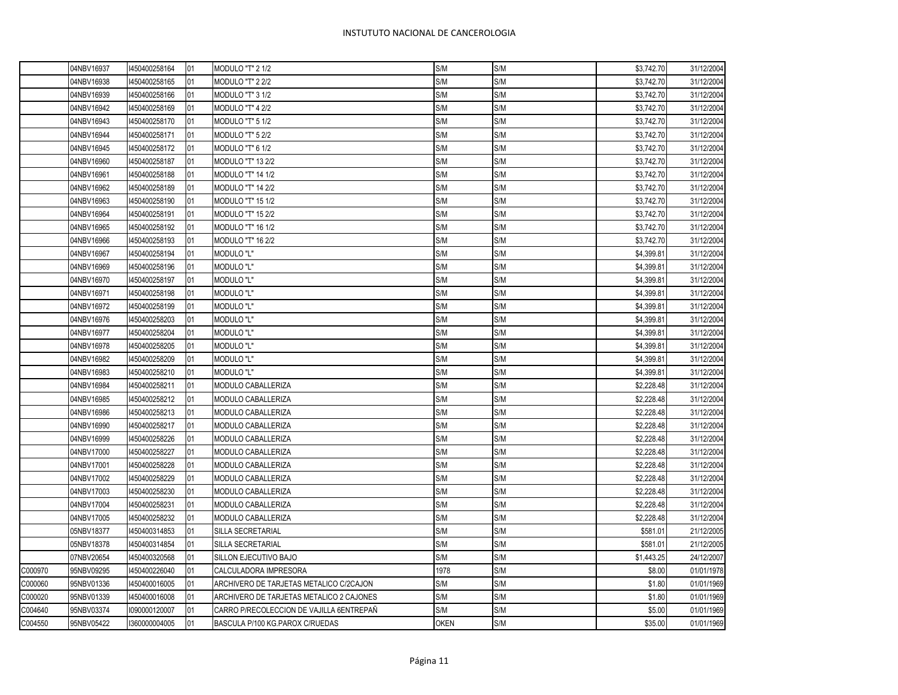$\overline{\phantom{0}}$ 

|         | 04NBV16937 | 1450400258164 | <b>01</b> | <b>MODULO "T" 2 1/2</b>                  | S/M         | S/M | \$3,742.70 | 31/12/2004 |
|---------|------------|---------------|-----------|------------------------------------------|-------------|-----|------------|------------|
|         | 04NBV16938 | 1450400258165 | 01        | <b>MODULO "T" 2 2/2</b>                  | S/M         | S/M | \$3,742.70 | 31/12/2004 |
|         | 04NBV16939 | 450400258166  | 01        | MODULO "T" 3 1/2                         | S/M         | S/M | \$3,742.70 | 31/12/2004 |
|         | 04NBV16942 | 1450400258169 | 01        | MODULO "T" 4 2/2                         | S/M         | S/M | \$3,742.70 | 31/12/2004 |
|         | 04NBV16943 | 1450400258170 | 01        | MODULO "T" 5 1/2                         | S/M         | S/M | \$3,742.70 | 31/12/2004 |
|         | 04NBV16944 | 1450400258171 | 01        | <b>MODULO "T" 5 2/2</b>                  | S/M         | S/M | \$3,742.70 | 31/12/2004 |
|         | 04NBV16945 | 1450400258172 | 01        | <b>MODULO "T" 6 1/2</b>                  | S/M         | S/M | \$3,742.70 | 31/12/2004 |
|         | 04NBV16960 | 1450400258187 | 01        | MODULO "T" 13 2/2                        | S/M         | S/M | \$3,742.70 | 31/12/2004 |
|         | 04NBV16961 | 1450400258188 | 01        | <b>MODULO "T" 14 1/2</b>                 | S/M         | S/M | \$3,742.70 | 31/12/2004 |
|         | 04NBV16962 | 1450400258189 | 01        | <b>MODULO "T" 14 2/2</b>                 | S/M         | S/M | \$3,742.70 | 31/12/2004 |
|         | 04NBV16963 | 1450400258190 | 01        | MODULO "T" 15 1/2                        | S/M         | S/M | \$3,742.70 | 31/12/2004 |
|         | 04NBV16964 | 1450400258191 | 01        | <b>MODULO "T" 15 2/2</b>                 | S/M         | S/M | \$3,742.70 | 31/12/2004 |
|         | 04NBV16965 | 1450400258192 | 01        | <b>MODULO "T" 16 1/2</b>                 | S/M         | S/M | \$3,742.70 | 31/12/2004 |
|         | 04NBV16966 | 1450400258193 | 01        | <b>MODULO "T" 16 2/2</b>                 | S/M         | S/M | \$3,742.70 | 31/12/2004 |
|         | 04NBV16967 | 1450400258194 | 01        | <b>MODULO "L"</b>                        | S/M         | S/M | \$4,399.81 | 31/12/2004 |
|         | 04NBV16969 | 1450400258196 | 01        | <b>MODULO "L"</b>                        | S/M         | S/M | \$4,399.81 | 31/12/2004 |
|         | 04NBV16970 | 1450400258197 | 01        | <b>MODULO "L"</b>                        | S/M         | S/M | \$4,399.81 | 31/12/2004 |
|         | 04NBV16971 | 1450400258198 | 01        | MODULO "L"                               | S/M         | S/M | \$4,399.81 | 31/12/2004 |
|         | 04NBV16972 | 1450400258199 | 01        | MODULO "L"                               | S/M         | S/M | \$4,399.81 | 31/12/2004 |
|         | 04NBV16976 | 1450400258203 | 01        | <b>MODULO "L"</b>                        | S/M         | S/M | \$4,399.81 | 31/12/2004 |
|         | 04NBV16977 | 450400258204  | 01        | MODULO "L"                               | S/M         | S/M | \$4,399.81 | 31/12/2004 |
|         | 04NBV16978 | 1450400258205 | 01        | <b>MODULO "L"</b>                        | S/M         | S/M | \$4,399.81 | 31/12/2004 |
|         | 04NBV16982 | 1450400258209 | 01        | MODULO "L"                               | S/M         | S/M | \$4,399.81 | 31/12/2004 |
|         | 04NBV16983 | 1450400258210 | 01        | MODULO "L"                               | S/M         | S/M | \$4,399.81 | 31/12/2004 |
|         | 04NBV16984 | 1450400258211 | 01        | MODULO CABALLERIZA                       | S/M         | S/M | \$2,228.48 | 31/12/2004 |
|         | 04NBV16985 | 1450400258212 | 01        | MODULO CABALLERIZA                       | S/M         | S/M | \$2,228.48 | 31/12/2004 |
|         | 04NBV16986 | 1450400258213 | 01        | MODULO CABALLERIZA                       | S/M         | S/M | \$2,228.48 | 31/12/2004 |
|         | 04NBV16990 | 450400258217  | 01        | MODULO CABALLERIZA                       | S/M         | S/M | \$2,228.48 | 31/12/2004 |
|         | 04NBV16999 | 450400258226  | 01        | MODULO CABALLERIZA                       | S/M         | S/M | \$2,228.48 | 31/12/2004 |
|         | 04NBV17000 | 450400258227  | 01        | MODULO CABALLERIZA                       | S/M         | S/M | \$2,228.48 | 31/12/2004 |
|         | 04NBV17001 | 1450400258228 | 01        | MODULO CABALLERIZA                       | S/M         | S/M | \$2,228.48 | 31/12/2004 |
|         | 04NBV17002 | 450400258229  | 01        | MODULO CABALLERIZA                       | S/M         | S/M | \$2,228.48 | 31/12/2004 |
|         | 04NBV17003 | 450400258230  | 01        | MODULO CABALLERIZA                       | S/M         | S/M | \$2,228.48 | 31/12/2004 |
|         | 04NBV17004 | 1450400258231 | 01        | MODULO CABALLERIZA                       | S/M         | S/M | \$2,228.48 | 31/12/2004 |
|         | 04NBV17005 | 1450400258232 | 01        | MODULO CABALLERIZA                       | S/M         | S/M | \$2,228.48 | 31/12/2004 |
|         | 05NBV18377 | 1450400314853 | 01        | SILLA SECRETARIAL                        | S/M         | S/M | \$581.01   | 21/12/2005 |
|         | 05NBV18378 | 1450400314854 | 01        | SILLA SECRETARIAL                        | S/M         | S/M | \$581.01   | 21/12/2005 |
|         | 07NBV20654 | 1450400320568 | 01        | SILLON EJECUTIVO BAJO                    | S/M         | S/M | \$1,443.25 | 24/12/2007 |
| C000970 | 95NBV09295 | 1450400226040 | 01        | CALCULADORA IMPRESORA                    | 1978        | S/M | \$8.00     | 01/01/1978 |
| C000060 | 95NBV01336 | 1450400016005 | 01        | ARCHIVERO DE TARJETAS METALICO C/2CAJON  | S/M         | S/M | \$1.80     | 01/01/1969 |
| C000020 | 95NBV01339 | 1450400016008 | 01        | ARCHIVERO DE TARJETAS METALICO 2 CAJONES | S/M         | S/M | \$1.80     | 01/01/1969 |
| C004640 | 95NBV03374 | 1090000120007 | 01        | CARRO P/RECOLECCION DE VAJILLA 6ENTREPAÑ | S/M         | S/M | \$5.00     | 01/01/1969 |
| C004550 | 95NBV05422 | 1360000004005 | 01        | BASCULA P/100 KG.PAROX C/RUEDAS          | <b>OKEN</b> | S/M | \$35.00    | 01/01/1969 |
|         |            |               |           |                                          |             |     |            |            |

Г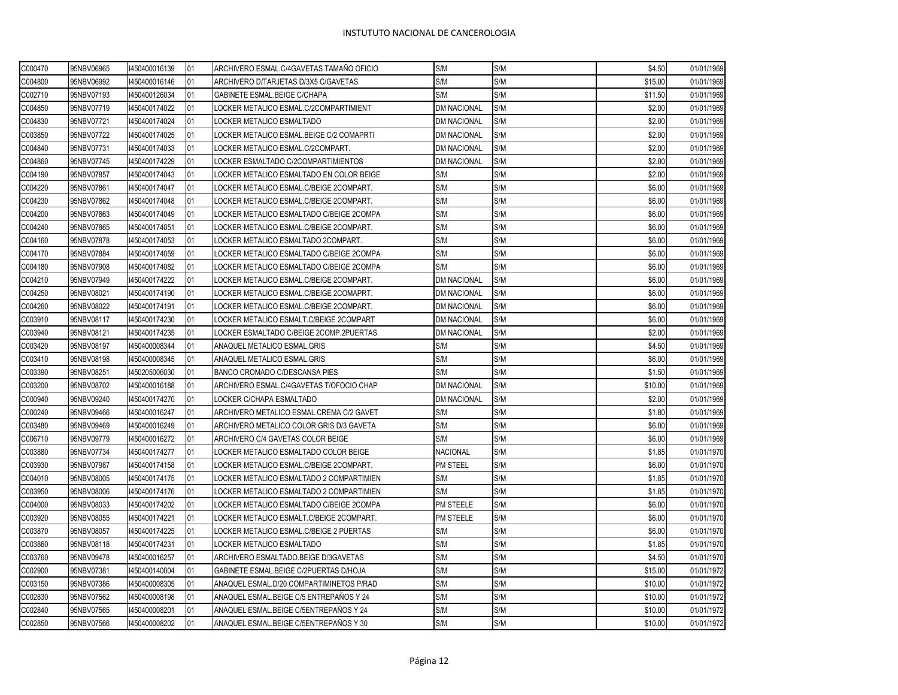| C000470 | 95NBV06965 | 1450400016139 | 01 | ARCHIVERO ESMAL.C/4GAVETAS TAMAÑO OFICIO | S/M                | S/M | \$4.50  | 01/01/1969 |
|---------|------------|---------------|----|------------------------------------------|--------------------|-----|---------|------------|
| C004800 | 95NBV06992 | 1450400016146 | 01 | ARCHIVERO D/TARJETAS D/3X5 C/GAVETAS     | S/M                | S/M | \$15.00 | 01/01/1969 |
| C002710 | 95NBV07193 | 1450400126034 | 01 | GABINETE ESMAL.BEIGE C/CHAPA             | S/M                | S/M | \$11.50 | 01/01/1969 |
| C004850 | 95NBV07719 | 1450400174022 | 01 | LOCKER METALICO ESMAL.C/2COMPARTIMIENT   | DM NACIONAL        | S/M | \$2.00  | 01/01/1969 |
| C004830 | 95NBV07721 | 1450400174024 | 01 | LOCKER METALICO ESMALTADO                | <b>DM NACIONAL</b> | S/M | \$2.00  | 01/01/1969 |
| C003850 | 95NBV07722 | 1450400174025 | 01 | LOCKER METALICO ESMAL.BEIGE C/2 COMAPRTI | <b>DM NACIONAL</b> | S/M | \$2.00  | 01/01/1969 |
| C004840 | 95NBV07731 | 1450400174033 | 01 | LOCKER METALICO ESMAL.C/2COMPART.        | <b>DM NACIONAL</b> | S/M | \$2.00  | 01/01/1969 |
| C004860 | 95NBV07745 | 1450400174229 | 01 | LOCKER ESMALTADO C/2COMPARTIMIENTOS      | <b>DM NACIONAL</b> | S/M | \$2.00  | 01/01/1969 |
| C004190 | 95NBV07857 | 1450400174043 | 01 | LOCKER METALICO ESMALTADO EN COLOR BEIGE | S/M                | S/M | \$2.00  | 01/01/1969 |
| C004220 | 95NBV07861 | 1450400174047 | 01 | LOCKER METALICO ESMAL.C/BEIGE 2COMPART.  | S/M                | S/M | \$6.00  | 01/01/1969 |
| C004230 | 95NBV07862 | 1450400174048 | 01 | LOCKER METALICO ESMAL.C/BEIGE 2COMPART.  | S/M                | S/M | \$6.00  | 01/01/1969 |
| C004200 | 95NBV07863 | 1450400174049 | 01 | LOCKER METALICO ESMALTADO C/BEIGE 2COMPA | S/M                | S/M | \$6.00  | 01/01/1969 |
| C004240 | 95NBV07865 | 1450400174051 | 01 | LOCKER METALICO ESMAL.C/BEIGE 2COMPART.  | S/M                | S/M | \$6.00  | 01/01/1969 |
| C004160 | 95NBV07878 | 1450400174053 | 01 | LOCKER METALICO ESMALTADO 2COMPART.      | S/M                | S/M | \$6.00  | 01/01/1969 |
| C004170 | 95NBV07884 | 1450400174059 | 01 | LOCKER METALICO ESMALTADO C/BEIGE 2COMPA | S/M                | S/M | \$6.00  | 01/01/1969 |
| C004180 | 95NBV07908 | 1450400174082 | 01 | LOCKER METALICO ESMALTADO C/BEIGE 2COMPA | S/M                | S/M | \$6.00  | 01/01/1969 |
| C004210 | 95NBV07949 | 1450400174222 | 01 | LOCKER METALICO ESMAL.C/BEIGE 2COMPART.  | <b>DM NACIONAL</b> | S/M | \$6.00  | 01/01/1969 |
| C004250 | 95NBV08021 | 1450400174190 | 01 | LOCKER METALICO ESMAL.C/BEIGE 2COMAPRT.  | DM NACIONAL        | S/M | \$6.00  | 01/01/1969 |
| C004260 | 95NBV08022 | 1450400174191 | 01 | LOCKER METALICO ESMAL.C/BEIGE 2COMPART.  | DM NACIONAL        | S/M | \$6.00  | 01/01/1969 |
| C003910 | 95NBV08117 | 1450400174230 | 01 | LOCKER METALICO ESMALT.C/BEIGE 2COMPART  | DM NACIONAL        | S/M | \$6.00  | 01/01/1969 |
| C003940 | 95NBV08121 | 1450400174235 | 01 | LOCKER ESMALTADO C/BEIGE 2COMP.2PUERTAS  | <b>DM NACIONAL</b> | S/M | \$2.00  | 01/01/1969 |
| C003420 | 95NBV08197 | 1450400008344 | 01 | ANAQUEL METALICO ESMAL.GRIS              | S/M                | S/M | \$4.50  | 01/01/1969 |
| C003410 | 95NBV08198 | 1450400008345 | 01 | ANAQUEL METALICO ESMAL.GRIS              | S/M                | S/M | \$6.00  | 01/01/1969 |
| C003390 | 95NBV08251 | 1450205006030 | 01 | BANCO CROMADO C/DESCANSA PIES            | S/M                | S/M | \$1.50  | 01/01/1969 |
| C003200 | 95NBV08702 | 1450400016188 | 01 | ARCHIVERO ESMAL.C/4GAVETAS T/OFOCIO CHAP | <b>DM NACIONAL</b> | S/M | \$10.00 | 01/01/1969 |
| C000940 | 95NBV09240 | 1450400174270 | 01 | LOCKER C/CHAPA ESMALTADO                 | <b>DM NACIONAL</b> | S/M | \$2.00  | 01/01/1969 |
| C000240 | 95NBV09466 | 1450400016247 | 01 | ARCHIVERO METALICO ESMAL.CREMA C/2 GAVET | S/M                | S/M | \$1.80  | 01/01/1969 |
| C003480 | 95NBV09469 | 1450400016249 | 01 | ARCHIVERO METALICO COLOR GRIS D/3 GAVETA | S/M                | S/M | \$6.00  | 01/01/1969 |
| C006710 | 95NBV09779 | 1450400016272 | 01 | ARCHIVERO C/4 GAVETAS COLOR BEIGE        | S/M                | S/M | \$6.00  | 01/01/1969 |
| C003880 | 95NBV07734 | 1450400174277 | 01 | LOCKER METALICO ESMALTADO COLOR BEIGE    | <b>NACIONAL</b>    | S/M | \$1.85  | 01/01/1970 |
| C003930 | 95NBV07987 | 1450400174158 | 01 | LOCKER METALICO ESMAL.C/BEIGE 2COMPART.  | <b>PM STEEL</b>    | S/M | \$6.00  | 01/01/1970 |
| C004010 | 95NBV08005 | 1450400174175 | 01 | LOCKER METALICO ESMALTADO 2 COMPARTIMIEN | S/M                | S/M | \$1.85  | 01/01/1970 |
| C003950 | 95NBV08006 | 1450400174176 | 01 | LOCKER METALICO ESMALTADO 2 COMPARTIMIEN | S/M                | S/M | \$1.85  | 01/01/1970 |
| C004000 | 95NBV08033 | 1450400174202 | 01 | LOCKER METALICO ESMALTADO C/BEIGE 2COMPA | PM STEELE          | S/M | \$6.00  | 01/01/1970 |
| C003920 | 95NBV08055 | 1450400174221 | 01 | LOCKER METALICO ESMALT.C/BEIGE 2COMPART. | PM STEELE          | S/M | \$6.00  | 01/01/1970 |
| C003870 | 95NBV08057 | 1450400174225 | 01 | LOCKER METALICO ESMAL.C/BEIGE 2 PUERTAS  | S/M                | S/M | \$6.00  | 01/01/1970 |
| C003860 | 95NBV08118 | 1450400174231 | 01 | LOCKER METALICO ESMALTADO                | S/M                | S/M | \$1.85  | 01/01/1970 |
| C003760 | 95NBV09478 | 1450400016257 | 01 | ARCHIVERO ESMALTADO.BEIGE D/3GAVETAS     | S/M                | S/M | \$4.50  | 01/01/1970 |
| C002900 | 95NBV07381 | 1450400140004 | 01 | GABINETE ESMAL.BEIGE C/2PUERTAS D/HOJA   | S/M                | S/M | \$15.00 | 01/01/1972 |
| C003150 | 95NBV07386 | 1450400008305 | 01 | ANAQUEL ESMAL.D/20 COMPARTIMINETOS P/RAD | S/M                | S/M | \$10.00 | 01/01/1972 |
| C002830 | 95NBV07562 | 1450400008198 | 01 | ANAQUEL ESMAL.BEIGE C/5 ENTREPAÑOS Y 24  | S/M                | S/M | \$10.00 | 01/01/1972 |
| C002840 | 95NBV07565 | 1450400008201 | 01 | ANAQUEL ESMAL.BEIGE C/5ENTREPAÑOS Y 24   | S/M                | S/M | \$10.00 | 01/01/1972 |
| C002850 | 95NBV07566 | 1450400008202 | 01 | ANAQUEL ESMAL.BEIGE C/5ENTREPAÑOS Y 30   | S/M                | S/M | \$10.00 | 01/01/1972 |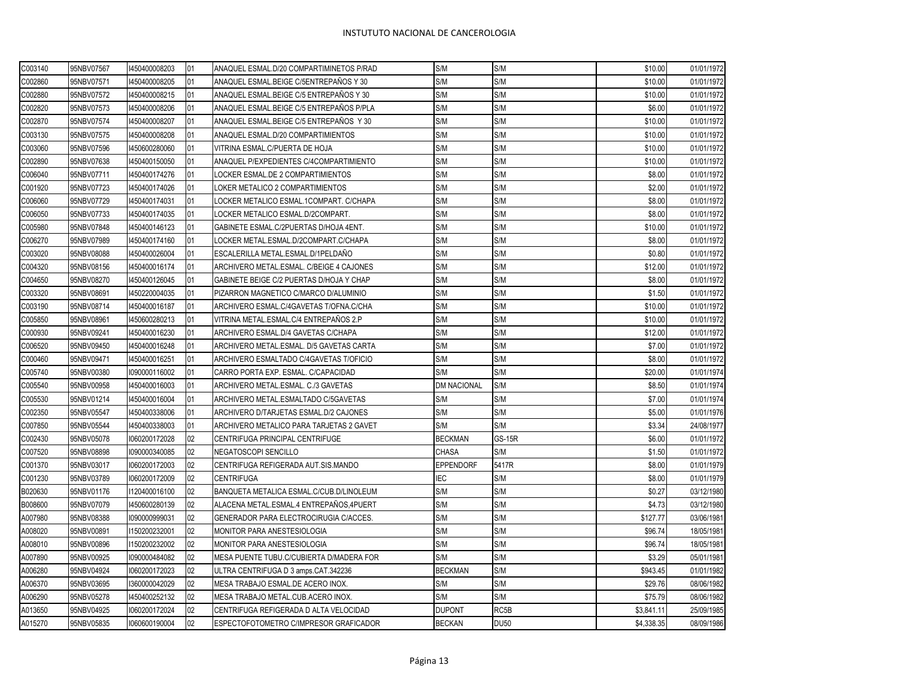| C003140 | 95NBV07567 | 1450400008203 | 01 | ANAQUEL ESMAL.D/20 COMPARTIMINETOS P/RAD | S/M                | S/M           | \$10.00    | 01/01/1972 |
|---------|------------|---------------|----|------------------------------------------|--------------------|---------------|------------|------------|
| C002860 | 95NBV07571 | 1450400008205 | 01 | ANAQUEL ESMAL.BEIGE C/5ENTREPAÑOS Y 30   | S/M                | S/M           | \$10.00    | 01/01/1972 |
| C002880 | 95NBV07572 | 1450400008215 | 01 | ANAQUEL ESMAL.BEIGE C/5 ENTREPANOS Y 30  | S/M                | S/M           | \$10.00    | 01/01/1972 |
| C002820 | 95NBV07573 | 1450400008206 | 01 | ANAQUEL ESMAL.BEIGE C/5 ENTREPAÑOS P/PLA | S/M                | S/M           | \$6.00     | 01/01/1972 |
| C002870 | 95NBV07574 | 1450400008207 | 01 | ANAQUEL ESMAL.BEIGE C/5 ENTREPAÑOS Y 30  | S/M                | S/M           | \$10.00    | 01/01/1972 |
| C003130 | 95NBV07575 | 1450400008208 | 01 | ANAQUEL ESMAL.D/20 COMPARTIMIENTOS       | S/M                | S/M           | \$10.00    | 01/01/1972 |
| C003060 | 95NBV07596 | 1450600280060 | 01 | VITRINA ESMAL.C/PUERTA DE HOJA           | S/M                | S/M           | \$10.00    | 01/01/1972 |
| C002890 | 95NBV07638 | 1450400150050 | 01 | ANAQUEL P/EXPEDIENTES C/4COMPARTIMIENTO  | S/M                | S/M           | \$10.00    | 01/01/1972 |
| C006040 | 95NBV07711 | 1450400174276 | 01 | LOCKER ESMAL.DE 2 COMPARTIMIENTOS        | S/M                | S/M           | \$8.00     | 01/01/1972 |
| C001920 | 95NBV07723 | 1450400174026 | 01 | LOKER METALICO 2 COMPARTIMIENTOS         | S/M                | S/M           | \$2.00     | 01/01/1972 |
| C006060 | 95NBV07729 | 1450400174031 | 01 | LOCKER METALICO ESMAL.1COMPART. C/CHAPA  | S/M                | S/M           | \$8.00     | 01/01/1972 |
| C006050 | 95NBV07733 | 1450400174035 | 01 | LOCKER METALICO ESMAL.D/2COMPART.        | S/M                | S/M           | \$8.00     | 01/01/1972 |
| C005980 | 95NBV07848 | 1450400146123 | 01 | GABINETE ESMAL.C/2PUERTAS D/HOJA 4ENT.   | S/M                | S/M           | \$10.00    | 01/01/1972 |
| C006270 | 95NBV07989 | 1450400174160 | 01 | LOCKER METAL.ESMAL.D/2COMPART.C/CHAPA    | S/M                | S/M           | \$8.00     | 01/01/1972 |
| C003020 | 95NBV08088 | 1450400026004 | 01 | ESCALERILLA METAL.ESMAL.D/1PELDAÑO       | S/M                | S/M           | \$0.80     | 01/01/1972 |
| C004320 | 95NBV08156 | 1450400016174 | 01 | ARCHIVERO METAL.ESMAL. C/BEIGE 4 CAJONES | S/M                | S/M           | \$12.00    | 01/01/1972 |
| C004650 | 95NBV08270 | 1450400126045 | 01 | GABINETE BEIGE C/2 PUERTAS D/HOJA Y CHAP | S/M                | S/M           | \$8.00     | 01/01/1972 |
| C003320 | 95NBV08691 | 1450220004035 | 01 | PIZARRON MAGNETICO C/MARCO D/ALUMINIO    | S/M                | S/M           | \$1.50     | 01/01/1972 |
| C003190 | 95NBV08714 | 1450400016187 | 01 | ARCHIVERO ESMAL.C/4GAVETAS T/OFNA.C/CHA  | S/M                | S/M           | \$10.00    | 01/01/1972 |
| C005850 | 95NBV08961 | 1450600280213 | 01 | VITRINA METAL.ESMAL.C/4 ENTREPAÑOS 2.P   | S/M                | S/M           | \$10.00    | 01/01/1972 |
| C000930 | 95NBV09241 | 1450400016230 | 01 | ARCHIVERO ESMAL.D/4 GAVETAS C/CHAPA      | S/M                | S/M           | \$12.00    | 01/01/1972 |
| C006520 | 95NBV09450 | 1450400016248 | 01 | ARCHIVERO METAL.ESMAL. D/5 GAVETAS CARTA | S/M                | S/M           | \$7.00     | 01/01/1972 |
| C000460 | 95NBV09471 | 1450400016251 | 01 | ARCHIVERO ESMALTADO C/4GAVETAS T/OFICIO  | S/M                | S/M           | \$8.00     | 01/01/1972 |
| C005740 | 95NBV00380 | 1090000116002 | 01 | CARRO PORTA EXP. ESMAL. C/CAPACIDAD      | S/M                | S/M           | \$20.00    | 01/01/1974 |
| C005540 | 95NBV00958 | 1450400016003 | 01 | ARCHIVERO METAL.ESMAL. C./3 GAVETAS      | <b>DM NACIONAL</b> | S/M           | \$8.50     | 01/01/1974 |
| C005530 | 95NBV01214 | 1450400016004 | 01 | ARCHIVERO METAL.ESMALTADO C/5GAVETAS     | S/M                | S/M           | \$7.00     | 01/01/1974 |
| C002350 | 95NBV05547 | 1450400338006 | 01 | ARCHIVERO D/TARJETAS ESMAL.D/2 CAJONES   | S/M                | S/M           | \$5.00     | 01/01/1976 |
| C007850 | 95NBV05544 | 1450400338003 | 01 | ARCHIVERO METALICO PARA TARJETAS 2 GAVET | S/M                | S/M           | \$3.34     | 24/08/1977 |
| C002430 | 95NBV05078 | 1060200172028 | 02 | CENTRIFUGA PRINCIPAL CENTRIFUGE          | <b>BECKMAN</b>     | <b>GS-15R</b> | \$6.00     | 01/01/1972 |
| C007520 | 95NBV08898 | 1090000340085 | 02 | NEGATOSCOPI SENCILLO                     | <b>CHASA</b>       | S/M           | \$1.50     | 01/01/1972 |
| C001370 | 95NBV03017 | 1060200172003 | 02 | CENTRIFUGA REFIGERADA AUT.SIS.MANDO      | <b>EPPENDORF</b>   | 5417R         | \$8.00     | 01/01/1979 |
| C001230 | 95NBV03789 | 1060200172009 | 02 | <b>CENTRIFUGA</b>                        | <b>IEC</b>         | S/M           | \$8.00     | 01/01/1979 |
| B020630 | 95NBV01176 | 1120400016100 | 02 | BANQUETA METALICA ESMAL.C/CUB.D/LINOLEUM | S/M                | S/M           | \$0.27     | 03/12/1980 |
| B008600 | 95NBV07079 | 1450600280139 | 02 | ALACENA METAL.ESMAL.4 ENTREPAÑOS,4PUERT  | S/M                | S/M           | \$4.73     | 03/12/1980 |
| A007980 | 95NBV08388 | 1090000999031 | 02 | GENERADOR PARA ELECTROCIRUGIA C/ACCES.   | S/M                | S/M           | \$127.77   | 03/06/1981 |
| A008020 | 95NBV00891 | 1150200232001 | 02 | MONITOR PARA ANESTESIOLOGIA              | S/M                | S/M           | \$96.74    | 18/05/1981 |
| A008010 | 95NBV00896 | 1150200232002 | 02 | MONITOR PARA ANESTESIOLOGIA              | S/M                | S/M           | \$96.74    | 18/05/1981 |
| A007890 | 95NBV00925 | 1090000484082 | 02 | MESA PUENTE TUBU.C/CUBIERTA D/MADERA FOR | S/M                | S/M           | \$3.29     | 05/01/1981 |
| A006280 | 95NBV04924 | 1060200172023 | 02 | ULTRA CENTRIFUGA D 3 amps.CAT.342236     | <b>BECKMAN</b>     | S/M           | \$943.45   | 01/01/1982 |
| A006370 | 95NBV03695 | 1360000042029 | 02 | MESA TRABAJO ESMAL.DE ACERO INOX.        | S/M                | S/M           | \$29.76    | 08/06/1982 |
| A006290 | 95NBV05278 | 1450400252132 | 02 | MESA TRABAJO METAL.CUB.ACERO INOX.       | S/M                | S/M           | \$75.79    | 08/06/1982 |
| A013650 | 95NBV04925 | 1060200172024 | 02 | CENTRIFUGA REFIGERADA D ALTA VELOCIDAD   | <b>DUPONT</b>      | RC5B          | \$3,841.11 | 25/09/1985 |
| A015270 | 95NBV05835 | 1060600190004 | 02 | ESPECTOFOTOMETRO C/IMPRESOR GRAFICADOR   | <b>BECKAN</b>      | <b>DU50</b>   | \$4.338.35 | 08/09/1986 |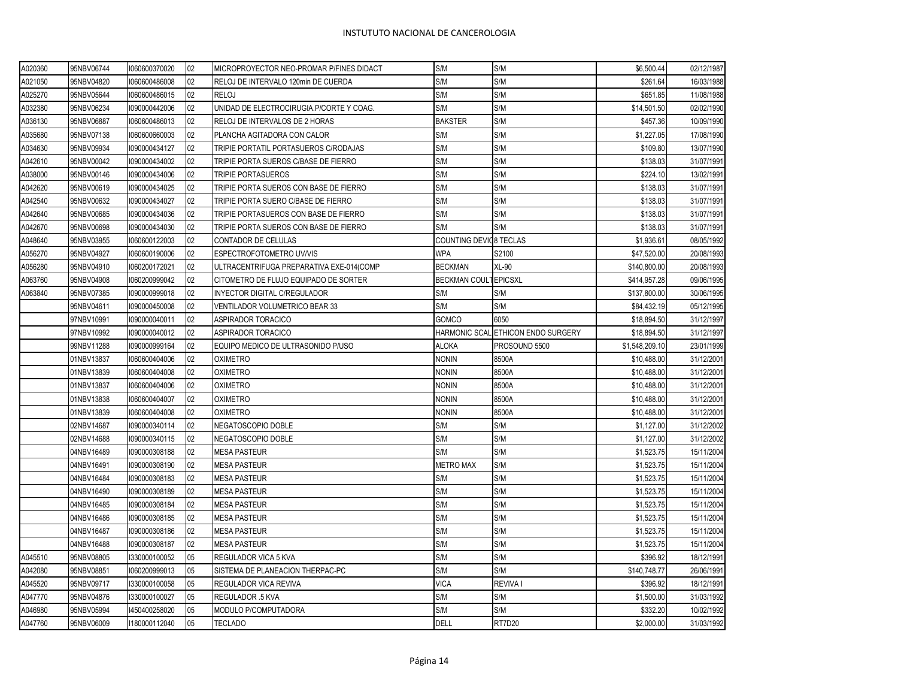| A020360 | 95NBV06744 | 1060600370020 | 02 | MICROPROYECTOR NEO-PROMAR P/FINES DIDACT | S/M                    | S/M                                | \$6,500.44     | 02/12/1987 |
|---------|------------|---------------|----|------------------------------------------|------------------------|------------------------------------|----------------|------------|
| A021050 | 95NBV04820 | 1060600486008 | 02 | RELOJ DE INTERVALO 120min DE CUERDA      | S/M                    | S/M                                | \$261.64       | 16/03/1988 |
| A025270 | 95NBV05644 | 1060600486015 | 02 | <b>RELOJ</b>                             | S/M                    | S/M                                | \$651.85       | 11/08/1988 |
| A032380 | 95NBV06234 | 1090000442006 | 02 | UNIDAD DE ELECTROCIRUGIA.P/CORTE Y COAG. | S/M                    | S/M                                | \$14,501.50    | 02/02/1990 |
| A036130 | 95NBV06887 | 1060600486013 | 02 | RELOJ DE INTERVALOS DE 2 HORAS           | <b>BAKSTER</b>         | S/M                                | \$457.36       | 10/09/1990 |
| A035680 | 95NBV07138 | 1060600660003 | 02 | PLANCHA AGITADORA CON CALOR              | S/M                    | S/M                                | \$1,227.05     | 17/08/1990 |
| A034630 | 95NBV09934 | 1090000434127 | 02 | TRIPIE PORTATIL PORTASUEROS C/RODAJAS    | S/M                    | S/M                                | \$109.80       | 13/07/1990 |
| A042610 | 95NBV00042 | 1090000434002 | 02 | TRIPIE PORTA SUEROS C/BASE DE FIERRO     | S/M                    | S/M                                | \$138.03       | 31/07/1991 |
| A038000 | 95NBV00146 | 1090000434006 | 02 | <b>TRIPIE PORTASUEROS</b>                | S/M                    | S/M                                | \$224.10       | 13/02/1991 |
| A042620 | 95NBV00619 | 1090000434025 | 02 | TRIPIE PORTA SUEROS CON BASE DE FIERRO   | S/M                    | S/M                                | \$138.03       | 31/07/1991 |
| A042540 | 95NBV00632 | 1090000434027 | 02 | TRIPIE PORTA SUERO C/BASE DE FIERRO      | S/M                    | S/M                                | \$138.03       | 31/07/1991 |
| A042640 | 95NBV00685 | 1090000434036 | 02 | TRIPIE PORTASUEROS CON BASE DE FIERRO    | S/M                    | S/M                                | \$138.03       | 31/07/1991 |
| A042670 | 95NBV00698 | 1090000434030 | 02 | TRIPIE PORTA SUEROS CON BASE DE FIERRO   | S/M                    | S/M                                | \$138.03       | 31/07/1991 |
| A048640 | 95NBV03955 | 1060600122003 | 02 | CONTADOR DE CELULAS                      | COUNTING DEVIC8 TECLAS |                                    | \$1,936.61     | 08/05/1992 |
| A056270 | 95NBV04927 | 1060600190006 | 02 | ESPECTROFOTOMETRO UV/VIS                 | <b>WPA</b>             | S2100                              | \$47,520.00    | 20/08/1993 |
| A056280 | 95NBV04910 | 1060200172021 | 02 | ULTRACENTRIFUGA PREPARATIVA EXE-014(COMP | <b>BECKMAN</b>         | XL-90                              | \$140,800.00   | 20/08/1993 |
| A063760 | 95NBV04908 | 1060200999042 | 02 | CITOMETRO DE FLUJO EQUIPADO DE SORTER    | BECKMAN COULTEPICSXL   |                                    | \$414,957.28   | 09/06/1995 |
| A063840 | 95NBV07385 | 1090000999018 | 02 | <b>INYECTOR DIGITAL C/REGULADOR</b>      | S/M                    | S/M                                | \$137,800.00   | 30/06/1995 |
|         | 95NBV04611 | 1090000450008 | 02 | VENTILADOR VOLUMETRICO BEAR 33           | S/M                    | S/M                                | \$84,432.19    | 05/12/1995 |
|         | 97NBV10991 | 1090000040011 | 02 | ASPIRADOR TORACICO                       | GOMCO                  | 6050                               | \$18,894.50    | 31/12/1997 |
|         | 97NBV10992 | 1090000040012 | 02 | ASPIRADOR TORACICO                       |                        | HARMONIC SCALIETHICON ENDO SURGERY | \$18,894.50    | 31/12/1997 |
|         | 99NBV11288 | 1090000999164 | 02 | EQUIPO MEDICO DE ULTRASONIDO P/USO       | <b>ALOKA</b>           | PROSOUND 5500                      | \$1,548,209.10 | 23/01/1999 |
|         | 01NBV13837 | 1060600404006 | 02 | <b>OXIMETRO</b>                          | <b>NONIN</b>           | 8500A                              | \$10,488.00    | 31/12/2001 |
|         | 01NBV13839 | 1060600404008 | 02 | <b>OXIMETRO</b>                          | Nonin                  | 8500A                              | \$10,488.00    | 31/12/2001 |
|         | 01NBV13837 | 1060600404006 | 02 | <b>OXIMETRO</b>                          | <b>NONIN</b>           | 8500A                              | \$10,488.00    | 31/12/2001 |
|         | 01NBV13838 | 1060600404007 | 02 | <b>OXIMETRO</b>                          | Nonin                  | 8500A                              | \$10,488.00    | 31/12/2001 |
|         | 01NBV13839 | 1060600404008 | 02 | <b>OXIMETRO</b>                          | <b>NONIN</b>           | 8500A                              | \$10,488.00    | 31/12/2001 |
|         | 02NBV14687 | 1090000340114 | 02 | NEGATOSCOPIO DOBLE                       | S/M                    | S/M                                | \$1,127.00     | 31/12/2002 |
|         | 02NBV14688 | 1090000340115 | 02 | NEGATOSCOPIO DOBLE                       | S/M                    | S/M                                | \$1,127.00     | 31/12/2002 |
|         | 04NBV16489 | 1090000308188 | 02 | MESA PASTEUR                             | S/M                    | S/M                                | \$1,523.75     | 15/11/2004 |
|         | 04NBV16491 | 1090000308190 | 02 | MESA PASTEUR                             | <b>METRO MAX</b>       | S/M                                | \$1,523.75     | 15/11/2004 |
|         | 04NBV16484 | 1090000308183 | 02 | <b>MESA PASTEUR</b>                      | S/M                    | S/M                                | \$1,523.75     | 15/11/2004 |
|         | 04NBV16490 | 1090000308189 | 02 | <b>MESA PASTEUR</b>                      | S/M                    | S/M                                | \$1,523.75     | 15/11/2004 |
|         | 04NBV16485 | 1090000308184 | 02 | <b>MESA PASTEUR</b>                      | S/M                    | S/M                                | \$1,523.75     | 15/11/2004 |
|         | 04NBV16486 | 1090000308185 | 02 | MESA PASTEUR                             | S/M                    | S/M                                | \$1,523.75     | 15/11/2004 |
|         | 04NBV16487 | 1090000308186 | 02 | MESA PASTEUR                             | S/M                    | S/M                                | \$1,523.75     | 15/11/2004 |
|         | 04NBV16488 | 1090000308187 | 02 | <b>MESA PASTEUR</b>                      | S/M                    | S/M                                | \$1,523.75     | 15/11/2004 |
| A045510 | 95NBV08805 | 1330000100052 | 05 | REGULADOR VICA 5 KVA                     | S/M                    | S/M                                | \$396.92       | 18/12/1991 |
| A042080 | 95NBV08851 | 1060200999013 | 05 | SISTEMA DE PLANEACION THERPAC-PC         | S/M                    | S/M                                | \$140,748.77   | 26/06/1991 |
| A045520 | 95NBV09717 | 1330000100058 | 05 | REGULADOR VICA REVIVA                    | <b>VICA</b>            | <b>REVIVA I</b>                    | \$396.92       | 18/12/1991 |
| A047770 | 95NBV04876 | 1330000100027 | 05 | <b>REGULADOR .5 KVA</b>                  | S/M                    | S/M                                | \$1,500.00     | 31/03/1992 |
| A046980 | 95NBV05994 | 1450400258020 | 05 | MODULO P/COMPUTADORA                     | S/M                    | S/M                                | \$332.20       | 10/02/1992 |
| A047760 | 95NBV06009 | 1180000112040 | 05 | TECLADO                                  | DELL                   | RT7D20                             | \$2.000.00     | 31/03/1992 |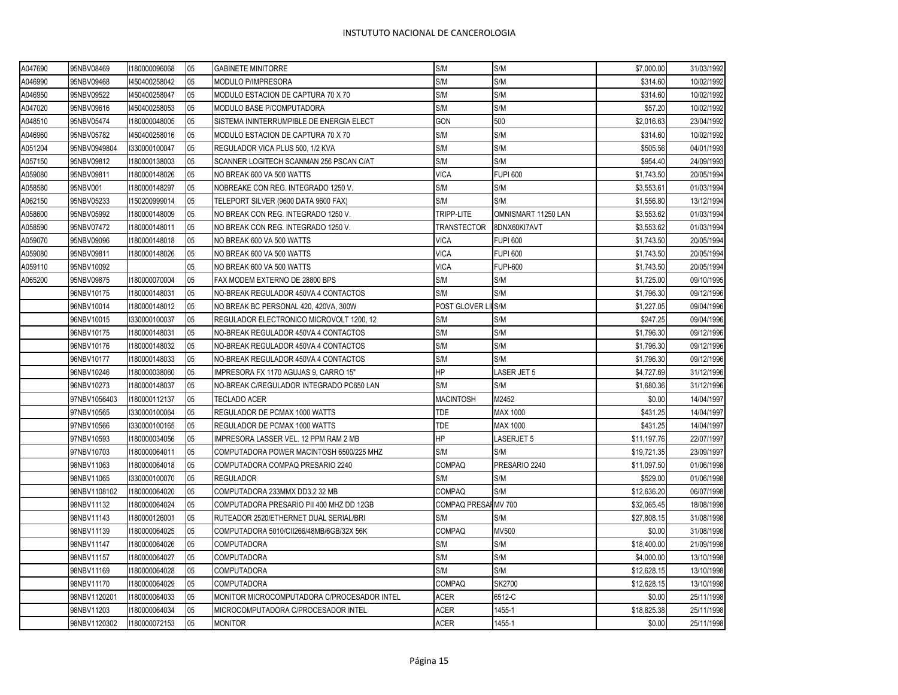| A047690 | 95NBV08469   | 1180000096068 | 05 | <b>GABINETE MINITORRE</b>                   | S/M                 | S/M                 | \$7,000.00  | 31/03/1992 |
|---------|--------------|---------------|----|---------------------------------------------|---------------------|---------------------|-------------|------------|
| A046990 | 95NBV09468   | 1450400258042 | 05 | MODULO P/IMPRESORA                          | S/M                 | S/M                 | \$314.60    | 10/02/1992 |
| A046950 | 95NBV09522   | 1450400258047 | 05 | MODULO ESTACION DE CAPTURA 70 X 70          | S/M                 | S/M                 | \$314.60    | 10/02/1992 |
| A047020 | 95NBV09616   | 1450400258053 | 05 | MODULO BASE P/COMPUTADORA                   | S/M                 | S/M                 | \$57.20     | 10/02/1992 |
| A048510 | 95NBV05474   | 1180000048005 | 05 | SISTEMA ININTERRUMPIBLE DE ENERGIA ELECT    | GON                 | 500                 | \$2,016.63  | 23/04/1992 |
| A046960 | 95NBV05782   | 1450400258016 | 05 | MODULO ESTACION DE CAPTURA 70 X 70          | S/M                 | S/M                 | \$314.60    | 10/02/1992 |
| A051204 | 95NBV0949804 | 1330000100047 | 05 | REGULADOR VICA PLUS 500, 1/2 KVA            | S/M                 | S/M                 | \$505.56    | 04/01/1993 |
| A057150 | 95NBV09812   | 1180000138003 | 05 | SCANNER LOGITECH SCANMAN 256 PSCAN C/AT     | S/M                 | S/M                 | \$954.40    | 24/09/1993 |
| A059080 | 95NBV09811   | 180000148026  | 05 | NO BREAK 600 VA 500 WATTS                   | <b>VICA</b>         | <b>FUPI 600</b>     | \$1,743.50  | 20/05/1994 |
| A058580 | 95NBV001     | 180000148297  | 05 | NOBREAKE CON REG. INTEGRADO 1250 V.         | S/M                 | S/M                 | \$3,553.61  | 01/03/1994 |
| A062150 | 95NBV05233   | 150200999014  | 05 | TELEPORT SILVER (9600 DATA 9600 FAX)        | S/M                 | S/M                 | \$1,556.80  | 13/12/1994 |
| A058600 | 95NBV05992   | 1180000148009 | 05 | NO BREAK CON REG. INTEGRADO 1250 V.         | TRIPP-LITE          | OMNISMART 11250 LAN | \$3,553.62  | 01/03/1994 |
| A058590 | 95NBV07472   | 1180000148011 | 05 | NO BREAK CON REG. INTEGRADO 1250 V.         | <b>TRANSTECTOR</b>  | 8DNX60KI7AVT        | \$3,553.62  | 01/03/1994 |
| A059070 | 95NBV09096   | 1180000148018 | 05 | NO BREAK 600 VA 500 WATTS                   | <b>VICA</b>         | <b>FUPI 600</b>     | \$1,743.50  | 20/05/1994 |
| A059080 | 95NBV09811   | 180000148026  | 05 | NO BREAK 600 VA 500 WATTS                   | <b>VICA</b>         | <b>FUPI 600</b>     | \$1,743.50  | 20/05/1994 |
| A059110 | 95NBV10092   |               | 05 | NO BREAK 600 VA 500 WATTS                   | <b>VICA</b>         | <b>FUPI-600</b>     | \$1,743.50  | 20/05/1994 |
| A065200 | 95NBV09875   | 180000070004  | 05 | FAX MODEM EXTERNO DE 28800 BPS              | S/M                 | S/M                 | \$1,725.00  | 09/10/1995 |
|         | 96NBV10175   | 1180000148031 | 05 | NO-BREAK REGULADOR 450VA 4 CONTACTOS        | S/M                 | S/M                 | \$1,796.30  | 09/12/1996 |
|         | 96NBV10014   | 1180000148012 | 05 | NO BREAK BC PERSONAL 420, 420VA, 300W       | POST GLOVER LIIS/M  |                     | \$1,227.05  | 09/04/1996 |
|         | 96NBV10015   | 1330000100037 | 05 | REGULADOR ELECTRONICO MICROVOLT 1200, 12    | S/M                 | S/M                 | \$247.25    | 09/04/1996 |
|         | 96NBV10175   | 1180000148031 | 05 | NO-BREAK REGULADOR 450VA 4 CONTACTOS        | S/M                 | S/M                 | \$1,796.30  | 09/12/1996 |
|         | 96NBV10176   | 1180000148032 | 05 | NO-BREAK REGULADOR 450VA 4 CONTACTOS        | S/M                 | S/M                 | \$1,796.30  | 09/12/1996 |
|         | 96NBV10177   | 180000148033  | 05 | NO-BREAK REGULADOR 450VA 4 CONTACTOS        | S/M                 | S/M                 | \$1,796.30  | 09/12/1996 |
|         | 96NBV10246   | 1180000038060 | 05 | IMPRESORA FX 1170 AGUJAS 9, CARRO 15"       | HP                  | LASER JET 5         | \$4,727.69  | 31/12/1996 |
|         | 96NBV10273   | 180000148037  | 05 | NO-BREAK C/REGULADOR INTEGRADO PC650 LAN    | S/M                 | S/M                 | \$1,680.36  | 31/12/1996 |
|         | 97NBV1056403 | 1180000112137 | 05 | TECLADO ACER                                | <b>MACINTOSH</b>    | M2452               | \$0.00      | 14/04/1997 |
|         | 97NBV10565   | 1330000100064 | 05 | REGULADOR DE PCMAX 1000 WATTS               | <b>TDE</b>          | <b>MAX 1000</b>     | \$431.25    | 14/04/1997 |
|         | 97NBV10566   | 1330000100165 | 05 | REGULADOR DE PCMAX 1000 WATTS               | <b>TDE</b>          | <b>MAX 1000</b>     | \$431.25    | 14/04/1997 |
|         | 97NBV10593   | 1180000034056 | 05 | IMPRESORA LASSER VEL. 12 PPM RAM 2 MB       | HP                  | LASERJET 5          | \$11,197.76 | 22/07/1997 |
|         | 97NBV10703   | 180000064011  | 05 | COMPUTADORA POWER MACINTOSH 6500/225 MHZ    | S/M                 | S/M                 | \$19,721.35 | 23/09/1997 |
|         | 98NBV11063   | 1180000064018 | 05 | COMPUTADORA COMPAQ PRESARIO 2240            | <b>COMPAQ</b>       | PRESARIO 2240       | \$11,097.50 | 01/06/1998 |
|         | 98NBV11065   | 1330000100070 | 05 | <b>REGULADOR</b>                            | S/M                 | S/M                 | \$529.00    | 01/06/1998 |
|         | 98NBV1108102 | 1180000064020 | 05 | COMPUTADORA 233MMX DD3.2 32 MB              | <b>COMPAQ</b>       | S/M                 | \$12,636.20 | 06/07/1998 |
|         | 98NBV11132   | 1180000064024 | 05 | COMPUTADORA PRESARIO PII 400 MHZ DD 12GB    | COMPAQ PRESAHMV 700 |                     | \$32,065.45 | 18/08/1998 |
|         | 98NBV11143   | 1180000126001 | 05 | RUTEADOR 2520/ETHERNET DUAL SERIAL/BRI      | S/M                 | S/M                 | \$27,808.15 | 31/08/1998 |
|         | 98NBV11139   | 1180000064025 | 05 | COMPUTADORA 5010/CII266/48MB/6GB/32X 56K    | <b>COMPAQ</b>       | MV500               | \$0.00      | 31/08/1998 |
|         | 98NBV11147   | 1180000064026 | 05 | <b>COMPUTADORA</b>                          | S/M                 | S/M                 | \$18,400.00 | 21/09/1998 |
|         | 98NBV11157   | 1180000064027 | 05 | <b>COMPUTADORA</b>                          | S/M                 | S/M                 | \$4,000.00  | 13/10/1998 |
|         | 98NBV11169   | 1180000064028 | 05 | <b>COMPUTADORA</b>                          | S/M                 | S/M                 | \$12,628.15 | 13/10/1998 |
|         | 98NBV11170   | 180000064029  | 05 | <b>COMPUTADORA</b>                          | <b>COMPAQ</b>       | <b>SK2700</b>       | \$12,628.15 | 13/10/1998 |
|         | 98NBV1120201 | 1180000064033 | 05 | MONITOR MICROCOMPUTADORA C/PROCESADOR INTEL | <b>ACER</b>         | 6512-C              | \$0.00      | 25/11/1998 |
|         | 98NBV11203   | 180000064034  | 05 | MICROCOMPUTADORA C/PROCESADOR INTEL         | <b>ACER</b>         | 1455-1              | \$18,825.38 | 25/11/1998 |
|         | 98NBV1120302 | 1180000072153 | 05 | <b>MONITOR</b>                              | <b>ACER</b>         | 1455-1              | \$0.00      | 25/11/1998 |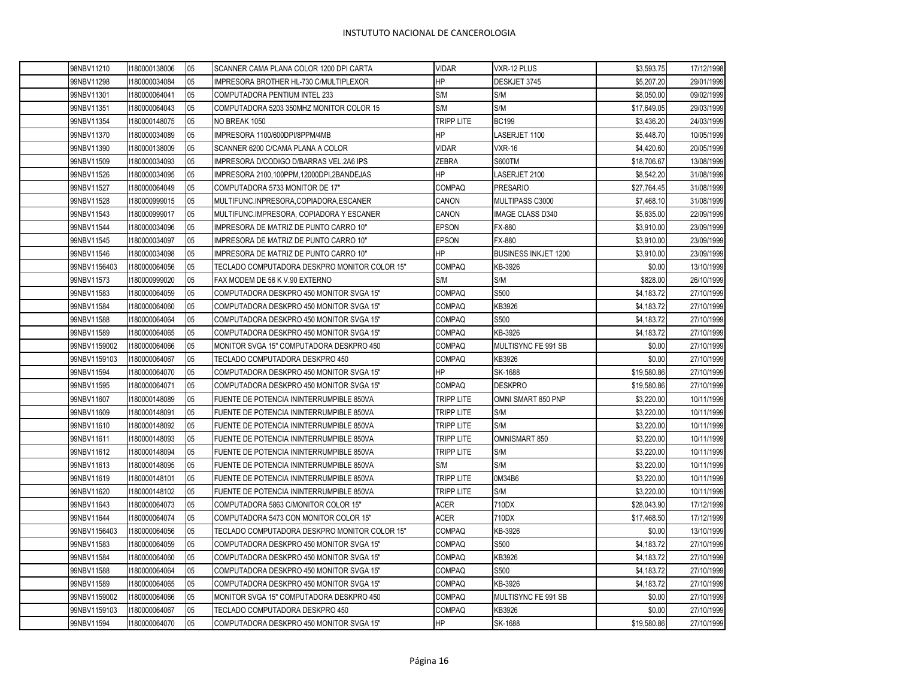| 98NBV11210   | 1180000138006 | 05 | SCANNER CAMA PLANA COLOR 1200 DPI CARTA       | <b>VIDAR</b>      | VXR-12 PLUS                 | \$3,593.75  | 17/12/1998 |
|--------------|---------------|----|-----------------------------------------------|-------------------|-----------------------------|-------------|------------|
| 99NBV11298   | 180000034084  | 05 | IMPRESORA BROTHER HL-730 C/MULTIPLEXOR        | <b>HP</b>         | DESKJET 3745                | \$5,207.20  | 29/01/1999 |
| 99NBV11301   | 1180000064041 | 05 | COMPUTADORA PENTIUM INTEL 233                 | S/M               | S/M                         | \$8,050.00  | 09/02/1999 |
| 99NBV11351   | 180000064043  | 05 | COMPUTADORA 5203 350MHZ MONITOR COLOR 15      | S/M               | S/M                         | \$17,649.05 | 29/03/1999 |
| 99NBV11354   | 1180000148075 | 05 | NO BREAK 1050                                 | <b>TRIPP LITE</b> | <b>BC199</b>                | \$3,436.20  | 24/03/1999 |
| 99NBV11370   | 180000034089  | 05 | IMPRESORA 1100/600DPI/8PPM/4MB                | <b>HP</b>         | LASERJET 1100               | \$5,448.70  | 10/05/1999 |
| 99NBV11390   | 1180000138009 | 05 | SCANNER 6200 C/CAMA PLANA A COLOR             | <b>VIDAR</b>      | VXR-16                      | \$4,420.60  | 20/05/1999 |
| 99NBV11509   | 180000034093  | 05 | IMPRESORA D/CODIGO D/BARRAS VEL.2A6 IPS       | <b>ZEBRA</b>      | <b>S600TM</b>               | \$18,706.67 | 13/08/1999 |
| 99NBV11526   | 180000034095  | 05 | IMPRESORA 2100,100PPM,12000DPI,2BANDEJAS      | <b>HP</b>         | LASERJET 2100               | \$8,542.20  | 31/08/1999 |
| 99NBV11527   | 180000064049  | 05 | COMPUTADORA 5733 MONITOR DE 17"               | <b>COMPAQ</b>     | <b>PRESARIO</b>             | \$27,764.45 | 31/08/1999 |
| 99NBV11528   | 1180000999015 | 05 | MULTIFUNC.INPRESORA,COPIADORA,ESCANER         | <b>CANON</b>      | MULTIPASS C3000             | \$7,468.10  | 31/08/1999 |
| 99NBV11543   | 1180000999017 | 05 | MULTIFUNC.IMPRESORA, COPIADORA Y ESCANER      | CANON             | <b>IMAGE CLASS D340</b>     | \$5,635.00  | 22/09/1999 |
| 99NBV11544   | 1180000034096 | 05 | IMPRESORA DE MATRIZ DE PUNTO CARRO 10"        | <b>EPSON</b>      | FX-880                      | \$3,910.00  | 23/09/1999 |
| 99NBV11545   | 1180000034097 | 05 | IMPRESORA DE MATRIZ DE PUNTO CARRO 10"        | <b>EPSON</b>      | <b>FX-880</b>               | \$3,910.00  | 23/09/1999 |
| 99NBV11546   | 1180000034098 | 05 | IMPRESORA DE MATRIZ DE PUNTO CARRO 10"        | <b>HP</b>         | <b>BUSINESS INKJET 1200</b> | \$3,910.00  | 23/09/1999 |
| 99NBV1156403 | 1180000064056 | 05 | TECLADO COMPUTADORA DESKPRO MONITOR COLOR 15" | <b>COMPAQ</b>     | KB-3926                     | \$0.00      | 13/10/1999 |
| 99NBV11573   | 1180000999020 | 05 | FAX MODEM DE 56 K V.90 EXTERNO                | S/M               | S/M                         | \$828.00    | 26/10/1999 |
| 99NBV11583   | 1180000064059 | 05 | COMPUTADORA DESKPRO 450 MONITOR SVGA 15"      | <b>COMPAQ</b>     | S500                        | \$4,183.72  | 27/10/1999 |
| 99NBV11584   | 1180000064060 | 05 | COMPUTADORA DESKPRO 450 MONITOR SVGA 15"      | <b>COMPAQ</b>     | KB3926                      | \$4,183.72  | 27/10/1999 |
| 99NBV11588   | 1180000064064 | 05 | COMPUTADORA DESKPRO 450 MONITOR SVGA 15"      | <b>COMPAQ</b>     | S500                        | \$4,183.72  | 27/10/1999 |
| 99NBV11589   | 1180000064065 | 05 | COMPUTADORA DESKPRO 450 MONITOR SVGA 15"      | <b>COMPAQ</b>     | KB-3926                     | \$4,183.72  | 27/10/1999 |
| 99NBV1159002 | 1180000064066 | 05 | MONITOR SVGA 15" COMPUTADORA DESKPRO 450      | <b>COMPAQ</b>     | MULTISYNC FE 991 SB         | \$0.00      | 27/10/1999 |
| 99NBV1159103 | 1180000064067 | 05 | TECLADO COMPUTADORA DESKPRO 450               | <b>COMPAQ</b>     | KB3926                      | \$0.00      | 27/10/1999 |
| 99NBV11594   | 1180000064070 | 05 | COMPUTADORA DESKPRO 450 MONITOR SVGA 15"      | <b>HP</b>         | SK-1688                     | \$19,580.86 | 27/10/1999 |
| 99NBV11595   | 180000064071  | 05 | COMPUTADORA DESKPRO 450 MONITOR SVGA 15"      | <b>COMPAQ</b>     | <b>DESKPRO</b>              | \$19,580.86 | 27/10/1999 |
| 99NBV11607   | 1180000148089 | 05 | FUENTE DE POTENCIA ININTERRUMPIBLE 850VA      | TRIPP LITE        | OMNI SMART 850 PNP          | \$3,220.00  | 10/11/1999 |
| 99NBV11609   | 1180000148091 | 05 | FUENTE DE POTENCIA ININTERRUMPIBLE 850VA      | TRIPP LITE        | S/M                         | \$3,220.00  | 10/11/1999 |
| 99NBV11610   | 1180000148092 | 05 | FUENTE DE POTENCIA ININTERRUMPIBLE 850VA      | TRIPP LITE        | S/M                         | \$3,220.00  | 10/11/1999 |
| 99NBV11611   | 1180000148093 | 05 | FUENTE DE POTENCIA ININTERRUMPIBLE 850VA      | TRIPP LITE        | OMNISMART 850               | \$3,220.00  | 10/11/1999 |
| 99NBV11612   | 1180000148094 | 05 | FUENTE DE POTENCIA ININTERRUMPIBLE 850VA      | <b>TRIPP LITE</b> | S/M                         | \$3,220.00  | 10/11/1999 |
| 99NBV11613   | 180000148095  | 05 | FUENTE DE POTENCIA ININTERRUMPIBLE 850VA      | S/M               | S/M                         | \$3,220.00  | 10/11/1999 |
| 99NBV11619   | 1180000148101 | 05 | FUENTE DE POTENCIA ININTERRUMPIBLE 850VA      | <b>TRIPP LITE</b> | 0M34B6                      | \$3,220.00  | 10/11/1999 |
| 99NBV11620   | 180000148102  | 05 | FUENTE DE POTENCIA ININTERRUMPIBLE 850VA      | TRIPP LITE        | S/M                         | \$3,220.00  | 10/11/1999 |
| 99NBV11643   | 1180000064073 | 05 | COMPUTADORA 5863 C/MONITOR COLOR 15"          | <b>ACER</b>       | 710DX                       | \$28,043.90 | 17/12/1999 |
| 99NBV11644   | 180000064074  | 05 | COMPUTADORA 5473 CON MONITOR COLOR 15"        | <b>ACER</b>       | 710DX                       | \$17,468.50 | 17/12/1999 |
| 99NBV1156403 | 1180000064056 | 05 | TECLADO COMPUTADORA DESKPRO MONITOR COLOR 15" | <b>COMPAQ</b>     | KB-3926                     | \$0.00      | 13/10/1999 |
| 99NBV11583   | 180000064059  | 05 | COMPUTADORA DESKPRO 450 MONITOR SVGA 15"      | <b>COMPAQ</b>     | S500                        | \$4,183.72  | 27/10/1999 |
| 99NBV11584   | 1180000064060 | 05 | COMPUTADORA DESKPRO 450 MONITOR SVGA 15"      | <b>COMPAQ</b>     | KB3926                      | \$4,183,72  | 27/10/1999 |
| 99NBV11588   | 1180000064064 | 05 | COMPUTADORA DESKPRO 450 MONITOR SVGA 15"      | <b>COMPAQ</b>     | S500                        | \$4,183.72  | 27/10/1999 |
| 99NBV11589   | 1180000064065 | 05 | COMPUTADORA DESKPRO 450 MONITOR SVGA 15"      | <b>COMPAQ</b>     | KB-3926                     | \$4,183.72  | 27/10/1999 |
| 99NBV1159002 | 1180000064066 | 05 | MONITOR SVGA 15" COMPUTADORA DESKPRO 450      | <b>COMPAQ</b>     | MULTISYNC FE 991 SB         | \$0.00      | 27/10/1999 |
| 99NBV1159103 | 1180000064067 | 05 | TECLADO COMPUTADORA DESKPRO 450               | <b>COMPAQ</b>     | KB3926                      | \$0.00      | 27/10/1999 |
| 99NBV11594   | 1180000064070 | 05 | COMPUTADORA DESKPRO 450 MONITOR SVGA 15"      | <b>HP</b>         | SK-1688                     | \$19,580.86 | 27/10/1999 |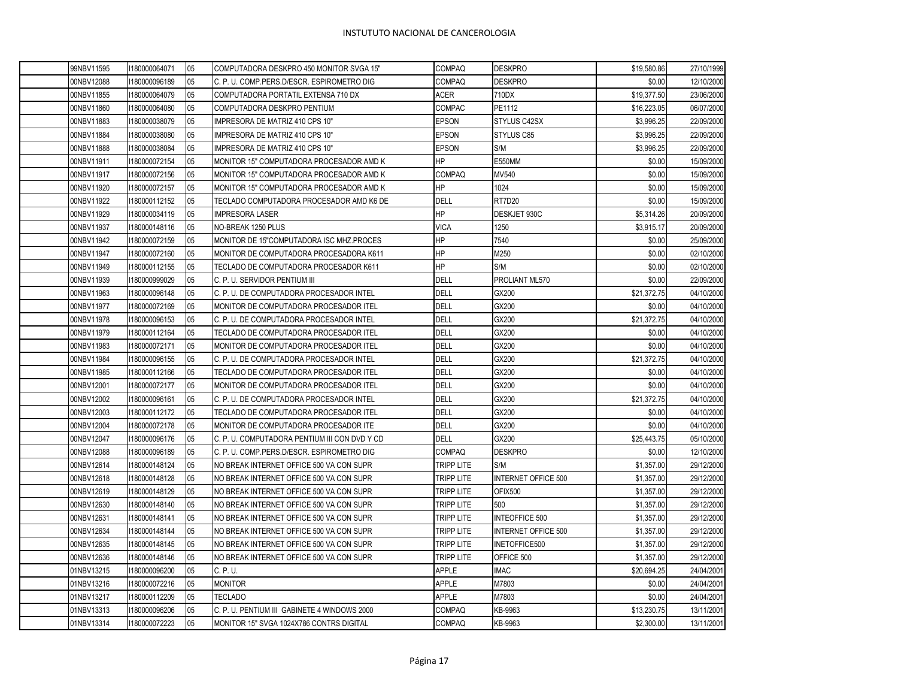| 99NBV11595 | 1180000064071 | 05 | COMPUTADORA DESKPRO 450 MONITOR SVGA 15"      | <b>COMPAQ</b> | <b>DESKPRO</b>             | \$19,580.86 | 27/10/1999 |
|------------|---------------|----|-----------------------------------------------|---------------|----------------------------|-------------|------------|
| 00NBV12088 | 1180000096189 | 05 | C. P. U. COMP. PERS. D/ESCR. ESPIROMETRO DIG  | <b>COMPAQ</b> | <b>DESKPRO</b>             | \$0.00      | 12/10/2000 |
| 00NBV11855 | 1180000064079 | 05 | COMPUTADORA PORTATIL EXTENSA 710 DX           | ACER          | 710DX                      | \$19,377.50 | 23/06/2000 |
| 00NBV11860 | 1180000064080 | 05 | COMPUTADORA DESKPRO PENTIUM                   | COMPAC        | PE1112                     | \$16,223.05 | 06/07/2000 |
| 00NBV11883 | 1180000038079 | 05 | IMPRESORA DE MATRIZ 410 CPS 10"               | <b>EPSON</b>  | STYLUS C42SX               | \$3,996.25  | 22/09/2000 |
| 00NBV11884 | 1180000038080 | 05 | IMPRESORA DE MATRIZ 410 CPS 10"               | EPSON         | STYLUS C85                 | \$3,996.25  | 22/09/2000 |
| 00NBV11888 | 1180000038084 | 05 | IMPRESORA DE MATRIZ 410 CPS 10"               | EPSON         | S/M                        | \$3,996.25  | 22/09/2000 |
| 00NBV11911 | 1180000072154 | 05 | MONITOR 15" COMPUTADORA PROCESADOR AMD K      | ΗP            | E550MM                     | \$0.00      | 15/09/2000 |
| 00NBV11917 | 1180000072156 | 05 | MONITOR 15" COMPUTADORA PROCESADOR AMD K      | <b>COMPAQ</b> | MV540                      | \$0.00      | 15/09/2000 |
| 00NBV11920 | 1180000072157 | 05 | MONITOR 15" COMPUTADORA PROCESADOR AMD K      | HP            | 1024                       | \$0.00      | 15/09/2000 |
| 00NBV11922 | 1180000112152 | 05 | TECLADO COMPUTADORA PROCESADOR AMD K6 DE      | DELL          | RT7D20                     | \$0.00      | 15/09/2000 |
| 00NBV11929 | 1180000034119 | 05 | <b>IMPRESORA LASER</b>                        | HP            | DESKJET 930C               | \$5,314.26  | 20/09/2000 |
| 00NBV11937 | 1180000148116 | 05 | NO-BREAK 1250 PLUS                            | <b>VICA</b>   | 1250                       | \$3,915.17  | 20/09/2000 |
| 00NBV11942 | 1180000072159 | 05 | MONITOR DE 15"COMPUTADORA ISC MHZ.PROCES      | HP            | 7540                       | \$0.00      | 25/09/2000 |
| 00NBV11947 | 1180000072160 | 05 | MONITOR DE COMPUTADORA PROCESADORA K611       | HP            | M250                       | \$0.00      | 02/10/2000 |
| 00NBV11949 | 1180000112155 | 05 | TECLADO DE COMPUTADORA PROCESADOR K611        | HP            | S/M                        | \$0.00      | 02/10/2000 |
| 00NBV11939 | 1180000999029 | 05 | C. P. U. SERVIDOR PENTIUM III                 | <b>DELL</b>   | PROLIANT ML570             | \$0.00      | 22/09/2000 |
| 00NBV11963 | 1180000096148 | 05 | C. P. U. DE COMPUTADORA PROCESADOR INTEL      | <b>DELL</b>   | GX200                      | \$21,372.75 | 04/10/2000 |
| 00NBV11977 | 1180000072169 | 05 | MONITOR DE COMPUTADORA PROCESADOR ITEL        | <b>DELL</b>   | GX200                      | \$0.00      | 04/10/2000 |
| 00NBV11978 | 1180000096153 | 05 | C. P. U. DE COMPUTADORA PROCESADOR INTEL      | DELL          | GX200                      | \$21,372.75 | 04/10/2000 |
| 00NBV11979 | 1180000112164 | 05 | TECLADO DE COMPUTADORA PROCESADOR ITEL        | DELL          | GX200                      | \$0.00      | 04/10/2000 |
| 00NBV11983 | 1180000072171 | 05 | MONITOR DE COMPUTADORA PROCESADOR ITEL        | <b>DELL</b>   | GX200                      | \$0.00      | 04/10/2000 |
| 00NBV11984 | 1180000096155 | 05 | C. P. U. DE COMPUTADORA PROCESADOR INTEL      | <b>DELL</b>   | GX200                      | \$21,372.75 | 04/10/2000 |
| 00NBV11985 | 1180000112166 | 05 | TECLADO DE COMPUTADORA PROCESADOR ITEL        | <b>DELL</b>   | GX200                      | \$0.00      | 04/10/2000 |
| 00NBV12001 | 1180000072177 | 05 | MONITOR DE COMPUTADORA PROCESADOR ITEL        | <b>DELL</b>   | GX200                      | \$0.00      | 04/10/2000 |
| 00NBV12002 | 1180000096161 | 05 | C. P. U. DE COMPUTADORA PROCESADOR INTEL      | <b>DELL</b>   | GX200                      | \$21,372.75 | 04/10/2000 |
| 00NBV12003 | 1180000112172 | 05 | TECLADO DE COMPUTADORA PROCESADOR ITEL        | <b>DELL</b>   | GX200                      | \$0.00      | 04/10/2000 |
| 00NBV12004 | 1180000072178 | 05 | MONITOR DE COMPUTADORA PROCESADOR ITE         | <b>DELL</b>   | GX200                      | \$0.00      | 04/10/2000 |
| 00NBV12047 | 1180000096176 | 05 | C. P. U. COMPUTADORA PENTIUM III CON DVD Y CD | <b>DELL</b>   | GX200                      | \$25,443.75 | 05/10/2000 |
| 00NBV12088 | 1180000096189 | 05 | C. P. U. COMP.PERS.D/ESCR. ESPIROMETRO DIG    | <b>COMPAQ</b> | <b>DESKPRO</b>             | \$0.00      | 12/10/2000 |
| 00NBV12614 | 1180000148124 | 05 | NO BREAK INTERNET OFFICE 500 VA CON SUPR      | TRIPP LITE    | S/M                        | \$1,357.00  | 29/12/2000 |
| 00NBV12618 | 1180000148128 | 05 | NO BREAK INTERNET OFFICE 500 VA CON SUPR      | TRIPP LITE    | <b>INTERNET OFFICE 500</b> | \$1,357.00  | 29/12/2000 |
| 00NBV12619 | 1180000148129 | 05 | NO BREAK INTERNET OFFICE 500 VA CON SUPR      | TRIPP LITE    | OFIX500                    | \$1,357.00  | 29/12/2000 |
| 00NBV12630 | 1180000148140 | 05 | NO BREAK INTERNET OFFICE 500 VA CON SUPR      | TRIPP LITE    | 500                        | \$1,357.00  | 29/12/2000 |
| 00NBV12631 | 1180000148141 | 05 | NO BREAK INTERNET OFFICE 500 VA CON SUPR      | tripp lite    | <b>INTEOFFICE 500</b>      | \$1,357.00  | 29/12/2000 |
| 00NBV12634 | 1180000148144 | 05 | NO BREAK INTERNET OFFICE 500 VA CON SUPR      | TRIPP LITE    | <b>INTERNET OFFICE 500</b> | \$1,357.00  | 29/12/2000 |
| 00NBV12635 | 1180000148145 | 05 | NO BREAK INTERNET OFFICE 500 VA CON SUPR      | TRIPP LITE    | INETOFFICE500              | \$1,357.00  | 29/12/2000 |
| 00NBV12636 | 1180000148146 | 05 | NO BREAK INTERNET OFFICE 500 VA CON SUPR      | TRIPP LITE    | OFFICE 500                 | \$1,357.00  | 29/12/2000 |
| 01NBV13215 | 1180000096200 | 05 | C. P. U.                                      | <b>APPLE</b>  | <b>IMAC</b>                | \$20,694.25 | 24/04/2001 |
| 01NBV13216 | 1180000072216 | 05 | <b>MONITOR</b>                                | <b>APPLE</b>  | M7803                      | \$0.00      | 24/04/2001 |
| 01NBV13217 | 1180000112209 | 05 | TECLADO                                       | <b>APPLE</b>  | M7803                      | \$0.00      | 24/04/2001 |
| 01NBV13313 | 1180000096206 | 05 | C. P. U. PENTIUM III GABINETE 4 WINDOWS 2000  | <b>COMPAQ</b> | KB-9963                    | \$13,230.75 | 13/11/2001 |
| 01NBV13314 | 1180000072223 | 05 | MONITOR 15" SVGA 1024X786 CONTRS DIGITAL      | COMPAQ        | KB-9963                    | \$2.300.00  | 13/11/2001 |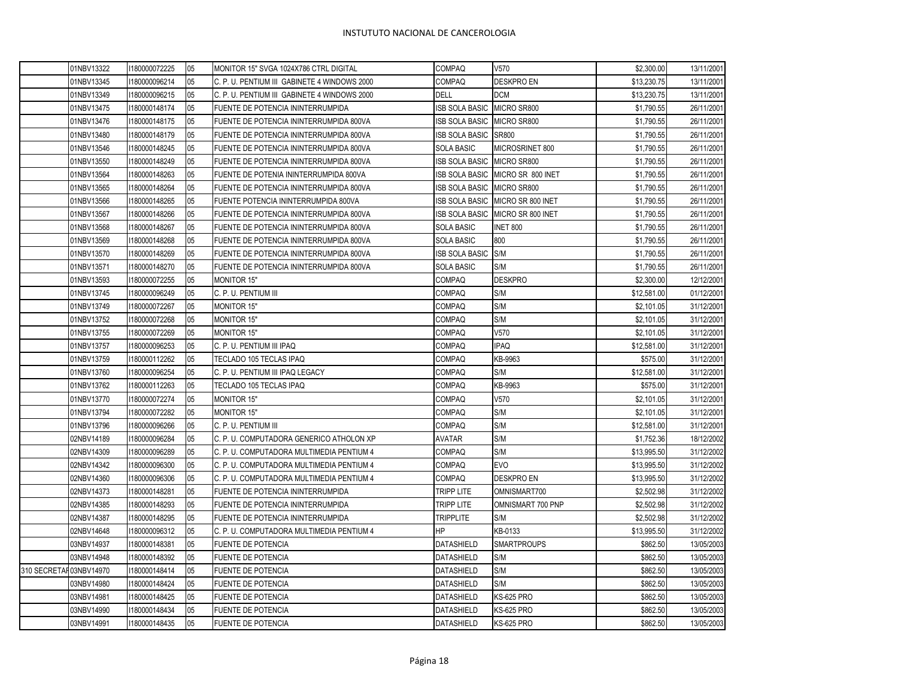|                        | 01NBV13322 | 1180000072225 | 05 | MONITOR 15" SVGA 1024X786 CTRL DIGITAL       | <b>COMPAQ</b>         | V570                             | \$2,300.00  | 13/11/2001 |
|------------------------|------------|---------------|----|----------------------------------------------|-----------------------|----------------------------------|-------------|------------|
|                        | 01NBV13345 | 1180000096214 | 05 | C. P. U. PENTIUM III GABINETE 4 WINDOWS 2000 | <b>COMPAQ</b>         | <b>DESKPRO EN</b>                | \$13,230.75 | 13/11/2001 |
|                        | 01NBV13349 | 1180000096215 | 05 | C. P. U. PENTIUM III GABINETE 4 WINDOWS 2000 | <b>DELL</b>           | <b>DCM</b>                       | \$13,230.75 | 13/11/2001 |
|                        | 01NBV13475 | 1180000148174 | 05 | FUENTE DE POTENCIA ININTERRUMPIDA            | ISB SOLA BASIC        | MICRO SR800                      | \$1,790.55  | 26/11/2001 |
|                        | 01NBV13476 | 1180000148175 | 05 | FUENTE DE POTENCIA ININTERRUMPIDA 800VA      | <b>ISB SOLA BASIC</b> | MICRO SR800                      | \$1,790.55  | 26/11/2001 |
|                        | 01NBV13480 | 1180000148179 | 05 | FUENTE DE POTENCIA ININTERRUMPIDA 800VA      | <b>ISB SOLA BASIC</b> | SR800                            | \$1,790.55  | 26/11/2001 |
|                        | 01NBV13546 | 180000148245  | 05 | FUENTE DE POTENCIA ININTERRUMPIDA 800VA      | <b>SOLA BASIC</b>     | MICROSRINET 800                  | \$1,790.55  | 26/11/2001 |
|                        | 01NBV13550 | 180000148249  | 05 | FUENTE DE POTENCIA ININTERRUMPIDA 800VA      | <b>ISB SOLA BASIC</b> | MICRO SR800                      | \$1,790.55  | 26/11/2001 |
|                        | 01NBV13564 | 1180000148263 | 05 | FUENTE DE POTENIA ININTERRUMPIDA 800VA       |                       | ISB SOLA BASIC MICRO SR 800 INET | \$1,790.55  | 26/11/2001 |
|                        | 01NBV13565 | 1180000148264 | 05 | FUENTE DE POTENCIA ININTERRUMPIDA 800VA      | <b>ISB SOLA BASIC</b> | MICRO SR800                      | \$1,790.55  | 26/11/2001 |
|                        | 01NBV13566 | 1180000148265 | 05 | FUENTE POTENCIA ININTERRUMPIDA 800VA         | <b>ISB SOLA BASIC</b> | MICRO SR 800 INET                | \$1,790.55  | 26/11/2001 |
|                        | 01NBV13567 | 1180000148266 | 05 | FUENTE DE POTENCIA ININTERRUMPIDA 800VA      | <b>ISB SOLA BASIC</b> | MICRO SR 800 INET                | \$1,790.55  | 26/11/2001 |
|                        | 01NBV13568 | 1180000148267 | 05 | FUENTE DE POTENCIA ININTERRUMPIDA 800VA      | <b>SOLA BASIC</b>     | <b>INET 800</b>                  | \$1,790.55  | 26/11/2001 |
|                        | 01NBV13569 | 1180000148268 | 05 | FUENTE DE POTENCIA ININTERRUMPIDA 800VA      | <b>SOLA BASIC</b>     | 800                              | \$1,790.55  | 26/11/2001 |
|                        | 01NBV13570 | 1180000148269 | 05 | FUENTE DE POTENCIA ININTERRUMPIDA 800VA      | ISB SOLA BASIC S/M    |                                  | \$1,790.55  | 26/11/2001 |
|                        | 01NBV13571 | 1180000148270 | 05 | FUENTE DE POTENCIA ININTERRUMPIDA 800VA      | <b>SOLA BASIC</b>     | S/M                              | \$1,790.55  | 26/11/2001 |
|                        | 01NBV13593 | 1180000072255 | 05 | <b>MONITOR 15"</b>                           | <b>COMPAQ</b>         | <b>DESKPRO</b>                   | \$2,300.00  | 12/12/2001 |
|                        | 01NBV13745 | 1180000096249 | 05 | C. P. U. PENTIUM III                         | <b>COMPAQ</b>         | S/M                              | \$12,581.00 | 01/12/2001 |
|                        | 01NBV13749 | 1180000072267 | 05 | <b>MONITOR 15"</b>                           | COMPAQ                | S/M                              | \$2,101.05  | 31/12/2001 |
|                        | 01NBV13752 | 1180000072268 | 05 | <b>MONITOR 15"</b>                           | <b>COMPAQ</b>         | S/M                              | \$2,101.05  | 31/12/2001 |
|                        | 01NBV13755 | 1180000072269 | 05 | <b>MONITOR 15"</b>                           | <b>COMPAQ</b>         | V570                             | \$2,101.05  | 31/12/2001 |
|                        | 01NBV13757 | 1180000096253 | 05 | C. P. U. PENTIUM III IPAQ                    | COMPAQ                | <b>IPAQ</b>                      | \$12,581.00 | 31/12/2001 |
|                        | 01NBV13759 | 1180000112262 | 05 | <b>TECLADO 105 TECLAS IPAQ</b>               | COMPAQ                | KB-9963                          | \$575.00    | 31/12/2001 |
|                        | 01NBV13760 | 180000096254  | 05 | C. P. U. PENTIUM III IPAQ LEGACY             | COMPAQ                | S/M                              | \$12,581.00 | 31/12/2001 |
|                        | 01NBV13762 | 1180000112263 | 05 | TECLADO 105 TECLAS IPAQ                      | <b>COMPAQ</b>         | KB-9963                          | \$575.00    | 31/12/2001 |
|                        | 01NBV13770 | 180000072274  | 05 | <b>MONITOR 15"</b>                           | <b>COMPAQ</b>         | V570                             | \$2,101.05  | 31/12/2001 |
|                        | 01NBV13794 | 1180000072282 | 05 | <b>MONITOR 15"</b>                           | <b>COMPAQ</b>         | S/M                              | \$2,101.05  | 31/12/2001 |
|                        | 01NBV13796 | 1180000096266 | 05 | C. P. U. PENTIUM III                         | <b>COMPAQ</b>         | S/M                              | \$12,581.00 | 31/12/2001 |
|                        | 02NBV14189 | 1180000096284 | 05 | C. P. U. COMPUTADORA GENERICO ATHOLON XP     | <b>AVATAR</b>         | S/M                              | \$1,752.36  | 18/12/2002 |
|                        | 02NBV14309 | 1180000096289 | 05 | C. P. U. COMPUTADORA MULTIMEDIA PENTIUM 4    | <b>COMPAQ</b>         | S/M                              | \$13,995.50 | 31/12/2002 |
|                        | 02NBV14342 | 1180000096300 | 05 | C. P. U. COMPUTADORA MULTIMEDIA PENTIUM 4    | <b>COMPAQ</b>         | <b>EVO</b>                       | \$13,995.50 | 31/12/2002 |
|                        | 02NBV14360 | 1180000096306 | 05 | C. P. U. COMPUTADORA MULTIMEDIA PENTIUM 4    | <b>COMPAQ</b>         | <b>DESKPRO EN</b>                | \$13,995.50 | 31/12/2002 |
|                        | 02NBV14373 | 1180000148281 | 05 | FUENTE DE POTENCIA ININTERRUMPIDA            | TRIPP LITE            | OMNISMART700                     | \$2,502.98  | 31/12/2002 |
|                        | 02NBV14385 | 1180000148293 | 05 | FUENTE DE POTENCIA ININTERRUMPIDA            | TRIPP LITE            | OMNISMART 700 PNP                | \$2,502.98  | 31/12/2002 |
|                        | 02NBV14387 | 1180000148295 | 05 | FUENTE DE POTENCIA ININTERRUMPIDA            | <b>TRIPPLITE</b>      | S/M                              | \$2,502.98  | 31/12/2002 |
|                        | 02NBV14648 | 1180000096312 | 05 | C. P. U. COMPUTADORA MULTIMEDIA PENTIUM 4    | ΗP                    | KB-0133                          | \$13,995.50 | 31/12/2002 |
|                        | 03NBV14937 | 1180000148381 | 05 | FUENTE DE POTENCIA                           | DATASHIELD            | <b>SMARTPROUPS</b>               | \$862.50    | 13/05/2003 |
|                        | 03NBV14948 | 1180000148392 | 05 | FUENTE DE POTENCIA                           | DATASHIELD            | S/M                              | \$862.50    | 13/05/2003 |
| 310 SECRETAF03NBV14970 |            | 1180000148414 | 05 | <b>FUENTE DE POTENCIA</b>                    | DATASHIELD            | S/M                              | \$862.50    | 13/05/2003 |
|                        | 03NBV14980 | 1180000148424 | 05 | <b>FUENTE DE POTENCIA</b>                    | DATASHIELD            | S/M                              | \$862.50    | 13/05/2003 |
|                        | 03NBV14981 | 1180000148425 | 05 | <b>FUENTE DE POTENCIA</b>                    | DATASHIELD            | KS-625 PRO                       | \$862.50    | 13/05/2003 |
|                        | 03NBV14990 | 1180000148434 | 05 | FUENTE DE POTENCIA                           | DATASHIELD            | KS-625 PRO                       | \$862.50    | 13/05/2003 |
|                        | 03NBV14991 | 1180000148435 | 05 | <b>FUENTE DE POTENCIA</b>                    | DATASHIELD            | KS-625 PRO                       | \$862.50    | 13/05/2003 |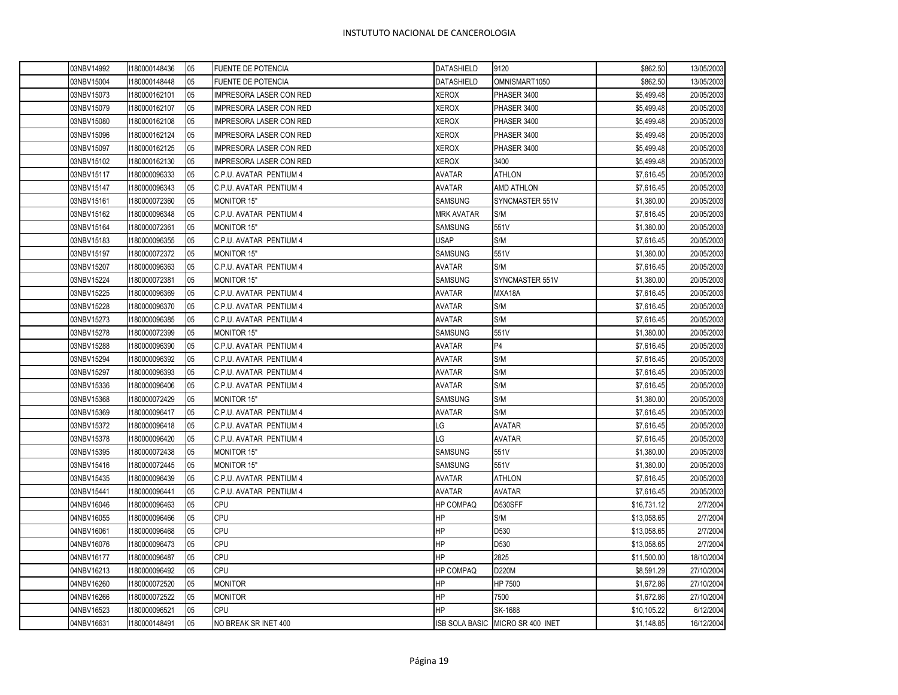| 03NBV14992 | 1180000148436 | 05 | <b>FUENTE DE POTENCIA</b>      | <b>DATASHIELD</b> | 9120                             | \$862.50    | 13/05/2003 |
|------------|---------------|----|--------------------------------|-------------------|----------------------------------|-------------|------------|
| 03NBV15004 | 1180000148448 | 05 | <b>FUENTE DE POTENCIA</b>      | DATASHIELD        | OMNISMART1050                    | \$862.50    | 13/05/2003 |
| 03NBV15073 | 1180000162101 | 05 | <b>IMPRESORA LASER CON RED</b> | <b>XEROX</b>      | PHASER 3400                      | \$5,499.48  | 20/05/2003 |
| 03NBV15079 | 1180000162107 | 05 | <b>IMPRESORA LASER CON RED</b> | <b>XEROX</b>      | PHASER 3400                      | \$5,499.48  | 20/05/2003 |
| 03NBV15080 | 1180000162108 | 05 | <b>IMPRESORA LASER CON RED</b> | <b>XEROX</b>      | PHASER 3400                      | \$5,499.48  | 20/05/2003 |
| 03NBV15096 | 1180000162124 | 05 | <b>IMPRESORA LASER CON RED</b> | <b>XEROX</b>      | PHASER 3400                      | \$5,499.48  | 20/05/2003 |
| 03NBV15097 | 180000162125  | 05 | <b>IMPRESORA LASER CON RED</b> | <b>XEROX</b>      | PHASER 3400                      | \$5,499.48  | 20/05/2003 |
| 03NBV15102 | 180000162130  | 05 | <b>IMPRESORA LASER CON RED</b> | <b>XEROX</b>      | 3400                             | \$5,499.48  | 20/05/2003 |
| 03NBV15117 | 1180000096333 | 05 | C.P.U. AVATAR PENTIUM 4        | <b>AVATAR</b>     | <b>ATHLON</b>                    | \$7,616.45  | 20/05/2003 |
| 03NBV15147 | 1180000096343 | 05 | C.P.U. AVATAR PENTIUM 4        | <b>AVATAR</b>     | AMD ATHLON                       | \$7,616.45  | 20/05/2003 |
| 03NBV15161 | 1180000072360 | 05 | MONITOR 15"                    | SAMSUNG           | SYNCMASTER 551V                  | \$1,380.00  | 20/05/2003 |
| 03NBV15162 | 1180000096348 | 05 | C.P.U. AVATAR PENTIUM 4        | <b>MRK AVATAR</b> | S/M                              | \$7,616.45  | 20/05/2003 |
| 03NBV15164 | 1180000072361 | 05 | <b>MONITOR 15"</b>             | <b>SAMSUNG</b>    | 551V                             | \$1,380.00  | 20/05/2003 |
| 03NBV15183 | 1180000096355 | 05 | C.P.U. AVATAR PENTIUM 4        | <b>USAP</b>       | S/M                              | \$7,616.45  | 20/05/2003 |
| 03NBV15197 | 1180000072372 | 05 | <b>MONITOR 15"</b>             | SAMSUNG           | 551V                             | \$1,380.00  | 20/05/2003 |
| 03NBV15207 | 1180000096363 | 05 | C.P.U. AVATAR PENTIUM 4        | <b>AVATAR</b>     | S/M                              | \$7,616.45  | 20/05/2003 |
| 03NBV15224 | 1180000072381 | 05 | <b>MONITOR 15"</b>             | <b>SAMSUNG</b>    | SYNCMASTER 551V                  | \$1,380.00  | 20/05/2003 |
| 03NBV15225 | 180000096369  | 05 | C.P.U. AVATAR PENTIUM 4        | <b>AVATAR</b>     | MXA18A                           | \$7,616.45  | 20/05/2003 |
| 03NBV15228 | 1180000096370 | 05 | C.P.U. AVATAR PENTIUM 4        | <b>AVATAR</b>     | S/M                              | \$7,616.45  | 20/05/2003 |
| 03NBV15273 | 1180000096385 | 05 | C.P.U. AVATAR PENTIUM 4        | <b>AVATAR</b>     | S/M                              | \$7,616.45  | 20/05/2003 |
| 03NBV15278 | 1180000072399 | 05 | <b>MONITOR 15"</b>             | SAMSUNG           | 551V                             | \$1,380.00  | 20/05/2003 |
| 03NBV15288 | 1180000096390 | 05 | C.P.U. AVATAR PENTIUM 4        | <b>AVATAR</b>     | P <sub>4</sub>                   | \$7,616.45  | 20/05/2003 |
| 03NBV15294 | 1180000096392 | 05 | C.P.U. AVATAR PENTIUM 4        | <b>AVATAR</b>     | S/M                              | \$7,616.45  | 20/05/2003 |
| 03NBV15297 | 180000096393  | 05 | C.P.U. AVATAR PENTIUM 4        | <b>AVATAR</b>     | S/M                              | \$7,616.45  | 20/05/2003 |
| 03NBV15336 | 1180000096406 | 05 | C.P.U. AVATAR PENTIUM 4        | <b>AVATAR</b>     | S/M                              | \$7,616.45  | 20/05/2003 |
| 03NBV15368 | 180000072429  | 05 | <b>MONITOR 15"</b>             | <b>SAMSUNG</b>    | S/M                              | \$1,380.00  | 20/05/2003 |
| 03NBV15369 | 180000096417  | 05 | C.P.U. AVATAR PENTIUM 4        | <b>AVATAR</b>     | S/M                              | \$7,616.45  | 20/05/2003 |
| 03NBV15372 | 1180000096418 | 05 | C.P.U. AVATAR PENTIUM 4        | LG                | <b>AVATAR</b>                    | \$7,616.45  | 20/05/2003 |
| 03NBV15378 | 1180000096420 | 05 | C.P.U. AVATAR PENTIUM 4        | LG                | <b>AVATAR</b>                    | \$7,616.45  | 20/05/2003 |
| 03NBV15395 | 1180000072438 | 05 | <b>MONITOR 15"</b>             | <b>SAMSUNG</b>    | 551V                             | \$1,380.00  | 20/05/2003 |
| 03NBV15416 | 1180000072445 | 05 | MONITOR 15"                    | SAMSUNG           | 551V                             | \$1,380.00  | 20/05/2003 |
| 03NBV15435 | 1180000096439 | 05 | C.P.U. AVATAR PENTIUM 4        | <b>AVATAR</b>     | <b>ATHLON</b>                    | \$7,616.45  | 20/05/2003 |
| 03NBV15441 | 1180000096441 | 05 | C.P.U. AVATAR PENTIUM 4        | <b>AVATAR</b>     | <b>AVATAR</b>                    | \$7,616.45  | 20/05/2003 |
| 04NBV16046 | 180000096463  | 05 | <b>CPU</b>                     | HP COMPAQ         | D530SFF                          | \$16,731.12 | 2/7/2004   |
| 04NBV16055 | 1180000096466 | 05 | <b>CPU</b>                     | HP                | S/M                              | \$13,058.65 | 2/7/2004   |
| 04NBV16061 | 180000096468  | 05 | CPU                            | HP                | D530                             | \$13,058.65 | 2/7/2004   |
| 04NBV16076 | 1180000096473 | 05 | <b>CPU</b>                     | ΗP                | D530                             | \$13,058.65 | 2/7/2004   |
| 04NBV16177 | 180000096487  | 05 | CPU                            | HP                | 2825                             | \$11,500.00 | 18/10/2004 |
| 04NBV16213 | 1180000096492 | 05 | CPU                            | HP COMPAQ         | D220M                            | \$8,591.29  | 27/10/2004 |
| 04NBV16260 | 1180000072520 | 05 | <b>MONITOR</b>                 | HP                | HP 7500                          | \$1,672.86  | 27/10/2004 |
| 04NBV16266 | 1180000072522 | 05 | <b>MONITOR</b>                 | HP                | 7500                             | \$1,672.86  | 27/10/2004 |
| 04NBV16523 | 180000096521  | 05 | <b>CPU</b>                     | ΗP                | SK-1688                          | \$10,105.22 | 6/12/2004  |
| 04NBV16631 | 1180000148491 | 05 | NO BREAK SR INET 400           |                   | ISB SOLA BASIC MICRO SR 400 INET | \$1,148.85  | 16/12/2004 |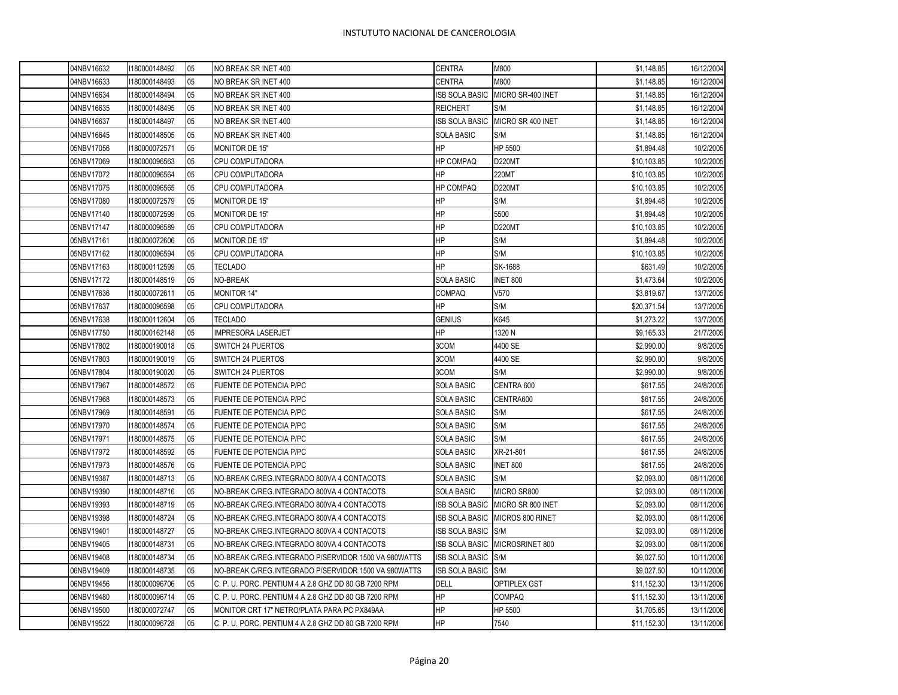| 04NBV16632 |            | 1180000148492 | 05 | NO BREAK SR INET 400                                 | <b>CENTRA</b>         | M800              | \$1,148.85  | 16/12/2004 |
|------------|------------|---------------|----|------------------------------------------------------|-----------------------|-------------------|-------------|------------|
| 04NBV16633 |            | 1180000148493 | 05 | NO BREAK SR INET 400                                 | CENTRA                | M800              | \$1,148.85  | 16/12/2004 |
| 04NBV16634 |            | 1180000148494 | 05 | NO BREAK SR INET 400                                 | <b>ISB SOLA BASIC</b> | MICRO SR-400 INET | \$1,148.85  | 16/12/2004 |
| 04NBV16635 |            | 1180000148495 | 05 | NO BREAK SR INET 400                                 | <b>REICHERT</b>       | S/M               | \$1,148.85  | 16/12/2004 |
| 04NBV16637 |            | 1180000148497 | 05 | NO BREAK SR INET 400                                 | ISB SOLA BASIC        | MICRO SR 400 INET | \$1,148.85  | 16/12/2004 |
| 04NBV16645 |            | 1180000148505 | 05 | NO BREAK SR INET 400                                 | <b>SOLA BASIC</b>     | S/M               | \$1,148.85  | 16/12/2004 |
|            | 05NBV17056 | 1180000072571 | 05 | MONITOR DE 15"                                       | HP                    | HP 5500           | \$1,894.48  | 10/2/2005  |
| 05NBV17069 |            | 1180000096563 | 05 | CPU COMPUTADORA                                      | <b>HP COMPAQ</b>      | <b>D220MT</b>     | \$10,103.85 | 10/2/2005  |
| 05NBV17072 |            | 1180000096564 | 05 | CPU COMPUTADORA                                      | HP                    | 220MT             | \$10,103.85 | 10/2/2005  |
| 05NBV17075 |            | 1180000096565 | 05 | CPU COMPUTADORA                                      | <b>HP COMPAQ</b>      | D220MT            | \$10,103.85 | 10/2/2005  |
| 05NBV17080 |            | 1180000072579 | 05 | MONITOR DE 15"                                       | HP                    | S/M               | \$1,894.48  | 10/2/2005  |
|            | 05NBV17140 | 1180000072599 | 05 | MONITOR DE 15"                                       | HP                    | 5500              | \$1,894.48  | 10/2/2005  |
| 05NBV17147 |            | 1180000096589 | 05 | <b>CPU COMPUTADORA</b>                               | HP                    | D220MT            | \$10,103.85 | 10/2/2005  |
| 05NBV17161 |            | 1180000072606 | 05 | MONITOR DE 15"                                       | ΗP                    | S/M               | \$1,894.48  | 10/2/2005  |
| 05NBV17162 |            | 1180000096594 | 05 | CPU COMPUTADORA                                      | ΗP                    | S/M               | \$10,103.85 | 10/2/2005  |
| 05NBV17163 |            | 1180000112599 | 05 | TECLADO                                              | HP                    | SK-1688           | \$631.49    | 10/2/2005  |
| 05NBV17172 |            | 1180000148519 | 05 | NO-BREAK                                             | <b>SOLA BASIC</b>     | <b>INET 800</b>   | \$1,473.64  | 10/2/2005  |
| 05NBV17636 |            | 1180000072611 | 05 | <b>MONITOR 14"</b>                                   | <b>COMPAQ</b>         | V570              | \$3,819.67  | 13/7/2005  |
| 05NBV17637 |            | 1180000096598 | 05 | <b>CPU COMPUTADORA</b>                               | ΗP                    | S/M               | \$20,371.54 | 13/7/2005  |
| 05NBV17638 |            | 1180000112604 | 05 | TECLADO                                              | <b>GENIUS</b>         | K645              | \$1,273.22  | 13/7/2005  |
| 05NBV17750 |            | 1180000162148 | 05 | <b>IMPRESORA LASERJET</b>                            | HP                    | 1320 N            | \$9,165.33  | 21/7/2005  |
| 05NBV17802 |            | 1180000190018 | 05 | SWITCH 24 PUERTOS                                    | 3COM                  | 4400 SE           | \$2,990.00  | 9/8/2005   |
| 05NBV17803 |            | 1180000190019 | 05 | SWITCH 24 PUERTOS                                    | 3COM                  | 4400 SE           | \$2,990.00  | 9/8/2005   |
| 05NBV17804 |            | 1180000190020 | 05 | SWITCH 24 PUERTOS                                    | 3COM                  | S/M               | \$2,990.00  | 9/8/2005   |
| 05NBV17967 |            | 1180000148572 | 05 | FUENTE DE POTENCIA P/PC                              | <b>SOLA BASIC</b>     | CENTRA 600        | \$617.55    | 24/8/2005  |
| 05NBV17968 |            | 1180000148573 | 05 | FUENTE DE POTENCIA P/PC                              | SOLA BASIC            | CENTRA600         | \$617.55    | 24/8/2005  |
|            | 05NBV17969 | 1180000148591 | 05 | FUENTE DE POTENCIA P/PC                              | <b>SOLA BASIC</b>     | S/M               | \$617.55    | 24/8/2005  |
| 05NBV17970 |            | 1180000148574 | 05 | FUENTE DE POTENCIA P/PC                              | <b>SOLA BASIC</b>     | S/M               | \$617.55    | 24/8/2005  |
| 05NBV17971 |            | 1180000148575 | 05 | FUENTE DE POTENCIA P/PC                              | <b>SOLA BASIC</b>     | S/M               | \$617.55    | 24/8/2005  |
| 05NBV17972 |            | 1180000148592 | 05 | FUENTE DE POTENCIA P/PC                              | <b>SOLA BASIC</b>     | XR-21-801         | \$617.55    | 24/8/2005  |
| 05NBV17973 |            | 1180000148576 | 05 | FUENTE DE POTENCIA P/PC                              | <b>SOLA BASIC</b>     | INET 800          | \$617.55    | 24/8/2005  |
| 06NBV19387 |            | 1180000148713 | 05 | NO-BREAK C/REG.INTEGRADO 800VA 4 CONTACOTS           | <b>SOLA BASIC</b>     | S/M               | \$2,093.00  | 08/11/2006 |
| 06NBV19390 |            | 1180000148716 | 05 | NO-BREAK C/REG.INTEGRADO 800VA 4 CONTACOTS           | <b>SOLA BASIC</b>     | MICRO SR800       | \$2,093.00  | 08/11/2006 |
| 06NBV19393 |            | 1180000148719 | 05 | NO-BREAK C/REG.INTEGRADO 800VA 4 CONTACOTS           | ISB SOLA BASIC        | MICRO SR 800 INET | \$2,093.00  | 08/11/2006 |
| 06NBV19398 |            | 1180000148724 | 05 | NO-BREAK C/REG.INTEGRADO 800VA 4 CONTACOTS           | <b>ISB SOLA BASIC</b> | MICROS 800 RINET  | \$2,093.00  | 08/11/2006 |
| 06NBV19401 |            | 1180000148727 | 05 | NO-BREAK C/REG.INTEGRADO 800VA 4 CONTACOTS           | ISB SOLA BASIC        | S/M               | \$2,093.00  | 08/11/2006 |
| 06NBV19405 |            | 1180000148731 | 05 | NO-BREAK C/REG.INTEGRADO 800VA 4 CONTACOTS           | <b>ISB SOLA BASIC</b> | MICROSRINET 800   | \$2,093.00  | 08/11/2006 |
| 06NBV19408 |            | 1180000148734 | 05 | NO-BREAK C/REG.INTEGRADO P/SERVIDOR 1500 VA 980WATTS | <b>ISB SOLA BASIC</b> | S/M               | \$9,027.50  | 10/11/2006 |
| 06NBV19409 |            | 1180000148735 | 05 | NO-BREAK C/REG.INTEGRADO P/SERVIDOR 1500 VA 980WATTS | ISB SOLA BASIC        | S/M               | \$9,027.50  | 10/11/2006 |
| 06NBV19456 |            | 1180000096706 | 05 | C. P. U. PORC. PENTIUM 4 A 2.8 GHZ DD 80 GB 7200 RPM | <b>DELL</b>           | OPTIPLEX GST      | \$11,152.30 | 13/11/2006 |
| 06NBV19480 |            | 1180000096714 | 05 | C. P. U. PORC. PENTIUM 4 A 2.8 GHZ DD 80 GB 7200 RPM | ΗP                    | <b>COMPAQ</b>     | \$11,152.30 | 13/11/2006 |
|            | 06NBV19500 | 1180000072747 | 05 | MONITOR CRT 17" NETRO/PLATA PARA PC PX849AA          | HP                    | HP 5500           | \$1,705.65  | 13/11/2006 |
| 06NBV19522 |            | 1180000096728 | 05 | C. P. U. PORC. PENTIUM 4 A 2.8 GHZ DD 80 GB 7200 RPM | HP                    | 7540              | \$11,152.30 | 13/11/2006 |